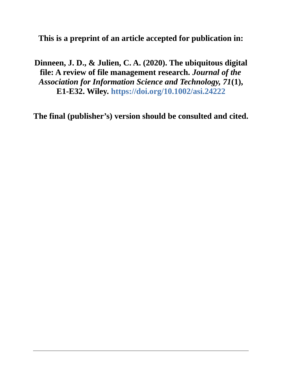**This is a preprint of an article accepted for publication in:**

**Dinneen, J. D., & Julien, C. A. (2020). The ubiquitous digital file: A review of file management research.** *Journal of the Association for Information Science and Technology, 71***(1), E1-E32. Wiley. <https://doi.org/10.1002/asi.24222>**

**The final (publisher's) version should be consulted and cited.**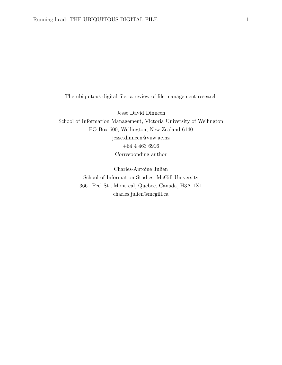The ubiquitous digital file: a review of file management research

Jesse David Dinneen School of Information Management, Victoria University of Wellington PO Box 600, Wellington, New Zealand 6140 jesse.dinneen@vuw.ac.nz +64 4 463 6916 Corresponding author

> Charles-Antoine Julien School of Information Studies, McGill University 3661 Peel St., Montreal, Quebec, Canada, H3A 1X1 charles.julien@mcgill.ca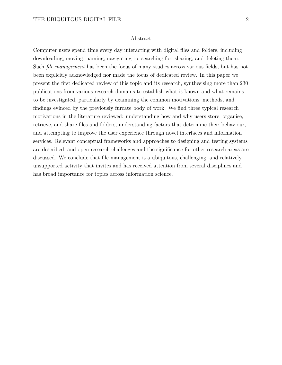#### Abstract

Computer users spend time every day interacting with digital files and folders, including downloading, moving, naming, navigating to, searching for, sharing, and deleting them. Such *file management* has been the focus of many studies across various fields, but has not been explicitly acknowledged nor made the focus of dedicated review. In this paper we present the first dedicated review of this topic and its research, synthesising more than 230 publications from various research domains to establish what is known and what remains to be investigated, particularly by examining the common motivations, methods, and findings evinced by the previously furcate body of work. We find three typical research motivations in the literature reviewed: understanding how and why users store, organise, retrieve, and share files and folders, understanding factors that determine their behaviour, and attempting to improve the user experience through novel interfaces and information services. Relevant conceptual frameworks and approaches to designing and testing systems are described, and open research challenges and the significance for other research areas are discussed. We conclude that file management is a ubiquitous, challenging, and relatively unsupported activity that invites and has received attention from several disciplines and has broad importance for topics across information science.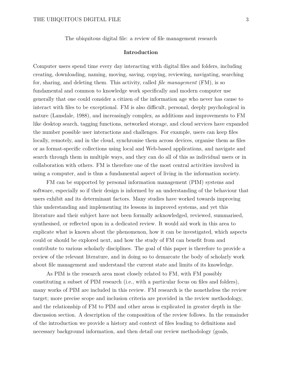The ubiquitous digital file: a review of file management research

#### **Introduction**

Computer users spend time every day interacting with digital files and folders, including creating, downloading, naming, moving, saving, copying, reviewing, navigating, searching for, sharing, and deleting them. This activity, called *file management* (FM), is so fundamental and common to knowledge work specifically and modern computer use generally that one could consider a citizen of the information age who never has cause to interact with files to be exceptional. FM is also difficult, personal, deeply psychological in nature (Lansdale, 1988), and increasingly complex, as additions and improvements to FM like desktop search, tagging functions, networked storage, and cloud services have expanded the number possible user interactions and challenges. For example, users can keep files locally, remotely, and in the cloud, synchronise them across devices, organise them as files or as format-specific collections using local and Web-based applications, and navigate and search through them in multiple ways, and they can do all of this as individual users or in collaboration with others. FM is therefore one of the most central activities involved in using a computer, and is thus a fundamental aspect of living in the information society.

FM can be supported by personal information management (PIM) systems and software, especially so if their design is informed by an understanding of the behaviour that users exhibit and its determinant factors. Many studies have worked towards improving this understanding and implementing its lessons in improved systems, and yet this literature and their subject have not been formally acknowledged, reviewed, summarised, synthesised, or reflected upon in a dedicated review. It would aid work in this area to explicate what is known about the phenomenon, how it can be investigated, which aspects could or should be explored next, and how the study of FM can benefit from and contribute to various scholarly disciplines. The goal of this paper is therefore to provide a review of the relevant literature, and in doing so to demarcate the body of scholarly work about file management and understand the current state and limits of its knowledge.

As PIM is the research area most closely related to FM, with FM possibly constituting a subset of PIM research (i.e., with a particular focus on files and folders), many works of PIM are included in this review. FM research is the nonetheless the review target; more precise scope and inclusion criteria are provided in the review methodology, and the relationship of FM to PIM and other areas is explicated in greater depth in the discussion section. A description of the composition of the review follows. In the remainder of the introduction we provide a history and context of files leading to definitions and necessary background information, and then detail our review methodology (goals,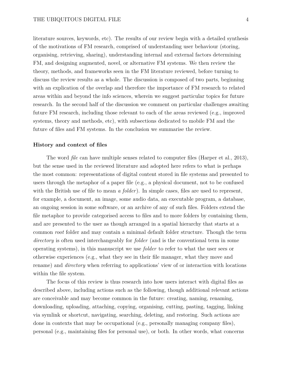literature sources, keywords, etc). The results of our review begin with a detailed synthesis of the motivations of FM research, comprised of understanding user behaviour (storing, organising, retrieving, sharing), understanding internal and external factors determining FM, and designing augmented, novel, or alternative FM systems. We then review the theory, methods, and frameworks seen in the FM literature reviewed, before turning to discuss the review results as a whole. The discussion is composed of two parts, beginning with an explication of the overlap and therefore the importance of FM research to related areas within and beyond the info sciences, wherein we suggest particular topics for future research. In the second half of the discussion we comment on particular challenges awaiting future FM research, including those relevant to each of the areas reviewed (e.g., improved systems, theory and methods, etc), with subsections dedicated to mobile FM and the future of files and FM systems. In the conclusion we summarise the review.

### **History and context of files**

The word *file* can have multiple senses related to computer files (Harper et al., 2013), but the sense used in the reviewed literature and adopted here refers to what is perhaps the most common: representations of digital content stored in file systems and presented to users through the metaphor of a paper file (e.g., a physical document, not to be confused with the British use of file to mean *a folder*). In simple cases, files are used to represent, for example, a document, an image, some audio data, an executable program, a database, an ongoing session in some software, or an archive of any of such files. Folders extend the file metaphor to provide categorised access to files and to more folders by containing them, and are presented to the user as though arranged in a spatial hierarchy that starts at a common *root* folder and may contain a minimal default folder structure. Though the term *directory* is often used interchangeably for *folder* (and is the conventional term in some operating systems), in this manuscript we use *folder* to refer to what the user sees or otherwise experiences (e.g., what they see in their file manager, what they move and rename) and *directory* when referring to applications' view of or interaction with locations within the file system.

The focus of this review is thus research into how users interact with digital files as described above, including actions such as the following, though additional relevant actions are conceivable and may become common in the future: creating, naming, renaming, downloading, uploading, attaching, copying, organising, cutting, pasting, tagging, linking via symlink or shortcut, navigating, searching, deleting, and restoring. Such actions are done in contexts that may be occupational (e.g., personally managing company files), personal (e.g., maintaining files for personal use), or both. In other words, what concerns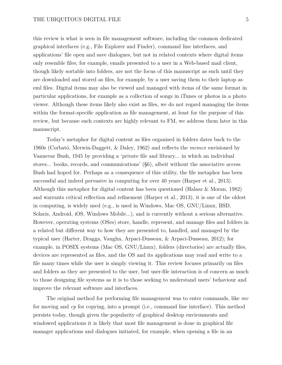this review is what is seen in file management software, including the common dedicated graphical interfaces (e.g., File Explorer and Finder), command line interfaces, and applications' file open and save dialogues, but not in related contexts where digital items only resemble files; for example, emails presented to a user in a Web-based mail client, though likely sortable into folders, are not the focus of this manuscript as such until they are downloaded and stored as files, for example, by a user saving them to their laptop as eml files. Digital items may also be viewed and managed with items of the same format in particular applications, for example as a collection of songs in iTunes or photos in a photo viewer. Although these items likely also exist as files, we do not regard managing the items within the format-specific application as file management, at least for the purpose of this review, but because such contexts are highly relevant to FM, we address them later in this manuscript.

Today's metaphor for digital content as files organised in folders dates back to the 1960s (Corbató, Merwin-Daggett, & Daley, 1962) and reflects the *memex* envisioned by Vannevar Bush, 1945 by providing a 'private file and library... in which an individual stores... books, records, and communications' (§6), albeit without the associative access Bush had hoped for. Perhaps as a consequence of this utility, the file metaphor has been successful and indeed pervasive in computing for over 40 years (Harper et al., 2013). Although this metaphor for digital content has been questioned (Halasz & Moran, 1982) and warrants critical reflection and refinement (Harper et al., 2013), it is one of the oldest in computing, is widely used (e.g., is used in Windows, Mac OS, GNU/Linux, BSD, Solaris, Android, iOS, Windows Mobile...), and is currently without a serious alternative. However, operating systems (OSes) store, handle, represent, and manage files and folders in a related but different way to how they are presented to, handled, and managed by the typical user (Harter, Dragga, Vaughn, Arpaci-Dusseau, & Arpaci-Dusseau, 2012); for example, in POSIX systems (Mac OS, GNU/Linux), folders (directories) are actually files, devices are represented as files, and the OS and its applications may read and write to a file many times while the user is simply viewing it. This review focuses primarily on files and folders as they are presented to the user, but user-file interaction is of concern as much to those designing file systems as it is to those seeking to understand users' behaviour and improve the relevant software and interfaces.

The original method for performing file management was to enter commands, like *mv* for moving and *cp* for copying, into a prompt (i.e., command line interface). This method persists today, though given the popularity of graphical desktop environments and windowed applications it is likely that most file management is done in graphical file manager applications and dialogues initiated, for example, when opening a file in an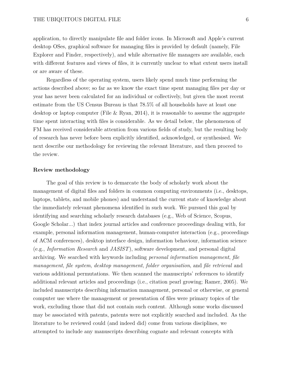application, to directly manipulate file and folder icons. In Microsoft and Apple's current desktop OSes, graphical software for managing files is provided by default (namely, File Explorer and Finder, respectively), and while alternative file managers are available, each with different features and views of files, it is currently unclear to what extent users install or are aware of these.

Regardless of the operating system, users likely spend much time performing the actions described above; so far as we know the exact time spent managing files per day or year has never been calculated for an individual or collectively, but given the most recent estimate from the US Census Bureau is that 78.5% of all households have at least one desktop or laptop computer (File  $\&$  Ryan, 2014), it is reasonable to assume the aggregate time spent interacting with files is considerable. As we detail below, the phenomenon of FM has received considerable attention from various fields of study, but the resulting body of research has never before been explicitly identified, acknowledged, or synthesised. We next describe our methodology for reviewing the relevant literature, and then proceed to the review.

## **Review methodology**

The goal of this review is to demarcate the body of scholarly work about the management of digital files and folders in common computing environments (i.e., desktops, laptops, tablets, and mobile phones) and understand the current state of knowledge about the immediately relevant phenomena identified in such work. We pursued this goal by identifying and searching scholarly research databases (e.g., Web of Science, Scopus, Google Scholar...) that index journal articles and conference proceedings dealing with, for example, personal information management, human-computer interaction (e.g., proceedings of ACM conferences), desktop interface design, information behaviour, information science (e.g., *Information Research* and *JASIST*), software development, and personal digital archiving. We searched with keywords including *personal information management*, *file management*, *file system*, *desktop management*, *folder organisation*, and *file retrieval* and various additional permutations. We then scanned the manuscripts' references to identify additional relevant articles and proceedings (i.e., citation pearl growing; Ramer, 2005). We included manuscripts describing information management, personal or otherwise, or general computer use where the management or presentation of files were primary topics of the work, excluding those that did not contain such content. Although some works discussed may be associated with patents, patents were not explicitly searched and included. As the literature to be reviewed could (and indeed did) come from various disciplines, we attempted to include any manuscripts describing cognate and relevant concepts with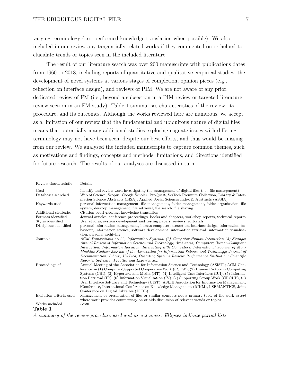varying terminology (i.e., performed knowledge translation when possible). We also included in our review any tangentially-related works if they commented on or helped to elucidate trends or topics seen in the included literature.

The result of our literature search was over 200 manuscripts with publications dates from 1960 to 2018, including reports of quantitative and qualitative empirical studies, the development of novel systems at various stages of completion, opinion pieces (e.g., reflection on interface design), and reviews of PIM. We are not aware of any prior, dedicated review of FM (i.e., beyond a subsection in a PIM review or targeted literature review section in an FM study). Table 1 summarises characteristics of the review, its procedure, and its outcomes. Although the works reviewed here are numerous, we accept as a limitation of our review that the fundamental and ubiquitous nature of digital files means that potentially many additional studies exploring cognate issues with differing terminology may not have been seen, despite our best efforts, and thus would be missing from our review. We analysed the included manuscripts to capture common themes, such as motivations and findings, concepts and methods, limitations, and directions identified for future research. The results of our analyses are discussed in turn.

| Review characteristic                   | Details                                                                                                                                                                                                                                                                                                                                                                                                                                                                                                                                                                                                                                                                                           |
|-----------------------------------------|---------------------------------------------------------------------------------------------------------------------------------------------------------------------------------------------------------------------------------------------------------------------------------------------------------------------------------------------------------------------------------------------------------------------------------------------------------------------------------------------------------------------------------------------------------------------------------------------------------------------------------------------------------------------------------------------------|
| Goal                                    | Identify and review work investigating the management of digital files (i.e., file management)                                                                                                                                                                                                                                                                                                                                                                                                                                                                                                                                                                                                    |
| Databases searched                      | Web of Science, Scopus, Google Scholar, ProQuest, SciTech Premium Collection, Library & Infor-<br>mation Science Abstracts (LISA), Applied Social Sciences Index & Abstracts (ASSIA)                                                                                                                                                                                                                                                                                                                                                                                                                                                                                                              |
| Keywords used                           | personal information management, file management, folder management, folder organisation, file<br>system, desktop management, file retrieval, file search, file sharing                                                                                                                                                                                                                                                                                                                                                                                                                                                                                                                           |
| Additional strategies                   | Citation pearl growing, knowledge translation                                                                                                                                                                                                                                                                                                                                                                                                                                                                                                                                                                                                                                                     |
| Formats identified<br>Styles identified | Journal articles, conference proceedings, books and chapters, workshop reports, technical reports<br>User studies, system development and testing papers, reviews, editorials                                                                                                                                                                                                                                                                                                                                                                                                                                                                                                                     |
| Disciplines identified                  | personal information management, human-computer interaction, interface design, information be-<br>haviour, information science, software development, information retrieval, information visualisa-<br>tion, personal archiving                                                                                                                                                                                                                                                                                                                                                                                                                                                                   |
| Journals                                | ACM Transactions on (1) Information Systems, (2) Computer-Human Interaction (3) Storage;<br>Annual Review of Information Science and Technology; Archivaria; Computer; Human-Computer<br>Interaction; Information Research; Interacting with Computers; International Journal of Man-<br>Machine Studies; Journal of the Association for Information Science and Technology; Journal of<br>Documentation; Library Hi-Tech; Operating Systems Review; Performance Evaluation; Scientific                                                                                                                                                                                                           |
| Proceedings of                          | Reports: Software: Practice and Experience<br>Annual Meeting of the Association for Information Science and Technology (ASIST); ACM Con-<br>ference on (1) Computer-Supported Cooperative Work (CSCW), (2) Human Factors in Computing<br>Systems (CHI), (3) Hypertext and Media (HT), (4) Intelligent User Interfaces (IUI), (5) Informa-<br>tion Retrieval $(IR)$ , $(6)$ Information Visualisation $(IV)$ , $(7)$ Supporting Group Work $(GROUP)$ , $(8)$<br>User Interface Software and Technology (UIST); ASLIB Association for Information Management,<br>iConference, International Conference on Knowledge Management (ICKM), I-SEMANTICS, Joint<br>Conference on Digital Libraries (JCDL) |
| Exclusion criteria used                 | Management or presentation of files or similar concepts not a primary topic of the work except<br>where work provides commentary on or aids discussion of relevant trends or topics                                                                                                                                                                                                                                                                                                                                                                                                                                                                                                               |
| Works included                          | $\sim$ 230                                                                                                                                                                                                                                                                                                                                                                                                                                                                                                                                                                                                                                                                                        |
| Table 1                                 |                                                                                                                                                                                                                                                                                                                                                                                                                                                                                                                                                                                                                                                                                                   |
|                                         |                                                                                                                                                                                                                                                                                                                                                                                                                                                                                                                                                                                                                                                                                                   |

*A summary of the review procedure used and its outcomes. Ellipses indicate partial lists.*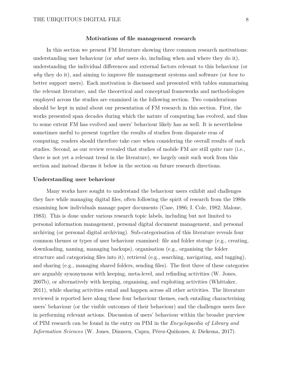### **Motivations of file management research**

In this section we present FM literature showing three common research motivations: understanding user behaviour (or *what* users do, including when and where they do it), understanding the individual differences and external factors relevant to this behaviour (or *why* they do it), and aiming to improve file management systems and software (or *how* to better support users). Each motivation is discussed and presented with tables summarising the relevant literature, and the theoretical and conceptual frameworks and methodologies employed across the studies are examined in the following section. Two considerations should be kept in mind about our presentation of FM research in this section. First, the works presented span decades during which the nature of computing has evolved, and thus to some extent FM has evolved and users' behaviour likely has as well. It is nevertheless sometimes useful to present together the results of studies from disparate eras of computing; readers should therefore take care when considering the overall results of such studies. Second, as our review revealed that studies of mobile FM are still quite rare (i.e., there is not yet a relevant trend in the literature), we largely omit such work from this section and instead discuss it below in the section on future research directions.

#### **Understanding user behaviour**

Many works have sought to understand the behaviour users exhibit and challenges they face while managing digital files, often following the spirit of research from the 1980s examining how individuals manage paper documents (Case, 1986; I. Cole, 1982; Malone, 1983). This is done under various research topic labels, including but not limited to personal information management, personal digital document management, and personal archiving (or personal digital archiving). Sub-categorisation of this literature reveals four common themes or types of user behaviour examined: file and folder storage (e.g., creating, downloading, naming, managing backups), organisation (e.g., organising the folder structure and categorising files into it), retrieval (e.g., searching, navigating, and tagging), and sharing (e.g., managing shared folders, sending files). The first three of these categories are arguably synonymous with keeping, meta-level, and refinding activities (W. Jones, 2007b), or alternatively with keeping, organising, and exploiting activities (Whittaker, 2011), while sharing activities entail and happen across all other activities. The literature reviewed is reported here along these four behaviour themes, each entailing characterising users' behaviour (or the visible outcomes of their behaviour) and the challenges users face in performing relevant actions. Discussion of users' behaviour within the broader purview of PIM research can be found in the entry on PIM in the *Encyclopaedia of Library and Information Sciences* (W. Jones, Dinneen, Capra, Pérez-Quiñones, & Diekema, 2017).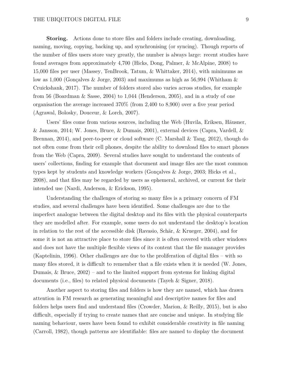**Storing.** Actions done to store files and folders include creating, downloading, naming, moving, copying, backing up, and synchronising (or syncing). Though reports of the number of files users store vary greatly, the number is always large: recent studies have found averages from approximately 4,700 (Hicks, Dong, Palmer, & McAlpine, 2008) to 15,000 files per user (Massey, TenBrook, Tatum, & Whittaker, 2014), with minimums as low as 1,000 (Gonçalves & Jorge, 2003) and maximums as high as 56,994 (Whitham & Cruickshank, 2017). The number of folders stored also varies across studies, for example from 56 (Boardman & Sasse, 2004) to 1,044 (Henderson, 2005), and in a study of one organisation the average increased 370% (from 2,400 to 8,900) over a five year period (Agrawal, Bolosky, Douceur, & Lorch, 2007).

Users' files come from various sources, including the Web (Huvila, Eriksen, Häusner, & Jansson, 2014; W. Jones, Bruce, & Dumais, 2001), external devices (Capra, Vardell, & Brennan, 2014), and peer-to-peer or cloud software (C. Marshall & Tang, 2012), though do not often come from their cell phones, despite the ability to download files to smart phones from the Web (Capra, 2009). Several studies have sought to understand the contents of users' collections, finding for example that document and image files are the most common types kept by students and knowledge workers (Gonçalves & Jorge, 2003; Hicks et al., 2008), and that files may be regarded by users as ephemeral, archived, or current for their intended use (Nardi, Anderson, & Erickson, 1995).

Understanding the challenges of storing so many files is a primary concern of FM studies, and several challenges have been identified. Some challenges are due to the imperfect analogue between the digital desktop and its files with the physical counterparts they are modelled after. For example, some users do not understand the desktop's location in relation to the rest of the accessible disk (Ravasio, Schär, & Krueger, 2004), and for some it is not an attractive place to store files since it is often covered with other windows and does not have the multiple flexible views of its content that the file manager provides (Kaptelinin, 1996). Other challenges are due to the proliferation of digital files – with so many files stored, it is difficult to remember that a file exists when it is needed (W. Jones, Dumais,  $\&$  Bruce,  $2002$ ) – and to the limited support from systems for linking digital documents (i.e., files) to related physical documents (Tayeh & Signer, 2018).

Another aspect to storing files and folders is how they are named, which has drawn attention in FM research as generating meaningful and descriptive names for files and folders helps users find and understand files (Crowder, Marion, & Reilly, 2015), but is also difficult, especially if trying to create names that are concise and unique. In studying file naming behaviour, users have been found to exhibit considerable creativity in file naming (Carroll, 1982), though patterns are identifiable: files are named to display the document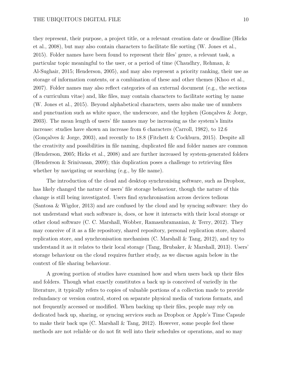they represent, their purpose, a project title, or a relevant creation date or deadline (Hicks et al., 2008), but may also contain characters to facilitate file sorting (W. Jones et al., 2015). Folder names have been found to represent their files' genre, a relevant task, a particular topic meaningful to the user, or a period of time (Chaudhry, Rehman, & Al-Sughair, 2015; Henderson, 2005), and may also represent a priority ranking, their use as storage of information contents, or a combination of these and other themes (Khoo et al., 2007). Folder names may also reflect categories of an external document (e.g., the sections of a curriculum vitae) and, like files, may contain characters to facilitate sorting by name (W. Jones et al., 2015). Beyond alphabetical characters, users also make use of numbers and punctuation such as white space, the underscore, and the hyphen (Gonçalves & Jorge, 2003). The mean length of users' file names may be increasing as the system's limits increase: studies have shown an increase from 6 characters (Carroll, 1982), to 12.6 (Gonçalves & Jorge, 2003), and recently to 18.8 (Fitchett & Cockburn, 2015). Despite all the creativity and possibilities in file naming, duplicated file and folder names are common (Henderson, 2005; Hicks et al., 2008) and are further increased by system-generated folders (Henderson & Srinivasan, 2009); this duplication poses a challenge to retrieving files whether by navigating or searching (e.g., by file name).

The introduction of the cloud and desktop synchronising software, such as Dropbox, has likely changed the nature of users' file storage behaviour, though the nature of this change is still being investigated. Users find synchronisation across devices tedious (Santosa & Wigdor, 2013) and are confused by the cloud and by syncing software: they do not understand what such software is, does, or how it interacts with their local storage or other cloud software (C. C. Marshall, Wobber, Ramasubramanian, & Terry, 2012). They may conceive of it as a file repository, shared repository, personal replication store, shared replication store, and synchronisation mechanism (C. Marshall  $\&$  Tang, 2012), and try to understand it as it relates to their local storage (Tang, Brubaker, & Marshall, 2013). Users' storage behaviour on the cloud requires further study, as we discuss again below in the context of file sharing behaviour.

A growing portion of studies have examined how and when users back up their files and folders. Though what exactly constitutes a back up is conceived of variedly in the literature, it typically refers to copies of valuable portions of a collection made to provide redundancy or version control, stored on separate physical media of various formats, and not frequently accessed or modified. When backing up their files, people may rely on dedicated back up, sharing, or syncing services such as Dropbox or Apple's Time Capsule to make their back ups  $(C.$  Marshall  $\&$  Tang, 2012). However, some people feel these methods are not reliable or do not fit well into their schedules or operations, and so may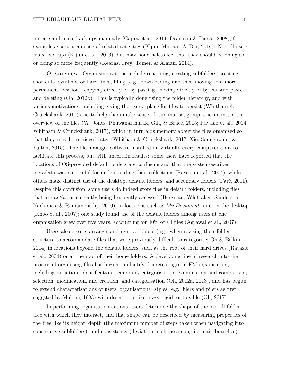initiate and make back ups manually (Capra et al., 2014; Dearman & Pierce, 2008), for example as a consequence of related activities (Kljun, Mariani, & Dix, 2016). Not all users make backups (Kljun et al., 2016), but may nonetheless feel that they should be doing so or doing so more frequently (Kearns, Frey, Tomer, & Alman, 2014).

**Organising.** Organising actions include renaming, creating subfolders, creating shortcuts, symlinks or hard links, filing (e.g., downloading and then moving to a more permanent location), copying directly or by pasting, moving directly or by cut and paste, and deleting (Oh, 2012b). This is typically done using the folder hierarchy, and with various motivations, including giving the user a place for files to persist (Whitham & Cruickshank, 2017) and to help them make sense of, summarise, group, and maintain an overview of the files (W. Jones, Phuwanartnurak, Gill, & Bruce, 2005; Ravasio et al., 2004; Whitham & Cruickshank, 2017), which in turn aids memory about the files organised so that they may be retrieved later (Whitham & Cruickshank, 2017; Xie, Sonnenwald, & Fulton, 2015). The file manager software installed on virtually every computer aims to facilitate this process, but with uncertain results: some users have reported that the locations of OS-provided default folders are confusing and that the system-ascribed metadata was not useful for understanding their collections (Ravasio et al., 2004), while others make distinct use of the desktop, default folders, and secondary folders (Paré, 2011). Despite this confusion, some users do indeed store files in default folders, including files that are *active* or currently being frequently accessed (Bergman, Whittaker, Sanderson, Nachmias, & Ramamoorthy, 2010), in locations such as *My Documents* and on the desktop (Khoo et al., 2007); one study found use of the default folders among users at one organisation grew over five years, accounting for 40% of all files (Agrawal et al., 2007).

Users also create, arrange, and remove folders (e.g., when revising their folder structure to accommodate files that were previously difficult to categorise; Oh & Belkin, 2014) in locations beyond the default folders, such as the root of their hard drives (Ravasio et al., 2004) or at the root of their home folders. A developing line of research into the process of organising files has begun to identify discrete stages in FM organisation, including initiation; identification; temporary categorisation; examination and comparison; selection, modification, and creation; and categorisation (Oh, 2012a, 2013), and has begun to extend characterisations of users' organisational styles (e.g., filers and pilers as first suggsted by Malone, 1983) with descriptors like fuzzy, rigid, or flexible (Oh, 2017).

In performing organisation actions, users determine the shape of the overall folder tree with which they interact, and that shape can be described by measuring properties of the tree like its height, depth (the maximum number of steps taken when navigating into consecutive subfolders), and consistency (deviation in shape among its main branches).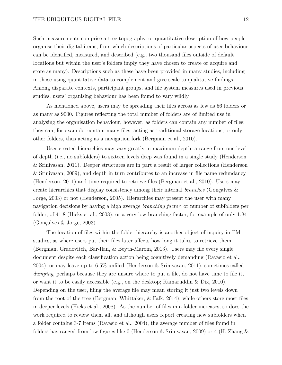Such measurements comprise a tree topography, or quantitative description of how people organise their digital items, from which descriptions of particular aspects of user behaviour can be identified, measured, and described (e.g., two thousand files outside of default locations but within the user's folders imply they have chosen to create or acquire and store as many). Descriptions such as these have been provided in many studies, including in those using quantitative data to complement and give scale to qualitative findings. Among disparate contexts, participant groups, and file system measures used in previous studies, users' organising behaviour has been found to vary wildly.

As mentioned above, users may be spreading their files across as few as 56 folders or as many as 9000. Figures reflecting the total number of folders are of limited use in analysing the organisation behaviour, however, as folders can contain any number of files; they can, for example, contain many files, acting as traditional storage locations, or only other folders, thus acting as a navigation fork (Bergman et al., 2010).

User-created hierarchies may vary greatly in maximum depth; a range from one level of depth (i.e., no subfolders) to sixteen levels deep was found in a single study (Henderson & Srinivasan, 2011). Deeper structures are in part a result of larger collections (Henderson & Srinivasan, 2009), and depth in turn contributes to an increase in file name redundancy (Henderson, 2011) and time required to retrieve files (Bergman et al., 2010). Users may create hierarchies that display consistency among their internal *branches* (Gonçalves & Jorge, 2003) or not (Henderson, 2005). Hierarchies may present the user with many navigation decisions by having a high average *branching factor*, or number of subfolders per folder, of 41.8 (Hicks et al., 2008), or a very low branching factor, for example of only 1.84 (Gonçalves & Jorge, 2003).

The location of files within the folder hierarchy is another object of inquiry in FM studies, as where users put their files later affects how long it takes to retrieve them (Bergman, Gradovitch, Bar-Ilan, & Beyth-Marom, 2013). Users may file every single document despite each classification action being cognitively demanding (Ravasio et al., 2004), or may leave up to 6.5% unfiled (Henderson & Srinivasan, 2011), sometimes called *dumping*, perhaps because they are unsure where to put a file, do not have time to file it, or want it to be easily accessible (e.g., on the desktop; Kamaruddin  $\&$  Dix, 2010). Depending on the user, filing the average file may mean storing it just two levels down from the root of the tree (Bergman, Whittaker,  $\&$  Falk, 2014), while others store most files in deeper levels (Hicks et al., 2008). As the number of files in a folder increases, so does the work required to review them all, and although users report creating new subfolders when a folder contains 3-7 items (Ravasio et al., 2004), the average number of files found in folders has ranged from low figures like 0 (Henderson & Srinivasan, 2009) or 4 (H. Zhang &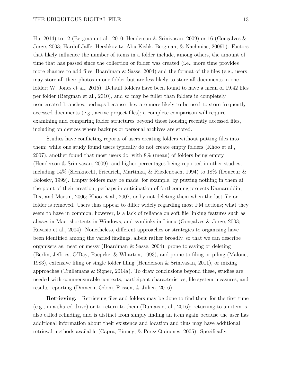Hu, 2014) to 12 (Bergman et al., 2010; Henderson & Srinivasan, 2009) or 16 (Gonçalves & Jorge, 2003; Hardof-Jaffe, Hershkovitz, Abu-Kishk, Bergman, & Nachmias, 2009b). Factors that likely influence the number of items in a folder include, among others, the amount of time that has passed since the collection or folder was created (i.e., more time provides more chances to add files; Boardman & Sasse, 2004) and the format of the files (e.g., users may store all their photos in one folder but are less likely to store all documents in one folder; W. Jones et al., 2015). Default folders have been found to have a mean of 19.42 files per folder (Bergman et al., 2010), and so may be fuller than folders in completely user-created branches, perhaps because they are more likely to be used to store frequently accessed documents (e.g., active project files); a complete comparison will require examining and comparing folder structures beyond those housing recently accessed files, including on devices where backups or personal archives are stored.

Studies have conflicting reports of users creating folders without putting files into them: while one study found users typically do not create empty folders (Khoo et al., 2007), another found that most users do, with 8% (mean) of folders being empty (Henderson & Srinivasan, 2009), and higher percentages being reported in other studies, including 14% (Sienknecht, Friedrich, Martinka, & Friedenbach, 1994) to 18% (Douceur & Bolosky, 1999). Empty folders may be made, for example, by putting nothing in them at the point of their creation, perhaps in anticipation of forthcoming projects Kamaruddin, Dix, and Martin, 2006; Khoo et al., 2007, or by not deleting them when the last file or folder is removed. Users thus appear to differ widely regarding most FM actions; what they seem to have in common, however, is a lack of reliance on soft file linking features such as aliases in Mac, shortcuts in Windows, and symlinks in Linux (Gonçalves & Jorge, 2003; Ravasio et al., 2004). Nonetheless, different approaches or strategies to organising have been identified among the varied findings, albeit rather broadly, so that we can describe organisers as: neat or messy (Boardman & Sasse, 2004), prone to saving or deleting (Berlin, Jeffries, O'Day, Paepcke, & Wharton, 1993), and prone to filing or piling (Malone, 1983), extensive filing or single folder filing (Henderson & Srinivasan, 2011), or mixing approaches (Trullemans & Signer, 2014a). To draw conclusions beyond these, studies are needed with commensurable contexts, participant characteristics, file system measures, and results reporting (Dinneen, Odoni, Frissen, & Julien, 2016).

**Retrieving.** Retrieving files and folders may be done to find them for the first time (e.g., in a shared drive) or to return to them (Dumais et al., 2016); returning to an item is also called refinding, and is distinct from simply finding an item again because the user has additional information about their existence and location and thus may have additional retrieval methods available (Capra, Pinney, & Perez-Quinones, 2005). Specifically,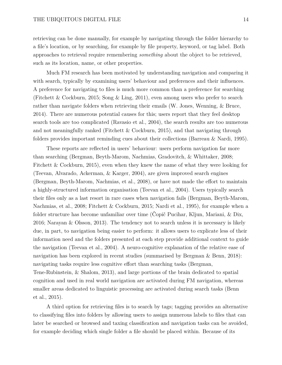retrieving can be done manually, for example by navigating through the folder hierarchy to a file's location, or by searching, for example by file property, keyword, or tag label. Both approaches to retrieval require remembering *something* about the object to be retrieved, such as its location, name, or other properties.

Much FM research has been motivated by understanding navigation and comparing it with search, typically by examining users' behaviour and preferences and their influences. A preference for navigating to files is much more common than a preference for searching (Fitchett & Cockburn, 2015; Song & Ling, 2011), even among users who prefer to search rather than navigate folders when retrieving their emails (W. Jones, Wenning, & Bruce, 2014). There are numerous potential causes for this; users report that they feel desktop search tools are too complicated (Ravasio et al., 2004), the search results are too numerous and not meaningfully ranked (Fitchett  $&$  Cockburn, 2015), and that navigating through folders provides important reminding cues about their collections (Barreau & Nardi, 1995).

These reports are reflected in users' behaviour: users perform navigation far more than searching (Bergman, Beyth-Marom, Nachmias, Gradovitch, & Whittaker, 2008; Fitchett & Cockburn, 2015), even when they knew the name of what they were looking for (Teevan, Alvarado, Ackerman, & Karger, 2004), are given improved search engines (Bergman, Beyth-Marom, Nachmias, et al., 2008), or have not made the effort to maintain a highly-structured information organisation (Teevan et al., 2004). Users typically search their files only as a last resort in rare cases when navigation fails (Bergman, Beyth-Marom, Nachmias, et al., 2008; Fitchett & Cockburn, 2015; Nardi et al., 1995), for example when a folder structure has become unfamiliar over time (Čopič Pucihar, Kljun, Mariani, & Dix, 2016; Narayan & Olsson, 2013). The tendency not to search unless it is necessary is likely due, in part, to navigation being easier to perform: it allows users to explicate less of their information need and the folders presented at each step provide additional context to guide the navigation (Teevan et al., 2004). A neuro-cognitive explanation of the relative ease of navigation has been explored in recent studies (summarised by Bergman & Benn, 2018): navigating tasks require less cognitive effort than searching tasks (Bergman, Tene-Rubinstein, & Shalom, 2013), and large portions of the brain dedicated to spatial cognition and used in real world navigation are activated during FM navigation, whereas smaller areas dedicated to linguistic processing are activated during search tasks (Benn et al., 2015).

A third option for retrieving files is to search by tags; tagging provides an alternative to classifying files into folders by allowing users to assign numerous labels to files that can later be searched or browsed and taxing classification and navigation tasks can be avoided, for example deciding which single folder a file should be placed within. Because of its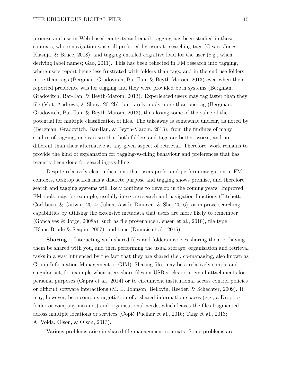promise and use in Web-based contexts and email, tagging has been studied in those contexts, where navigation was still preferred by users to searching tags (Civan, Jones, Klasnja, & Bruce, 2008), and tagging entailed cognitive load for the user (e.g., when deriving label names; Gao, 2011). This has been reflected in FM research into tagging, where users report being less frustrated with folders than tags, and in the end use folders more than tags (Bergman, Gradovitch, Bar-Ilan, & Beyth-Marom, 2013) even when their reported preference was for tagging and they were provided both systems (Bergman, Gradovitch, Bar-Ilan, & Beyth-Marom, 2013). Experienced users may tag faster than they file (Voit, Andrews, & Slany, 2012b), but rarely apply more than one tag (Bergman, Gradovitch, Bar-Ilan, & Beyth-Marom, 2013), thus losing some of the value of the potential for multiple classification of files. The takeaway is somewhat unclear, as noted by (Bergman, Gradovitch, Bar-Ilan, & Beyth-Marom, 2013): from the findings of many studies of tagging, one can see that both folders and tags are better, worse, and no different than their alternative at any given aspect of retrieval. Therefore, work remains to provide the kind of explanation for tagging-vs-filing behaviour and preferences that has recently been done for searching-vs-filing.

Despite relatively clear indications that users prefer and perform navigation in FM contexts, desktop search has a discrete purpose and tagging shows promise, and therefore search and tagging systems will likely continue to develop in the coming years. Improved FM tools may, for example, usefully integrate search and navigation functions (Fitchett, Cockburn, & Gutwin, 2014; Julien, Asadi, Dinneen, & Shu, 2016), or improve searching capabilities by utilising the extensive metadata that users are more likely to remember (Gonçalves & Jorge, 2008a), such as file provenance (Jensen et al., 2010), file type (Blanc-Brude & Scapin, 2007), and time (Dumais et al., 2016).

**Sharing.** Interacting with shared files and folders involves sharing them or having them be shared with you, and then performing the usual storage, organisation and retrieval tasks in a way influenced by the fact that they are shared (i.e., co-managing, also known as Group Information Management or GIM). Sharing files may be a relatively simple and singular act, for example when users share files on USB sticks or in email attachments for personal purposes (Capra et al., 2014) or to circumvent institutional access control policies or difficult software interactions (M. L. Johnson, Bellovin, Reeder, & Schechter, 2009). It may, however, be a complex negotiation of a shared information spaces (e.g., a Dropbox folder or company intranet) and organisational needs, which leaves the files fragmented across multiple locations or services (Čopič Pucihar et al., 2016; Tang et al., 2013; A. Voida, Olson, & Olson, 2013).

Various problems arise in shared file management contexts. Some problems are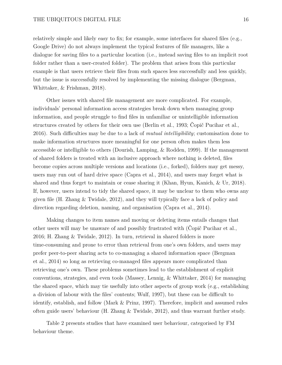relatively simple and likely easy to fix; for example, some interfaces for shared files (e.g., Google Drive) do not always implement the typical features of file managers, like a dialogue for saving files to a particular location (i.e., instead saving files to an implicit root folder rather than a user-created folder). The problem that arises from this particular example is that users retrieve their files from such spaces less successfully and less quickly, but the issue is successfully resolved by implementing the missing dialogue (Bergman, Whittaker, & Frishman, 2018).

Other issues with shared file management are more complicated. For example, individuals' personal information access strategies break down when managing group information, and people struggle to find files in unfamiliar or unintelligible information structures created by others for their own use (Berlin et al., 1993; Čopič Pucihar et al., 2016). Such difficulties may be due to a lack of *mutual intelligibility*; customisation done to make information structures more meaningful for one person often makes them less accessible or intelligible to others (Dourish, Lamping, & Rodden, 1999). If the management of shared folders is treated with an inclusive approach where nothing is deleted, files become copies across multiple versions and locations (i.e., forked), folders may get messy, users may run out of hard drive space (Capra et al., 2014), and users may forget what is shared and thus forget to maintain or cease sharing it (Khan, Hyun, Kanich, & Ur, 2018). If, however, users intend to tidy the shared space, it may be unclear to them who owns any given file (H. Zhang & Twidale, 2012), and they will typically face a lack of policy and direction regarding deletion, naming, and organisation (Capra et al., 2014).

Making changes to item names and moving or deleting items entails changes that other users will may be unaware of and possibly frustrated with (Čopič Pucihar et al., 2016; H. Zhang & Twidale, 2012). In turn, retrieval in shared folders is more time-consuming and prone to error than retrieval from one's own folders, and users may prefer peer-to-peer sharing acts to co-managing a shared information space (Bergman et al., 2014) so long as retrieving co-managed files appears more complicated than retrieving one's own. These problems sometimes lead to the establishment of explicit conventions, strategies, and even tools (Massey, Lennig, & Whittaker, 2014) for managing the shared space, which may tie usefully into other aspects of group work (e.g., establishing a division of labour with the files' contents; Wulf, 1997), but these can be difficult to identify, establish, and follow (Mark & Prinz, 1997). Therefore, implicit and assumed rules often guide users' behaviour (H. Zhang & Twidale, 2012), and thus warrant further study.

Table 2 presents studies that have examined user behaviour, categorised by FM behaviour theme.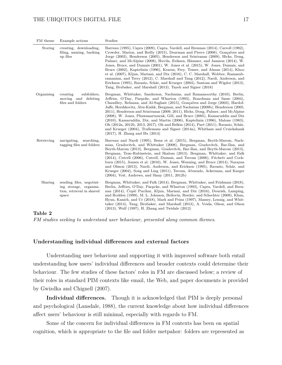## THE UBIQUITOUS DIGITAL FILE 17

| FM theme           | Example actions                                                                          | Studies                                                                                                                                                                                                                                                                                                                                                                                                                                                                                                                                                                                                                                                                                                                                                                                                                      |
|--------------------|------------------------------------------------------------------------------------------|------------------------------------------------------------------------------------------------------------------------------------------------------------------------------------------------------------------------------------------------------------------------------------------------------------------------------------------------------------------------------------------------------------------------------------------------------------------------------------------------------------------------------------------------------------------------------------------------------------------------------------------------------------------------------------------------------------------------------------------------------------------------------------------------------------------------------|
| Storing            | creating, downloading,<br>filing, naming, backing<br>up files                            | Barreau (1995), Capra (2009), Capra, Vardell, and Brennan (2014), Carroll (1982),<br>Crowder, Marion, and Reilly (2015), Dearman and Pierce (2008), Gonçalves and<br>Jorge (2003), Henderson (2005), Henderson and Srinivasan (2009), Hicks, Dong,<br>Palmer, and McAlpine (2008), Huvila, Eriksen, Häusner, and Jansson (2014), W.<br>Jones, Bruce, and Dumais (2001), W. Jones et al. (2015), W. Jones, Dumais, and<br>Bruce (2002), Kaptelinin (1996), Kearns, Frey, Tomer, and Alman (2014), Khoo<br>et al. (2007), Kljun, Mariani, and Dix (2016), C. C. Marshall, Wobber, Ramasub-<br>ramanian, and Terry (2012), C. Marshall and Tang (2012), Nardi, Anderson, and<br>Erickson (1995), Ravasio, Schär, and Krueger (2004), Santosa and Wigdor (2013),<br>Tang, Brubaker, and Marshall (2013), Tayeh and Signer (2018) |
| Organising         | creating<br>subfolders,<br>moving and deleting<br>files and folders                      | Bergman, Whittaker, Sanderson, Nachmias, and Ramamoorthy (2010), Berlin,<br>Jeffries, O'Day, Paepcke, and Wharton (1993), Boardman and Sasse (2004),<br>Chaudhry, Rehman, and Al-Sughair (2015), Goncalves and Jorge (2003), Hardof-<br>Jaffe, Hershkovitz, Abu-Kishk, Bergman, and Nachmias (2009b), Henderson (2005,<br>2011), Henderson and Srinivasan (2009, 2011), Hicks, Dong, Palmer, and McAlpine<br>(2008), W. Jones, Phuwanartnurak, Gill, and Bruce (2005), Kamaruddin and Dix<br>(2010), Kamaruddin, Dix, and Martin (2006), Kaptelinin (1996), Malone (1983),<br>Oh (2012a, 2012b, 2013, 2017), Oh and Belkin (2014), Paré (2011), Ravasio, Schär,<br>and Krueger (2004), Trullemans and Signer (2014a), Whitham and Cruickshank<br>$(2017)$ , H. Zhang and Hu $(2014)$                                         |
| Retrieving         | searching,<br>navigating,<br>tagging files and folders                                   | Barreau and Nardi (1995), Benn et al. (2015), Bergman, Beyth-Marom, Nach-<br>mias, Gradovitch, and Whittaker (2008), Bergman, Gradovitch, Bar-Ilan, and<br>Beyth-Marom (2013), Bergman, Gradovitch, Bar-Ilan, and Beyth-Marom (2013),<br>Bergman, Tene-Rubinstein, and Shalom (2013), Bergman, Whittaker, and Falk<br>(2014), Cutrell (2006), Cutrell, Dumais, and Teevan (2006), Fitchett and Cock-<br>burn $(2015)$ , Jensen et al. $(2010)$ , W. Jones, Wenning, and Bruce $(2014)$ , Narayan<br>and Olsson (2013), Nardi, Anderson, and Erickson (1995), Ravasio, Schär, and<br>Krueger (2004), Song and Ling (2011), Teevan, Alvarado, Ackerman, and Karger<br>$(2004)$ , Voit, Andrews, and Slany $(2011, 2012b)$                                                                                                      |
| Sharing<br>Pohla 9 | sending files, negotiat-<br>ing storage, organisa-<br>tion, retrieval in shared<br>space | Bergman, Whittaker, and Falk (2014), Bergman, Whittaker, and Frishman (2018),<br>Berlin, Jeffries, O'Day, Paepcke, and Wharton (1993), Capra, Vardell, and Bren-<br>nan (2014), Čopič Pucihar, Kljun, Mariani, and Dix (2016), Dourish, Lamping,<br>and Rodden (1999), M. L. Johnson, Bellovin, Reeder, and Schechter (2009), Khan,<br>Hyun, Kanich, and Ur (2018), Mark and Prinz (1997), Massey, Lennig, and Whit-<br>taker (2014), Tang, Brubaker, and Marshall (2013), A. Voida, Olson, and Olson<br>$(2013)$ , Wulf $(1997)$ , H. Zhang and Twidale $(2012)$                                                                                                                                                                                                                                                            |

**Table 2**

*FM studies seeking to understand user behaviour, presented along common themes.*

## **Understanding individual differences and external factors**

Understanding user behaviour and supporting it with improved software both entail understanding how users' individual differences and broader contexts could determine their behaviour. The few studies of these factors' roles in FM are discussed below; a review of their roles in standard PIM contexts like email, the Web, and paper documents is provided by Gwizdka and Chignell (2007).

**Individual differences.** Though it is acknowledged that PIM is deeply personal and psychological (Lansdale, 1988), the current knowledge about how individual differences affect users' behaviour is still minimal, especially with regards to FM.

Some of the concern for individual differences in FM contexts has been on spatial cognition, which is appropriate to the file and folder metpahor: folders are represented as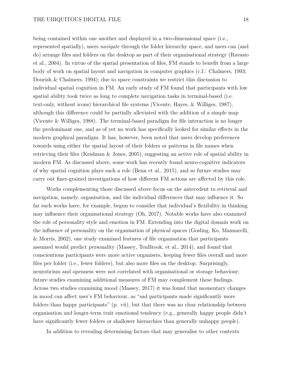being contained within one another and displayed in a two-dimensional space (i.e., represented spatially), users *navigate* through the folder hierarchy space, and users can (and do) arrange files and folders on the desktop as part of their organisational strategy (Ravasio et al., 2004). In virtue of the spatial presentation of files, FM stands to benefit from a large body of work on spatial layout and navigation in computer graphics (c.f.: Chalmers, 1993; Dourish & Chalmers, 1994); due to space constraints we restrict this discussion to individual spatial cognition in FM. An early study of FM found that participants with low spatial ability took twice as long to complete navigation tasks in terminal-based (i.e. text-only, without icons) hierarchical file systems (Vicente, Hayes, & Williges, 1987), although this difference could be partially alleviated with the addition of a simple map (Vicente & Williges, 1988). The terminal-based paradigm for file interaction is no longer the predominant one, and as of yet no work has specifically looked for similar effects in the modern graphical paradigm. It has, however, been noted that users develop preferences towards using either the spatial layout of their folders or patterns in file names when retrieving their files (Krishnan & Jones, 2005), suggesting an active role of spatial ability in modern FM. As discussed above, some work has recently found neuro-cognitive indicators of why spatial cognition plays such a role (Benn et al., 2015), and so future studies may carry out finer-grained investigations of how different FM actions are affected by this role.

Works complementing those discussed above focus on the antecedent to retrieval and navigation, namely, organisation, and the individual differences that may influence it. So far such works have, for example, begun to consider that individual's flexibility in thinking may influence their organisational strategy (Oh, 2017). Notable works have also examined the role of personality style and emotion in FM. Extending into the digital domain work on the influence of personality on the organisation of physical spaces (Gosling, Ko, Mannarelli, & Morris, 2002), one study examined features of file organisation that participants assumed would predict personality (Massey, TenBrook, et al., 2014), and found that conscientious participants were more active organisers, keeping fewer files overall and more files per folder (i.e., fewer folders), but also more files on the desktop. Surprisingly, neuroticism and openness were not correlated with organisational or storage behaviour; future studies examining additional measures of FM may complement these findings. Across two studies examining mood (Massey, 2017) it was found that momentary changes in mood can affect user's FM behaviour, as "sad participants made significantly more folders than happy participants" (p. vii), but that there was no clear relationship between organisation and longer-term trait emotional tendency (e.g., generally happy people didn't have significantly fewer folders or shallower hierarchies than generally unhappy people).

In addition to revealing determining factors that may generalise to other contexts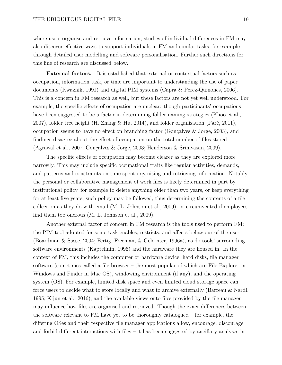where users organise and retrieve information, studies of individual differences in FM may also discover effective ways to support individuals in FM and similar tasks, for example through detailed user modelling and software personalisation. Further such directions for this line of research are discussed below.

**External factors.** It is established that external or contextual factors such as occupation, information task, or time are important to understanding the use of paper documents (Kwaznik, 1991) and digital PIM systems (Capra & Perez-Quinones, 2006). This is a concern in FM research as well, but these factors are not yet well understood. For example, the specific effects of occupation are unclear: though participants' occupations have been suggested to be a factor in determining folder naming strategies (Khoo et al., 2007), folder tree height (H. Zhang & Hu, 2014), and folder organisation (Paré, 2011), occupation seems to have no effect on branching factor (Gonçalves & Jorge, 2003), and findings disagree about the effect of occupation on the total number of files stored (Agrawal et al., 2007; Gonçalves & Jorge, 2003; Henderson & Srinivasan, 2009).

The specific effects of occupation may become clearer as they are explored more narrowly. This may include specific occupational traits like regular activities, demands, and patterns and constraints on time spent organising and retrieving information. Notably, the personal or collaborative management of work files is likely determined in part by institutional policy, for example to delete anything older than two years, or keep everything for at least five years; such policy may be followed, thus determining the contents of a file collection as they do with email (M. L. Johnson et al., 2009), or circumvented if employees find them too onerous (M. L. Johnson et al., 2009).

Another external factor of concern in FM research is the tools used to perform FM: the PIM tool adopted for some task enables, restricts, and affects behaviour of the user (Boardman & Sasse, 2004; Fertig, Freeman, & Gelernter, 1996a), as do tools' surrounding software environments (Kaptelinin, 1996) and the hardware they are housed in. In the context of FM, this includes the computer or hardware device, hard disks, file manager software (sometimes called a file browser – the most popular of which are File Explorer in Windows and Finder in Mac OS), windowing environment (if any), and the operating system (OS). For example, limited disk space and even limited cloud storage space can force users to decide what to store locally and what to archive externally (Barreau & Nardi, 1995; Kljun et al., 2016), and the available views onto files provided by the file manager may influence how files are organised and retrieved. Though the exact differences between the software relevant to FM have yet to be thoroughly catalogued – for example, the differing OSes and their respective file manager applications allow, encourage, discourage, and forbid different interactions with files – it has been suggested by ancillary analyses in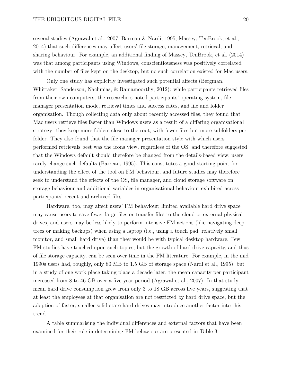several studies (Agrawal et al., 2007; Barreau & Nardi, 1995; Massey, TenBrook, et al., 2014) that such differences may affect users' file storage, management, retrieval, and sharing behaviour. For example, an additional finding of Massey, TenBrook, et al. (2014) was that among participants using Windows, conscientiousness was positively correlated with the number of files kept on the desktop, but no such correlation existed for Mac users.

Only one study has explicitly investigated such potential affects (Bergman, Whittaker, Sanderson, Nachmias, & Ramamoorthy, 2012): while participants retrieved files from their own computers, the researchers noted participants' operating system, file manager presentation mode, retrieval times and success rates, and file and folder organisation. Though collecting data only about recently accessed files, they found that Mac users retrieve files faster than Windows users as a result of a differing organisational strategy: they keep more folders close to the root, with fewer files but more subfolders per folder. They also found that the file manager presentation style with which users performed retrievals best was the icons view, regardless of the OS, and therefore suggested that the Windows default should therefore be changed from the details-based view; users rarely change such defaults (Barreau, 1995). This constitutes a good starting point for understanding the effect of the tool on FM behaviour, and future studies may therefore seek to understand the effects of the OS, file manager, and cloud storage software on storage behaviour and additional variables in organisational behaviour exhibited across participants' recent and archived files.

Hardware, too, may affect users' FM behaviour; limited available hard drive space may cause users to save fewer large files or transfer files to the cloud or external physical drives, and users may be less likely to perform intensive FM actions (like navigating deep trees or making backups) when using a laptop (i.e., using a touch pad, relatively small monitor, and small hard drive) than they would be with typical desktop hardware. Few FM studies have touched upon such topics, but the growth of hard drive capacity, and thus of file storage capacity, can be seen over time in the FM literature. For example, in the mid 1990s users had, roughly, only 80 MB to 1.5 GB of storage space (Nardi et al., 1995), but in a study of one work place taking place a decade later, the mean capacity per participant increased from 8 to 46 GB over a five year period (Agrawal et al., 2007). In that study mean hard drive consumption grew from only 3 to 18 GB across five years, suggesting that at least the employees at that organisation are not restricted by hard drive space, but the adoption of faster, smaller solid state hard drives may introduce another factor into this trend.

A table summarising the individual differences and external factors that have been examined for their role in determining FM behaviour are presented in Table 3.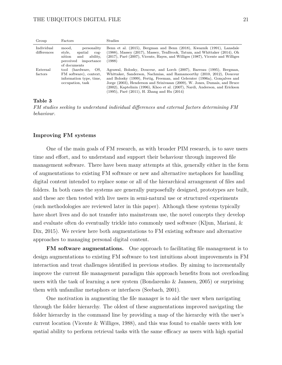| Group                     | Factors                                                                                                                  | Studies                                                                                                                                                                                                                                                                                                                                                                                                                                  |
|---------------------------|--------------------------------------------------------------------------------------------------------------------------|------------------------------------------------------------------------------------------------------------------------------------------------------------------------------------------------------------------------------------------------------------------------------------------------------------------------------------------------------------------------------------------------------------------------------------------|
| Individual<br>differences | personality<br>mood.<br>style,<br>spatial<br>$COP-$<br>ability,<br>nition<br>and<br>perceived importance<br>of documents | Benn et al. (2015), Bergman and Benn (2018), Kwaznik (1991), Lansdale<br>$(1988)$ , Massey $(2017)$ , Massey, TenBrook, Tatum, and Whittaker $(2014)$ , Oh<br>(2017), Paré (2007), Vicente, Hayes, and Williges (1987), Vicente and Williges<br>(1988)                                                                                                                                                                                   |
| External<br>factors       | tool (hardware, OS.<br>FM software), context,<br>information type, time,<br>occupation, task                             | Agrawal, Bolosky, Douceur, and Lorch (2007), Barreau (1995), Bergman,<br>Whittaker, Sanderson, Nachmias, and Ramamoorthy (2010, 2012), Douceur<br>and Bolosky (1999), Fertig, Freeman, and Gelernter (1996a), Gonçalves and<br>Jorge (2003), Henderson and Srinivasan (2009), W. Jones, Dumais, and Bruce<br>(2002), Kaptelinin (1996), Khoo et al. (2007), Nardi, Anderson, and Erickson<br>(1995), Paré (2011), H. Zhang and Hu (2014) |

#### **Table 3**

*FM studies seeking to understand individual differences and external factors determining FM behaviour.*

### **Improving FM systems**

One of the main goals of FM research, as with broader PIM research, is to save users time and effort, and to understand and support their behaviour through improved file management software. There have been many attempts at this, generally either in the form of augmentations to existing FM software or new and alternative metaphors for handling digital content intended to replace some or all of the hierarchical arrangement of files and folders. In both cases the systems are generally purposefully designed, prototypes are built, and these are then tested with live users in semi-natural use or structured experiments (such methodologies are reviewed later in this paper). Although these systems typically have short lives and do not transfer into mainstream use, the novel concepts they develop and evaluate often do eventually trickle into commonly used software (Kljun, Mariani, & Dix, 2015). We review here both augmentations to FM existing software and alternative approaches to managing personal digital content.

**FM software augmentations.** One approach to facilitating file management is to design augmentations to existing FM software to test intuitions about improvements in FM interaction and treat challenges identified in previous studies. By aiming to incrementally improve the current file management paradigm this approach benefits from not overloading users with the task of learning a new system (Bondarenko & Janssen, 2005) or surprising them with unfamiliar metaphors or interfaces (Seebach, 2001).

One motivation in augmenting the file manager is to aid the user when navigating through the folder hierarchy. The oldest of these augmentations improved navigating the folder hierarchy in the command line by providing a map of the hierarchy with the user's current location (Vicente & Williges, 1988), and this was found to enable users with low spatial ability to perform retrieval tasks with the same efficacy as users with high spatial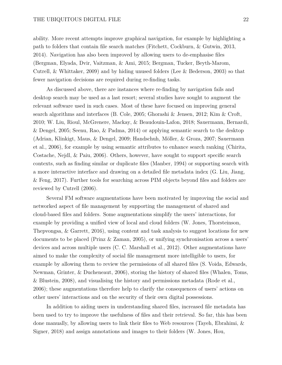ability. More recent attempts improve graphical navigation, for example by highlighting a path to folders that contain file search matches (Fitchett, Cockburn, & Gutwin, 2013, 2014). Navigation has also been improved by allowing users to de-emphasise files (Bergman, Elyada, Dvir, Vaitzman, & Ami, 2015; Bergman, Tucker, Beyth-Marom, Cutrell, & Whittaker, 2009) and by hiding unused folders (Lee & Bederson, 2003) so that fewer navigation decisions are required during re-finding tasks.

As discussed above, there are instances where re-finding by navigation fails and desktop search may be used as a last resort; several studies have sought to augment the relevant software used in such cases. Most of these have focused on improving general search algorithms and interfaces (B. Cole, 2005; Ghorashi & Jensen, 2012; Kim & Croft, 2010; W. Liu, Rioul, McGrenere, Mackay, & Beaudouin-Lafon, 2018; Sauermann, Bernardi, & Dengel, 2005; Seenu, Rao, & Padma, 2014) or applying semantic search to the desktop (Adrian, Klinkigt, Maus, & Dengel, 2009; Handschuh, Möller, & Groza, 2007; Sauermann et al., 2006), for example by using semantic attributes to enhance search ranking (Chirita, Costache, Nejdl, & Paiu, 2006). Others, however, have sought to support specific search contexts, such as finding similar or duplicate files (Manber, 1994) or supporting search with a more interactive interface and drawing on a detailed file metadata index (G. Liu, Jiang, & Feng, 2017). Further tools for searching across PIM objects beyond files and folders are reviewed by Cutrell (2006).

Several FM software augmentations have been motivated by improving the social and networked aspect of file management by supporting the management of shared and cloud-based files and folders. Some augmentations simplify the users' interactions, for example by providing a unified view of local and cloud folders (W. Jones, Thorsteinson, Thepvongsa, & Garrett, 2016), using content and task analysis to suggest locations for new documents to be placed (Prinz & Zaman, 2005), or unifying synchronisation across a users' devices and across multiple users (C. C. Marshall et al., 2012). Other augmentations have aimed to make the complexity of social file management more intelligible to users, for example by allowing them to review the permissions of all shared files (S. Voida, Edwards, Newman, Grinter, & Ducheneaut, 2006), storing the history of shared files (Whalen, Toms, & Blustein, 2008), and visualising the history and permissions metadata (Rode et al., 2006); these augmentations therefore help to clarify the consequences of users' actions on other users' interactions and on the security of their own digital possessions.

In addition to aiding users in understanding shared files, increased file metadata has been used to try to improve the usefulness of files and their retrieval. So far, this has been done manually, by allowing users to link their files to Web resources (Tayeh, Ebrahimi, & Signer, 2018) and assign annotations and images to their folders (W. Jones, Hou,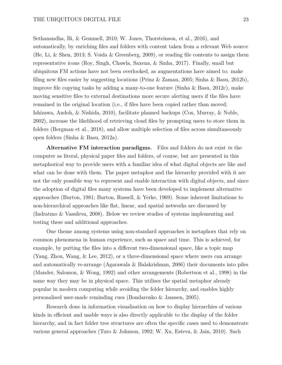Sethanandha, Bi, & Gemmell, 2010; W. Jones, Thorsteinson, et al., 2016), and automatically, by enriching files and folders with content taken from a relevant Web source (He, Li, & Shen, 2013; S. Voida & Greenberg, 2009), or reading file contents to assign them representative icons (Roy, Singh, Chawla, Saxena, & Sinha, 2017). Finally, small but ubiquitous FM actions have not been overlooked, as augmentations have aimed to: make filing new files easier by suggesting locations (Prinz & Zaman, 2005; Sinha & Basu, 2012b), improve file copying tasks by adding a many-to-one feature (Sinha & Basu, 2012c), make moving sensitive files to external destinations more secure alerting users if the files have remained in the original location (i.e., if files have been copied rather than moved; Ishizawa, Andoh, & Nishida, 2010), facilitate planned backups (Cox, Murray, & Noble, 2002), increase the likelihood of retrieving cloud files by prompting users to store them in folders (Bergman et al., 2018), and allow multiple selection of files across simultaneously open folders (Sinha & Basu, 2012a).

**Alternative FM interaction paradigms.** Files and folders do not exist *in* the computer as literal, physical paper files and folders, of course, but are presented in this metaphorical way to provide users with a familiar idea of what digital objects are like and what can be done with them. The paper metaphor and the hierarchy provided with it are not the only possible way to represent and enable interaction with digital objects, and since the adoption of digital files many systems have been developed to implement alternative approaches (Burton, 1981; Burton, Russell, & Yerke, 1969). Some inherent limitations to non-hierarchical approaches like flat, linear, and spatial networks are discussed by (Indratmo & Vassileva, 2008). Below we review studies of systems implementing and testing these and additional approaches.

One theme among systems using non-standard approaches is metaphors that rely on common phenomena in human experience, such as space and time. This is achieved, for example, by putting the files into a different two-dimensional space, like a topic map (Yang, Zhou, Wang, & Lee, 2012), or a three-dimensional space where users can arrange and automatically re-arrange (Agarawala & Balakrishnan, 2006) their documents into piles (Mander, Salomon, & Wong, 1992) and other arrangements (Robertson et al., 1998) in the same way they may be in physical space. This utilises the spatial metaphor already popular in modern computing while avoiding the folder hierarchy, and enables highly personalised user-made reminding cues (Bondarenko & Janssen, 2005).

Research done in information visualisation on how to display hierarchies of various kinds in efficient and usable ways is also directly applicable to the display of the folder hierarchy, and in fact folder tree structures are often the specific cases used to demonstrate various general approaches (Turo & Johnson, 1992; W. Xu, Esteva, & Jain, 2010). Such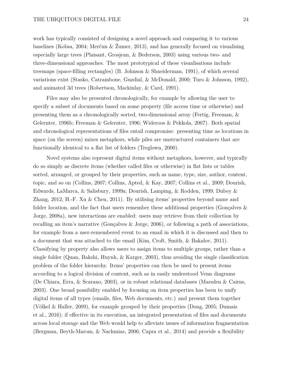work has typically consisted of designing a novel approach and comparing it to various baselines (Kobsa, 2004; Merčun & Žumer, 2013), and has generally focused on visualising especially large trees (Plaisant, Grosjean, & Bederson, 2003) using various two- and three-dimensional approaches. The most prototypical of these visualisations include treemaps (space-filling rectangles) (B. Johnson & Shneiderman, 1991), of which several variations exist (Stasko, Catrambone, Guzdial, & McDonald, 2000; Turo & Johnson, 1992), and animated 3d trees (Robertson, Mackinlay, & Card, 1991).

Files may also be presented chronologically, for example by allowing the user to specify a subset of documents based on some property (file access time or otherwise) and presenting them as a chronologically sorted, two-dimensional array (Fertig, Freeman, & Gelernter, 1996b; Freeman & Gelernter, 1996; Wideroos & Pekkola, 2007). Both spatial and chronological representations of files entail compromise: presenting time as locations in space (on the screen) mixes metaphors, while piles are unstructured containers that are functionally identical to a flat list of folders (Treglown, 2000).

Novel systems also represent digital items without metaphors, however, and typically do so simply as discrete items (whether called files or otherwise) in flat lists or tables sorted, arranged, or grouped by their properties, such as name, type, size, author, content, topic, and so on (Collins, 2007; Collins, Apted, & Kay, 2007; Collins et al., 2009; Dourish, Edwards, LaMarca, & Salisbury, 1999a; Dourish, Lamping, & Rodden, 1999; Dubey & Zhang, 2012; H.-F. Xu & Chen, 2011). By utilising items' properties beyond name and folder location, and the fact that users remember these additional properties (Gonçalves  $\&$ Jorge, 2008a), new interactions are enabled: users may retrieve from their collection by recalling an item's narrative (Gonçalves & Jorge, 2006), or following a path of associations, for example from a user-remembered event to an email in which it is discussed and then to a document that was attached to the email (Kim, Croft, Smith, & Bakalov, 2011). Classifying by property also allows users to assign items to multiple groups, rather than a single folder (Quan, Bakshi, Huynh, & Karger, 2003), thus avoiding the single classification problem of the folder hierarchy. Items' properties can then be used to present items according to a logical division of content, such as in easily understood Venn diagrams (De Chiara, Erra, & Scarano, 2003), or in robust relational databases (Marsden & Cairns, 2003). One broad possibility enabled by focusing on item properties has been to unify digital items of all types (emails, files, Web documents, etc.) and present them together (Völkel & Haller, 2009), for example grouped by their properties (Dong, 2005; Dumais et al., 2016); if effective in its execution, an integrated presentation of files and documents across local storage and the Web would help to alleviate issues of information fragmentation (Bergman, Beyth-Marom, & Nachmias, 2006; Capra et al., 2014) and provide a flexibility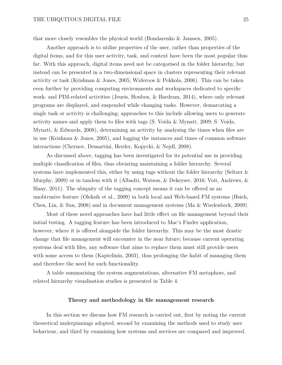that more closely resembles the physical world (Bondarenko & Janssen, 2005).

Another approach is to utilise properties of the user, rather than properties of the digital items, and for this user activity, task, and context have been the most popular thus far. With this approach, digital items need not be categorised in the folder hierarchy, but instead can be presented in a two-dimensional space in clusters representing their relevant activity or task (Krishnan & Jones, 2005; Wideroos & Pekkola, 2006). This can be taken even further by providing computing environments and workspaces dedicated to specific work- and PIM-related activities (Jeuris, Houben, & Bardram, 2014), where only relevant programs are displayed, and suspended while changing tasks. However, demarcating a single task or activity is challenging; approaches to this include allowing users to generate activity names and apply them to files with tags  $(S. Voda \& Mynatt, 2009; S. Voda,$ Mynatt, & Edwards, 2008), determining an activity by analysing the times when files are in use (Krishnan & Jones, 2005), and logging the instances and times of common software interactions (Chernov, Demartini, Herder, Kopycki, & Nejdl, 2008).

As discussed above, tagging has been investigated for its potential use in providing multiple classification of files, thus obviating maintaining a folder hierarchy. Several systems have implemented this, either by using tags without the folder hierarchy (Seltzer  $\&$ Murphy, 2009) or in tandem with it (Albadri, Watson, & Dekeyser, 2016; Voit, Andrews, & Slany, 2011). The ubiquity of the tagging concept means it can be offered as an unobtrusive feature (Oleksik et al., 2009) in both local and Web-based FM systems (Hsieh, Chen, Lin, & Sun, 2008) and in document management systems (Ma & Wiedenbeck, 2009).

Most of these novel approaches have had little effect on file management beyond their initial testing. A tagging feature has been introduced to Mac's Finder application, however, where it is offered alongside the folder hierarchy. This may be the most drastic change that file management will encounter in the near future; because current operating systems deal with files, any software that aims to replace them must still provide users with some access to them (Kaptelinin, 2003), thus prolonging the habit of managing them and therefore the need for such functionality.

A table summarising the system augmentations, alternative FM metaphors, and related hierarchy visualisation studies is presented in Table 4.

## **Theory and methodology in file management research**

In this section we discuss how FM research is carried out, first by noting the current theoretical underpinnings adopted, second by examining the methods used to study user behaviour, and third by examining how systems and services are compared and improved.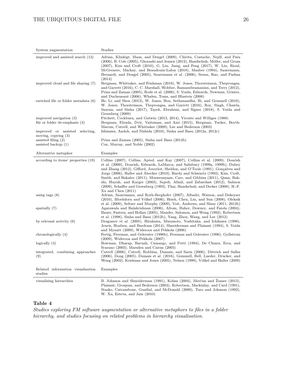| System augmentation                                                                            | Studies                                                                                                                                                                                                                                                                                                                                                                                                                                                                                                                                                                                                            |
|------------------------------------------------------------------------------------------------|--------------------------------------------------------------------------------------------------------------------------------------------------------------------------------------------------------------------------------------------------------------------------------------------------------------------------------------------------------------------------------------------------------------------------------------------------------------------------------------------------------------------------------------------------------------------------------------------------------------------|
| improved and assisted search (12)                                                              | Adrian, Klinkigt, Maus, and Dengel (2009), Chirita, Costache, Nejdl, and Paiu<br>(2006), B. Cole (2005), Ghorashi and Jensen (2012), Handschuh, Möller, and Groza<br>$(2007)$ , Kim and Croft $(2010)$ , G. Liu, Jiang, and Feng $(2017)$ , W. Liu, Rioul,<br>McGrenere, Mackay, and Beaudouin-Lafon (2018), Manber (1994), Sauermann,<br>Bernardi, and Dengel (2005), Sauermann et al. (2006), Seenu, Rao, and Padma<br>(2014)                                                                                                                                                                                    |
| improved cloud and file sharing (7)                                                            | Bergman, Whittaker, and Frishman (2018), W. Jones, Thorsteinson, Thepvongsa,<br>and Garrett (2016), C. C. Marshall, Wobber, Ramasubramanian, and Terry (2012),<br>Prinz and Zaman (2005), Rode et al. (2006), S. Voida, Edwards, Newman, Grinter,<br>and Ducheneaut (2006), Whalen, Toms, and Blustein (2008)                                                                                                                                                                                                                                                                                                      |
| enriched file or folder metadata (6)                                                           | He, Li, and Shen (2013), W. Jones, Hou, Sethanandha, Bi, and Gemmell (2010),<br>W. Jones, Thorsteinson, Thepvongsa, and Garrett (2016), Roy, Singh, Chawla,<br>Saxena, and Sinha (2017), Tayeh, Ebrahimi, and Signer (2018), S. Voida and<br>Greenberg (2009)                                                                                                                                                                                                                                                                                                                                                      |
| improved navigation (3)<br>file or folder de-emphasis $(3)$<br>improved or assisted selecting, | Fitchett, Cockburn, and Gutwin (2013, 2014), Vicente and Williges (1988)<br>Bergman, Elyada, Dvir, Vaitzman, and Ami (2015), Bergman, Tucker, Beyth-<br>Marom, Cutrell, and Whittaker (2009), Lee and Bederson (2003)<br>Ishizawa, Andoh, and Nishida (2010), Sinha and Basu (2012a, 2012c)                                                                                                                                                                                                                                                                                                                        |
| moving, copying $(3)$                                                                          |                                                                                                                                                                                                                                                                                                                                                                                                                                                                                                                                                                                                                    |
| assisted filing $(2)$                                                                          | Prinz and Zaman (2005), Sinha and Basu (2012b)                                                                                                                                                                                                                                                                                                                                                                                                                                                                                                                                                                     |
| assisted backup $(1)$                                                                          | Cox, Murray, and Noble (2002)                                                                                                                                                                                                                                                                                                                                                                                                                                                                                                                                                                                      |
| Alternative metaphor                                                                           | Examples                                                                                                                                                                                                                                                                                                                                                                                                                                                                                                                                                                                                           |
| according to items' properties (19)                                                            | Collins (2007), Collins, Apted, and Kay (2007), Collins et al. (2009), Dourish<br>et al. (2000), Dourish, Edwards, LaMarca, and Salisbury (1999a, 1999b), Dubey<br>and Zhang (2012), Gifford, Jouvelot, Sheldon, and O'Toole (1991), Gonçalves and<br>Jorge (2006), Haller and Abecker (2010), Hardy and Schwartz (1993), Kim, Croft,<br>Smith, and Bakalov (2011), Mosweunyane, Carr, and Gibbins (2011), Quan, Bak-<br>shi, Huynh, and Karger (2003), Sajedi, Afzali, and Zabardast (2012), Salmon<br>(2009), Schaffer and Greenberg (1993), Thai, Handschuh, and Decker (2008), H.-F.<br>$Xu$ and Chen $(2011)$ |
| using tags $(8)$                                                                               | Adrian, Sauermann, and Roth-Berghofer (2007), Albadri, Watson, and Dekeyser<br>(2016), Bloehdorn and Völkel (2006), Hsieh, Chen, Lin, and Sun (2008), Oleksik<br>et al. $(2009)$ , Seltzer and Murphy $(2009)$ , Voit, Andrews, and Slany $(2011, 2012b)$                                                                                                                                                                                                                                                                                                                                                          |
| spatially $(7)$                                                                                | Agarawala and Balakrishnan (2006), Altom, Buher, Downey, and Faiola (2004),<br>Bauer, Fastrez, and Hollan (2005), Mander, Salomon, and Wong (1992), Robertson<br>et al. $(1998)$ , Sinha and Basu $(2012b)$ , Yang, Zhou, Wang, and Lee $(2012)$                                                                                                                                                                                                                                                                                                                                                                   |
| by relevant activity $(6)$                                                                     | Dragunov et al. (2005), Hirakawa, Mizumoto, Yoshitaka, and Ichikawa (1998),<br>Jeuris, Houben, and Bardram (2014), Shneiderman and Plaisant (1994), S. Voida<br>and Mynatt (2009), Wideroos and Pekkola (2006)                                                                                                                                                                                                                                                                                                                                                                                                     |
| chronologically (4)                                                                            | Fertig, Freeman, and Gelernter (1996b), Freeman and Gelernter (1996), Gyllstrom<br>$(2009)$ , Wideroos and Pekkola $(2007)$                                                                                                                                                                                                                                                                                                                                                                                                                                                                                        |
| logically(3)                                                                                   | Bowman, Dharap, Baruah, Camargo, and Potti (1994), De Chiara, Erra, and                                                                                                                                                                                                                                                                                                                                                                                                                                                                                                                                            |
| integrated, combining approaches<br>(9)                                                        | Scarano (2003), Marsden and Cairns (2003)<br>Cutrell (2006), Cutrell, Robbins, Dumais, and Sarin (2006), Dittrich and Salles<br>$(2006)$ , Dong $(2005)$ , Dumais et al. $(2016)$ , Gemmell, Bell, Lueder, Drucker, and<br>Wong (2002), Krishnan and Jones (2005), Nelson (1999), Völkel and Haller (2009)                                                                                                                                                                                                                                                                                                         |
| Related information visualisation<br>studies                                                   | Examples                                                                                                                                                                                                                                                                                                                                                                                                                                                                                                                                                                                                           |
| visualising hierarchies                                                                        | B. Johnson and Shneiderman (1991), Kobsa (2004), Merčun and Žumer (2013),<br>Plaisant, Grosjean, and Bederson (2003), Robertson, Mackinlay, and Card (1991),                                                                                                                                                                                                                                                                                                                                                                                                                                                       |

## **Table 4**

*Studies exploring FM software augmentation or alternative metaphors to files in a folder hierarchy, and studies focusing on related problems in hierarchy visualisation.*

W. Xu, Esteva, and Jain (2010)

Stasko, Catrambone, Guzdial, and McDonald (2000), Turo and Johnson (1992),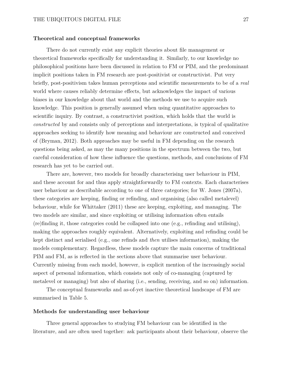### **Theoretical and conceptual frameworks**

There do not currently exist any explicit theories about file management or theoretical frameworks specifically for understanding it. Similarly, to our knowledge no philosophical positions have been discussed in relation to FM or PIM, and the predominant implicit positions taken in FM research are post-positivist or constructivist. Put very briefly, post-positivism takes human perceptions and scientific measurements to be of a *real* world where causes reliably determine effects, but acknowledges the impact of various biases in our knowledge about that world and the methods we use to acquire such knowledge. This position is generally assumed when using quantitative approaches to scientific inquiry. By contrast, a constructivist position, which holds that the world is *constructed* by and consists only of perceptions and interpretations, is typical of qualitative approaches seeking to identify how meaning and behaviour are constructed and conceived of (Bryman, 2012). Both approaches may be useful in FM depending on the research questions being asked, as may the many positions in the spectrum between the two, but careful consideration of how these influence the questions, methods, and conclusions of FM research has yet to be carried out.

There are, however, two models for broadly characterising user behaviour in PIM, and these account for and thus apply straightforwardly to FM contexts. Each characterises user behaviour as describable according to one of three categories; for W. Jones (2007a), these categories are keeping, finding or refinding, and organising (also called metalevel) behaviour, while for Whittaker (2011) these are keeping, exploiting, and managing. The two models are similar, and since exploiting or utilising information often entails (re)finding it, those categories could be collapsed into one (e.g., refinding and utilising), making the approaches roughly equivalent. Alternatively, exploiting and refinding could be kept distinct and serialised (e.g., one refinds and *then* utilises information), making the models complementary. Regardless, these models capture the main concerns of traditional PIM and FM, as is reflected in the sections above that summarise user behaviour. Currently missing from each model, however, is explicit mention of the increasingly social aspect of personal information, which consists not only of co-managing (captured by metalevel or managing) but also of sharing (i.e., sending, receiving, and so on) information.

The conceptual frameworks and as-of-yet inactive theoretical landscape of FM are summarised in Table 5.

### **Methods for understanding user behaviour**

Three general approaches to studying FM behaviour can be identified in the literature, and are often used together: ask participants about their behaviour, observe the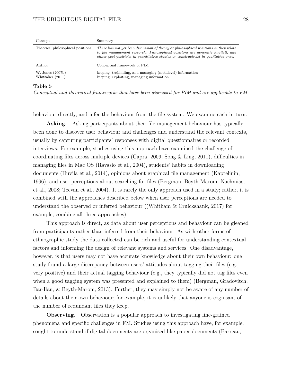## THE UBIQUITOUS DIGITAL FILE 28

| Concept                              | Summary                                                                                                                                                                                                                                                            |
|--------------------------------------|--------------------------------------------------------------------------------------------------------------------------------------------------------------------------------------------------------------------------------------------------------------------|
| Theories, philosophical positions    | There has not yet been discussion of theory or philosophical positions as they relate<br>to file management research. Philosophical positions are generally implicit, and<br>either post-positivist in quantitative studies or constructivist in qualitative ones. |
| Author                               | Conceptual framework of PIM                                                                                                                                                                                                                                        |
| W. Jones (2007b)<br>Whittaker (2011) | keeping, (re)finding, and managing (metalevel) information<br>keeping, exploiting, managing information                                                                                                                                                            |

## **Table 5**

*Conceptual and theoretical frameworks that have been discussed for PIM and are applicable to FM.*

behaviour directly, and infer the behaviour from the file system. We examine each in turn.

**Asking.** Asking participants about their file management behaviour has typically been done to discover user behaviour and challenges and understand the relevant contexts, usually by capturing participants' responses with digital questionnaires or recorded interviews. For example, studies using this approach have examined the challenge of coordinating files across multiple devices (Capra, 2009; Song & Ling, 2011), difficulties in managing files in Mac OS (Ravasio et al., 2004), students' habits in downloading documents (Huvila et al., 2014), opinions about graphical file management (Kaptelinin, 1996), and user perceptions about searching for files (Bergman, Beyth-Marom, Nachmias, et al., 2008; Teevan et al., 2004). It is rarely the only approach used in a study; rather, it is combined with the approaches described below when user perceptions are needed to understand the observed or inferred behaviour ((Whitham & Cruickshank, 2017) for example, combine all three approaches).

This approach is direct, as data about user perceptions and behaviour can be gleaned from participants rather than inferred from their behaviour. As with other forms of ethnographic study the data collected can be rich and useful for understanding contextual factors and informing the design of relevant systems and services. One disadvantage, however, is that users may not have accurate knowledge about their own behaviour: one study found a large discrepancy between users' attitudes about tagging their files (e.g., very positive) and their actual tagging behaviour (e.g., they typically did not tag files even when a good tagging system was presented and explained to them) (Bergman, Gradovitch, Bar-Ilan, & Beyth-Marom, 2013). Further, they may simply not be aware of any number of details about their own behaviour; for example, it is unlikely that anyone is cognisant of the number of redundant files they keep.

**Observing.** Observation is a popular approach to investigating fine-grained phenomena and specific challenges in FM. Studies using this approach have, for example, sought to understand if digital documents are organised like paper documents (Barreau,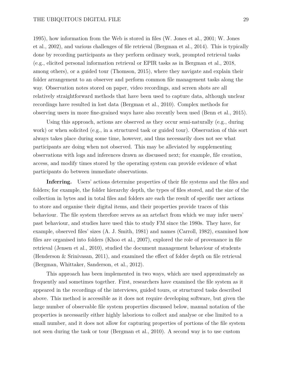1995), how information from the Web is stored in files (W. Jones et al., 2001; W. Jones et al., 2002), and various challenges of file retrieval (Bergman et al., 2014). This is typically done by recording participants as they perform ordinary work, prompted retrieval tasks (e.g., elicited personal information retrieval or EPIR tasks as in Bergman et al., 2018, among others), or a guided tour (Thomson, 2015), where they navigate and explain their folder arrangement to an observer and perform common file management tasks along the way. Observation notes stored on paper, video recordings, and screen shots are all relatively straightforward methods that have been used to capture data, although unclear recordings have resulted in lost data (Bergman et al., 2010). Complex methods for observing users in more fine-grained ways have also recently been used (Benn et al., 2015).

Using this approach, actions are observed as they occur semi-naturally (e.g., during work) or when solicited (e.g., in a structured task or guided tour). Observation of this sort always takes place during some time, however, and thus necessarily does not see what participants are doing when not observed. This may be alleviated by supplementing observations with logs and inferences drawn as discussed next; for example, file creation, access, and modify times stored by the operating system can provide evidence of what participants do between immediate observations.

Inferring. Users' actions determine properties of their file systems and the files and folders; for example, the folder hierarchy depth, the types of files stored, and the size of the collection in bytes and in total files and folders are each the result of specific user actions to store and organise their digital items, and their properties provide traces of this behaviour. The file system therefore serves as an artefact from which we may infer users' past behaviour, and studies have used this to study FM since the 1980s. They have, for example, observed files' sizes (A. J. Smith, 1981) and names (Carroll, 1982), examined how files are organised into folders (Khoo et al., 2007), explored the role of provenance in file retrieval (Jensen et al., 2010), studied the document management behaviour of students (Henderson & Srinivasan, 2011), and examined the effect of folder depth on file retrieval (Bergman, Whittaker, Sanderson, et al., 2012).

This approach has been implemented in two ways, which are used approximately as frequently and sometimes together. First, researchers have examined the file system as it appeared in the recordings of the interviews, guided tours, or structured tasks described above. This method is accessible as it does not require developing software, but given the large number of observable file system properties discussed below, manual notation of the properties is necessarily either highly laborious to collect and analyse or else limited to a small number, and it does not allow for capturing properties of portions of the file system not seen during the task or tour (Bergman et al., 2010). A second way is to use custom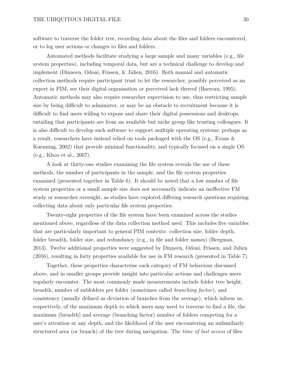software to traverse the folder tree, recording data about the files and folders encountered, or to log user actions or changes to files and folders.

Automated methods facilitate studying a large sample and many variables (e.g., file system properties), including temporal data, but are a technical challenge to develop and implement (Dinneen, Odoni, Frissen, & Julien, 2016). Both manual and automatic collection methods require participant trust to let the researcher, possibly perceived as an expert in PIM, see their digital organisation or perceived lack thereof (Barreau, 1995). Automatic methods may also require researcher supervision to use, thus restricting sample size by being difficult to administer, or may be an obstacle to recruitment because it is difficult to find users willing to expose and share their digital possessions and desktops, entailing that participants are from an available but niche group like trusting colleagues. It is also difficult to develop such software to support multiple operating systems; perhaps as a result, researchers have instead relied on tools packaged with the OS (e.g., Evans & Kuenning, 2002) that provide minimal functionality, and typically focused on a single OS (e.g., Khoo et al., 2007).

A look at thirty-one studies examining the file system reveals the use of these methods, the number of participants in the sample, and the file system properties examined (presented together in Table 6). It should be noted that a low number of file system properties or a small sample size does not necessarily indicate an ineffective FM study or researcher oversight, as studies have explored differing research questions requiring collecting data about only particular file system properties.

Twenty-eight properties of the file system have been examined across the studies mentioned above, regardless of the data collection method used. This includes five variables that are particularly important to general PIM contexts: collection size, folder depth, folder breadth, folder size, and redundancy (e.g., in file and folder names) (Bergman, 2013). Twelve additional properties were suggested by Dinneen, Odoni, Frissen, and Julien (2016), resulting in forty properties available for use in FM research (presented in Table 7).

Together, these properties characterise each category of FM behaviour discussed above, and in smaller groups provide insight into particular actions and challenges users regularly encounter. The most commonly made measurements include folder tree height, breadth, number of subfolders per folder (sometimes called *branching factor*), and consistency (usually defined as deviation of branches from the average), which inform us, respectively, of the maximum depth to which users may need to traverse to find a file, the maximum (breadth) and average (branching factor) number of folders competing for a user's attention at any depth, and the likelihood of the user encountering an unfamiliarly structured area (or branch) of the tree during navigation. The *time of last access* of files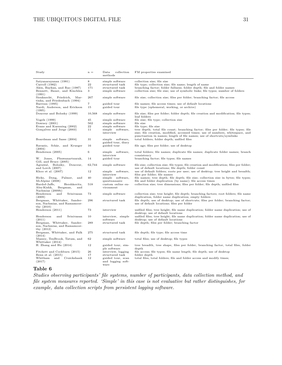| Study                                                                              | $n =$          | Data<br>collection<br>methods                  | FM properties examined                                                                                                                                  |
|------------------------------------------------------------------------------------|----------------|------------------------------------------------|---------------------------------------------------------------------------------------------------------------------------------------------------------|
| Satyanarayanan (1981)                                                              | 8              | simple software                                | collection size; file size                                                                                                                              |
| Carroll (1982)                                                                     | 22             | structured task                                | file type; collection size; file name; length of name                                                                                                   |
| Akin, Baykan, and Rao (1987)                                                       | 171            | structured task                                | branching factor; folder fullness; folder depth; file and folder names                                                                                  |
| Bennett, Bauer, and Kinchlea<br>(1991)                                             | 3              | simple software                                | collection size; file size; use of symbolic links; file types; number of folders                                                                        |
| Sienknecht, Friedrich,<br>Mar-<br>tinka, and Friedenbach (1994)                    | 267            | simple software                                | file size; collection size; files per folder; branching factor; file access                                                                             |
| Barreau (1995)                                                                     | $\overline{7}$ | guided tour                                    | file names; file access times; use of default locations                                                                                                 |
| Nardi, Anderson, and Erickson<br>(1995)                                            | 15             | guided tour                                    | file type (ephemeral, working, or archive)                                                                                                              |
| Douceur and Bolosky (1999)                                                         | 10,568         | simple software                                | file size; files per folder; folder depth; file creation and modification; file types;<br>leaf folders                                                  |
| Vogels (1999)                                                                      | 45             | simple software                                | file size; file type; collection size                                                                                                                   |
| Downey $(2001)$                                                                    | 562            | simple software                                | file size                                                                                                                                               |
| Evans and Kuenning (2002)                                                          | 22             | simple software                                | file type; file size                                                                                                                                    |
| Gonçalves and Jorge (2003)                                                         | 11             | simple software,                               | tree depth; total file count; branching factor; files per folder; file types; file                                                                      |
|                                                                                    |                | interview                                      | size; file creation, modified, accessed times; use of numbers, whitespace, and<br>punctuation in names; length of file names; use of shortcuts/symlinks |
| Boardman and Sasse (2004)                                                          | 31             | simple software,<br>guided tour, diary         | total folders; folder depth; unfiled files                                                                                                              |
| Ravasio, Schär, and Krueger<br>(2004)                                              | 16             | guided tour                                    | file age; files per folder; use of desktop                                                                                                              |
| Henderson (2005)                                                                   | 6              | simple software,<br>interview                  | total folders; file names; duplicate file names; duplicate folder names; branch<br>consistency                                                          |
| W. Jones, Phuwanartnurak,<br>Gill, and Bruce (2005)                                | 14             | guided tour                                    | branching factor; file types; file names                                                                                                                |
| Agrawal, Bolosky, Douceur,<br>and Lorch (2007)                                     | 62,744         | simple software                                | file size; collection size; file types; file creation and modification; files per folder;<br>use of default locations; file depth; folder count         |
| Khoo et al. $(2007)$                                                               | 12             | simple software,<br>interview                  | use of default folders; roots per user; use of desktop; tree height and breadth;<br>files per folder; file names                                        |
| Hicks, Dong,<br>Palmer,<br>and<br>McAlpine (2008)                                  | 40             | simple software,<br>questionnaire              | file names; tree depth; file depth; file size; collection size in bytes; file types;<br>file and folder duplication (by name); file access times        |
| Hardof-Jaffe,<br>Hershkovitz,<br>Abu-Kishk,<br>Bergman,<br>and<br>Nachmias (2009b) | 518            | custom online en-<br>vironment                 | collection size; tree dimensions; files per folder; file depth; unfiled files                                                                           |
| Srinivasan<br>Henderson<br>and<br>(2009)                                           | 73             | simple software                                | collection size; tree height; file depth; branching factors; root folders; file name<br>duplication, folder name duplication; empty folders             |
| Bergman, Whittaker, Sander-<br>son, Nachmias, and Ramamoor-<br>thy $(2010)$        | 296            | structured task                                | file depth; use of desktop; use of shortcuts; files per folder; branching factor;<br>use of default locations; files per folder                         |
| Henderson (2011)                                                                   | 73             | interview                                      | unfiled files; tree height; file name duplication; folder name duplication; use of<br>desktop; use of default locations                                 |
| Henderson<br>and<br>Srinivasan<br>(2011)                                           | 10             | interview, simple<br>software                  | unfiled files; tree height; file name duplication; folder name duplication; use of<br>desktop; use of default locations                                 |
| Bergman, Whittaker, Sander-<br>son, Nachmias, and Ramamoor-<br>thy $(2012)$        | 289            | structured task                                | file depth; files per folder; branching factor                                                                                                          |
| Bergman, Whittaker, and Falk<br>(2014)                                             | 275            | structured task                                | file depth; file type; file access time                                                                                                                 |
| Massey, TenBrook, Tatum, and<br>Whittaker (2014)                                   | 62             | simple software                                | total files; use of desktop; file types                                                                                                                 |
| H. Zhang and Hu $(2014)$                                                           | 12             | guided tour, sim-<br>ple software              | tree breadth, tree shape, files per folder, branching factor, total files, folder<br>depth                                                              |
| Fitchett and Cockburn (2015)                                                       | 26             | interview, logging                             | file access; file types; file name length; file depth; use of desktop                                                                                   |
| Benn et al. $(2015)$                                                               | 17             | structured task                                | folder depth                                                                                                                                            |
| Cruickshank<br>Whitham and<br>(2017)                                               | 12             | guided tour, scan<br>and logging soft-<br>ware | total files, total folders; file and folder access and modify times;                                                                                    |

# **Table 6**

*Studies observing participants' file systems, number of participants, data collection method, and file system measures reported. 'Simple' in this case is not evaluative but rather distinguishes, for example, data collection scripts from persistent logging software.*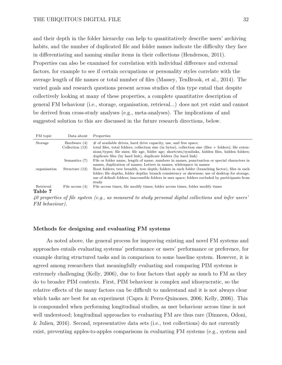and their depth in the folder hierarchy can help to quantitatively describe users' archiving habits, and the number of duplicated file and folder names indicate the difficulty they face in differentiating and naming similar items in their collections (Henderson, 2011). Properties can also be examined for correlation with individual difference and external factors, for example to see if certain occupations or personality styles correlate with the average length of file names or total number of files (Massey, TenBrook, et al., 2014). The varied goals and research questions present across studies of this type entail that despite collectively looking at many of these properties, a complete quantitative description of general FM behaviour (i.e., storage, organisation, retrieval...) does not yet exist and cannot be derived from cross-study analyses (e.g., meta-analyses). The implications of and suggested solution to this are discussed in the future research directions, below.

| FM topic             | Data about                        | Properties                                                                                                                                                                                                                                                                                                                                              |
|----------------------|-----------------------------------|---------------------------------------------------------------------------------------------------------------------------------------------------------------------------------------------------------------------------------------------------------------------------------------------------------------------------------------------------------|
| Storage              | Hardware (4)<br>Collection $(13)$ | $\#$ of available drives, hard drive capacity, use, and free space;<br>total files, total folders; collection size (in bytes), collection size (files $+$ folders); file exten-<br>sions/types; file sizes; file age, folder age; shortcuts/symlinks, hidden files, hidden folders;<br>duplicate files (by hard link), duplicate folders (by hard link) |
|                      | Semantics (7)                     | File or folder name, length of name, numbers in names, punctuation or special characters in<br>names, duplication of names; Letters in names, whitespace in names                                                                                                                                                                                       |
| organisation         | Structure $(12)$                  | Root folders; tree breadth, tree depth; folders in each folder (branching factor), files in each<br>folder; file depths, folder depths; branch consistency or skewness; use of desktop for storage,<br>use of default folders; inaccessible folders in user space; folders excluded by participants from<br>study                                       |
| Retrieval<br>Table 7 | File access $(4)$                 | File access times, file modify times; folder access times, folder modify times                                                                                                                                                                                                                                                                          |

*40 properties of file system (e.g., as measured to study personal digital collections and infer users' FM behaviour).*

## **Methods for designing and evaluating FM systems**

As noted above, the general process for improving existing and novel FM systems and approaches entails evaluating systems' performance or users' performance or preference, for example during structured tasks and in comparison to some baseline system. However, it is agreed among researchers that meaningfully evaluating and comparing PIM systems is extremely challenging (Kelly, 2006), due to four factors that apply as much to FM as they do to broader PIM contexts. First, PIM behaviour is complex and idiosyncratic, so the relative effects of the many factors can be difficult to understand and it is not always clear which tasks are best for an experiment (Capra & Perez-Quinones, 2006; Kelly, 2006). This is compounded when performing longitudinal studies, as user behaviour across time is not well understood; longitudinal approaches to evaluating FM are thus rare (Dinneen, Odoni, & Julien, 2016). Second, representative data sets (i.e., test collections) do not currently exist, preventing apples-to-apples comparisons in evaluating FM systems (e.g., system and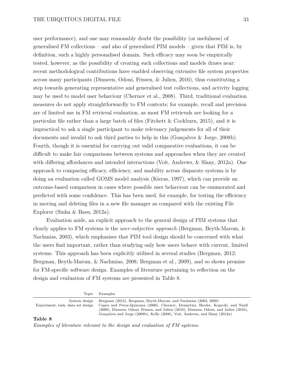user performance), and one may reasonably doubt the possibility (or usefulness) of generalised FM collections – and also of generalised PIM models – given that PIM is, by definition, such a highly personalised domain. Such efficacy may soon be empirically tested, however, as the possibility of creating such collections and models draws near: recent methodological contributions have enabled observing extensive file system properties across many participants (Dinneen, Odoni, Frissen, & Julien, 2016), thus constituting a step towards generating representative and generalised test collections, and activity logging may be used to model user behaviour (Chernov et al., 2008). Third, traditional evaluation measures do not apply straightforwardly to FM contexts; for example, recall and precision are of limited use in FM retrieval evaluation, as most FM retrievals are looking for a particular file rather than a large batch of files (Fitchett & Cockburn, 2015), and it is impractical to ask a single participant to make relevancy judgements for all of their documents and invalid to ask third parties to help in this (Gonçalves & Jorge, 2008b). Fourth, though it is essential for carrying out valid comparative evaluations, it can be difficult to make fair comparisons between systems and approaches when they are created with differing affordances and intended interactions (Voit, Andrews, & Slany, 2012a). One approach to comparing efficacy, efficiency, and usability across disparate systems is by doing an evaluation called GOMS model analysis (Kieras, 1997), which can provide an outcome-based comparison in cases where possible user behaviour can be enumerated and predicted with some confidence. This has been used, for example, for testing the efficiency in moving and deleting files in a new file manager as compared with the existing File Explorer (Sinha & Basu, 2012a).

Evaluation aside, an explicit approach to the general design of PIM systems that clearly applies to FM systems is the *user-subjective approach* (Bergman, Beyth-Marom, & Nachmias, 2003), which emphasises that PIM tool design should be concerned with what the users find important, rather than studying only how users behave with current, limited systems. This approach has been explicitly utilised in several studies (Bergman, 2012; Bergman, Beyth-Marom, & Nachmias, 2008; Bergman et al., 2009), and so shows promise for FM-specific software design. Examples of literature pertaining to reflection on the design and evaluation of FM systems are presented in Table 8.

Topic Examples

| Experiment, task, data set design | System design Bergman (2012), Bergman, Beyth-Marom, and Nachmias (2003, 2008)<br>Capra and Perez-Quinones (2006), Chernov, Demartini, Herder, Kopycki, and Nejdl               |
|-----------------------------------|--------------------------------------------------------------------------------------------------------------------------------------------------------------------------------|
|                                   | $(2008)$ , Dinneen, Odoni, Frissen, and Julien $(2016)$ , Dinneen, Odoni, and Julien $(2016)$ ,<br>Gonçalves and Jorge (2008b), Kelly (2006), Voit, Andrews, and Slany (2012a) |
|                                   |                                                                                                                                                                                |

#### **Table 8**

*Examples of literature relevant to the design and evaluation of FM systems.*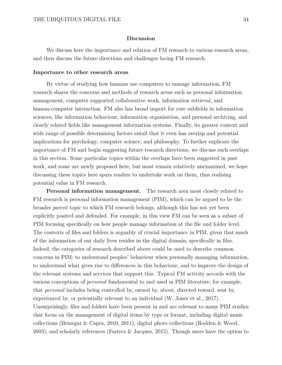## **Discussion**

We discuss here the importance and relation of FM research to various research areas, and then discuss the future directions and challenges facing FM research.

### **Importance to other research areas**

By virtue of studying how humans use computers to manage information, FM research shares the concerns and methods of research areas such as personal information management, computer supported collaborative work, information retrieval, and human-computer interaction. FM also has broad import for core subfields in information sciences, like information behaviour, information organisation, and personal archiving, and closely related fields like management information systems. Finally, its greater context and wide range of possible determining factors entail that it even has overlap and potential implications for psychology, computer science, and philosophy. To further explicate the importance of FM and begin suggesting future research directions, we discuss such overlaps in this section. Some particular topics within the overlaps have been suggested in past work, and some are newly proposed here, but most remain relatively unexamined; we hope discussing these topics here spurs readers to undertake work on them, thus realising potential value in FM research.

**Personal information management.** The research area most closely related to FM research is personal information management (PIM), which can be argued to be the broader *parent* topic to which FM research belongs, although this has not yet been explicitly posited and defended. For example, in this view FM can be seen as a subset of PIM focusing specifically on how people manage information at the file and folder level. The contexts of files and folders is arguably of crucial importance in PIM, given that much of the information of our daily lives resides in the digital domain, specifically in files. Indeed, the categories of research described above could be used to describe common concerns in PIM: to understand peoples' behaviour when personally managing information, to understand what gives rise to differences in this behaviour, and to improve the design of the relevant systems and services that support this. Typical FM activity accords with the various conceptions of *personal* fundamental to and used in PIM literature; for example, that *personal* includes being controlled by, owned by, about, directed toward, sent by, experienced by, or potentially relevant to an individual (W. Jones et al., 2017). Unsurprisingly, files and folders have been present in and are relevant to many PIM studies that focus on the management of digital items by type or format, including digital music collections (Brinegar & Capra, 2010, 2011), digital photo collections (Rodden & Wood, 2003), and scholarly references (Fastrez & Jacques, 2015). Though users have the option to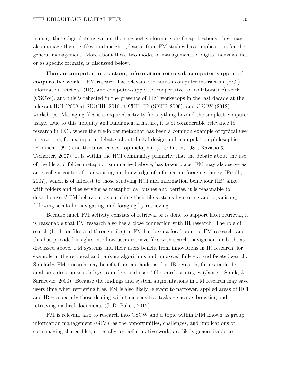manage these digital items within their respective format-specific applications, they may also manage them as files, and insights gleaned from FM studies have implications for their general management. More about these two modes of management, of digital items as files or as specific formats, is discussed below.

**Human-computer interaction, information retrieval, computer-supported cooperative work.** FM research has relevance to human-computer interaction (HCI), information retrieval (IR), and computer-supported cooperative (or collaborative) work (CSCW), and this is reflected in the presence of PIM workshops in the last decade at the relevant HCI (2008 at SIGCHI, 2016 at CHI), IR (SIGIR 2006), and CSCW (2012) workshops. Managing files is a required activity for anything beyond the simplest computer usage. Due to this ubiquity and fundamental nature, it is of considerable relevance to research in HCI, where the file-folder metaphor has been a common example of typical user interactions, for example in debates about digital design and manipulation philosophies (Frohlich, 1997) and the broader desktop metaphor (J. Johnson, 1987; Ravasio & Tscherter, 2007). It is within the HCI community primarily that the debate about the use of the file and folder metaphor, summarised above, has taken place. FM may also serve as an excellent context for advancing our knowledge of information foraging theory (Pirolli, 2007), which is of interest to those studying HCI and information behaviour (IB) alike; with folders and files serving as metaphorical bushes and berries, it is reasonable to describe users' FM behaviour as enriching their file systems by storing and organising, following scents by navigating, and foraging by retrieving.

Because much FM activity consists of retrieval or is done to support later retrieval, it is reasonable that FM research also has a close connection with IR research. The role of search (both for files and through files) in FM has been a focal point of FM research, and this has provided insights into how users retrieve files with search, navigation, or both, as discussed above. FM systems and their users benefit from innovations in IR research, for example in the retrieval and ranking algorithms and improved full-text and faceted search. Similarly, FM research may benefit from methods used in IR research; for example, by analysing desktop search logs to understand users' file search strategies (Jansen, Spink, & Saracevic, 2000). Because the findings and system augmentations in FM research may save users time when retrieving files, FM is also likely relevant to narrower, applied areas of HCI and IR – especially those dealing with time-sensitive tasks – such as browsing and retrieving medical documents (J. D. Baker, 2012).

FM is relevant also to research into CSCW and a topic within PIM known as group information management (GIM), as the opportunities, challenges, and implications of co-managing shared files, especially for collaborative work, are likely generalisable to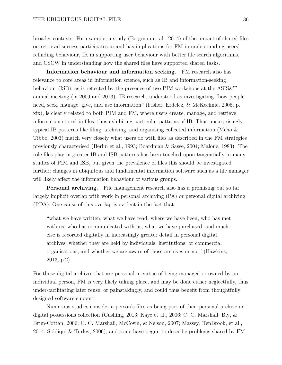broader contexts. For example, a study (Bergman et al., 2014) of the impact of shared files on retrieval success participates in and has implications for FM in understanding users' refinding behaviour, IR in supporting user behaviour with better file search algorithms, and CSCW in understanding how the shared files have supported shared tasks.

**Information behaviour and information seeking.** FM research also has relevance to core areas in information science, such as IB and information-seeking behaviour (ISB), as is reflected by the presence of two PIM workshops at the ASIS&T annual meeting (in 2009 and 2013). IB research, understood as investigating "how people need, seek, manage, give, and use information" (Fisher, Erdelez, & McKechnie, 2005, p. xix), is clearly related to both PIM and FM, where users create, manage, and retrieve information stored in files, thus exhibiting particular patterns of IB. Thus unsurprisingly, typical IB patterns like filing, archiving, and organising collected information (Meho & Tibbo, 2003) match very closely what users do with files as described in the FM strategies previously characterised (Berlin et al., 1993; Boardman & Sasse, 2004; Malone, 1983). The role files play in greater IB and ISB patterns has been touched upon tangentially in many studies of PIM and ISB, but given the prevalence of files this should be investigated further; changes in ubiquitous and fundamental information software such as a file manager will likely affect the information behaviour of various groups.

**Personal archiving.** File management research also has a promising but so far largely implicit overlap with work in personal archiving (PA) or personal digital archiving (PDA). One cause of this overlap is evident in the fact that:

"what we have written, what we have read, where we have been, who has met with us, who has communicated with us, what we have purchased, and much else is recorded digitally in increasingly greater detail in personal digital archives, whether they are held by individuals, institutions, or commercial organisations, and whether we are aware of those archives or not" (Hawkins, 2013, p.2).

For those digital archives that are personal in virtue of being managed or owned by an individual person, FM is very likely taking place, and may be done either neglectfully, thus under-facilitating later reuse, or painstakingly, and could thus benefit from thoughtfully designed software support.

Numerous studies consider a person's files as being part of their personal archive or digital possessions collection (Cushing, 2013; Kaye et al., 2006; C. C. Marshall, Bly, & Brun-Cottan, 2006; C. C. Marshall, McCown, & Nelson, 2007; Massey, TenBrook, et al., 2014; Siddiqui & Turley, 2006), and some have begun to describe problems shared by FM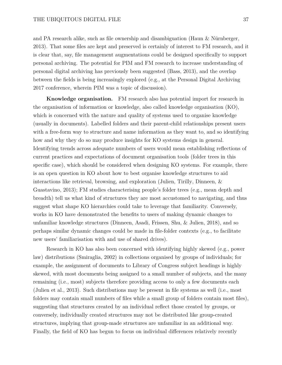and PA research alike, such as file ownership and disambiguation (Haun  $\&$  Nürnberger, 2013). That some files are kept and preserved is certainly of interest to FM research, and it is clear that, say, file management augmentations could be designed specifically to support personal archiving. The potential for PIM and FM research to increase understanding of personal digital archiving has previously been suggested (Bass, 2013), and the overlap between the fields is being increasingly explored (e.g., at the Personal Digital Archiving 2017 conference, wherein PIM was a topic of discussion).

**Knowledge organisation.** FM research also has potential import for research in the organisation of information or knowledge, also called knowledge organisation (KO), which is concerned with the nature and quality of systems used to organise knowledge (usually in documents). Labelled folders and their parent-child relationships present users with a free-form way to structure and name information as they want to, and so identifying how and why they do so may produce insights for KO systems design in general. Identifying trends across adequate numbers of users would mean establishing reflections of current practices and expectations of document organisation tools (folder trees in this specific case), which should be considered when designing KO systems. For example, there is an open question in KO about how to best organise knowledge structures to aid interactions like retrieval, browsing, and exploration (Julien, Tirilly, Dinneen, & Guastavino, 2013); FM studies characterising people's folder trees (e.g., mean depth and breadth) tell us what kind of structures they are most accustomed to navigating, and thus suggest what shape KO hierarchies could take to leverage that familiarity. Conversely, works in KO have demonstrated the benefits to users of making dynamic changes to unfamiliar knowledge structures (Dinneen, Asadi, Frissen, Shu, & Julien, 2018), and so perhaps similar dynamic changes could be made in file-folder contexts (e.g., to facilitate new users' familiarisation with and use of shared drives).

Research in KO has also been concerned with identifying highly skewed (e.g., power law) distributions (Smiraglia, 2002) in collections organised by groups of individuals; for example, the assignment of documents to Library of Congress subject headings is highly skewed, with most documents being assigned to a small number of subjects, and the many remaining (i.e., most) subjects therefore providing access to only a few documents each (Julien et al., 2013). Such distributions may be present in file systems as well (i.e., most folders may contain small numbers of files while a small group of folders contain most files), suggesting that structures created by an individual reflect those created by groups, or conversely, individually created structures may not be distributed like group-created structures, implying that group-made structures are unfamiliar in an additional way. Finally, the field of KO has begun to focus on individual differences relatively recently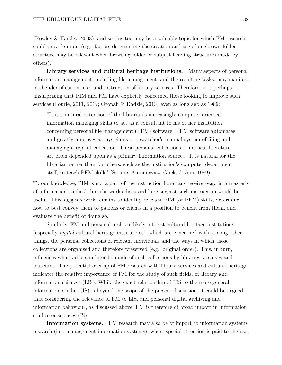(Rowley & Hartley, 2008), and so this too may be a valuable topic for which FM research could provide input (e.g., factors determining the creation and use of one's own folder structure may be relevant when browsing folder or subject heading structures made by others).

**Library services and cultural heritage institutions.** Many aspects of personal information management, including file management, and the resulting tasks, may manifest in the identification, use, and instruction of library services. Therefore, it is perhaps unsurprising that PIM and FM have explicitly concerned those looking to improve such services (Fourie, 2011, 2012; Otopah & Dadzie, 2013) even as long ago as 1989:

"It is a natural extension of the librarian's increasingly computer-oriented information managing skills to act as a consultant to his or her institution concerning personal file management (PFM) software. PFM software automates and greatly improves a physician's or researcher's manual system of filing and managing a reprint collection. These personal collections of medical literature are often depended upon as a primary information source... It is natural for the librarian rather than for others, such as the institution's computer department staff, to teach PFM skills" (Strube, Antoniewicz, Glick, & Asu, 1989).

To our knowledge, PIM is not a part of the instruction librarians receive (e.g., in a master's of information studies), but the works discussed here suggest such instruction would be useful. This suggests work remains to identify relevant PIM (or PFM) skills, determine how to best convey them to patrons or clients in a position to benefit from them, and evaluate the benefit of doing so.

Similarly, FM and personal archives likely interest cultural heritage institutions (especially *digital* cultural heritage institutions), which are concerned with, among other things, the personal collections of relevant individuals and the ways in which those collections are organised and therefore preserved (e.g., original order). This, in turn, influences what value can later be made of such collections by libraries, archives and museums. The potential overlap of FM research with library services and cultural heritage indicates the relative importance of FM for the study of such fields, or library and information sciences (LIS). While the exact relationship of LIS to the more general information studies (IS) is beyond the scope of the present discussion, it could be argued that considering the relevance of FM to LIS, and personal digital archiving and information behaviour, as discussed above, FM is therefore of broad import in information studies or sciences (IS).

**Information systems.** FM research may also be of import to information systems research (i.e., management information systems), where special attention is paid to the use,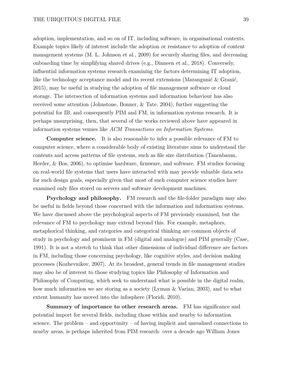adoption, implementation, and so on of IT, including software, in organisational contexts. Example topics likely of interest include the adoption or resistance to adoption of content management systems (M. L. Johnson et al., 2009) for securely sharing files, and decreasing onboarding time by simplifying shared drives (e.g., Dinneen et al., 2018). Conversely, influential information systems research examining the factors determining IT adoption, like the technology acceptance model and its recent extensions (Marangunić & Granić, 2015), may be useful in studying the adoption of file management software or cloud storage. The intersection of information systems and information behaviour has also received some attention (Johnstone, Bonner, & Tate, 2004), further suggesting the potential for IB, and consequently PIM and FM, in information systems research. It is perhaps unsurprising, then, that several of the works reviewed above have appeared in information systems venues like *ACM Transactions on Information Systems*.

**Computer science.** It is also reasonable to infer a possible relevance of FM to computer science, where a considerable body of existing literature aims to understand the contents and access patterns of file systems, such as file size distribution (Tanenbaum, Herder, & Bos, 2006), to optimise hardware, firmware, and software. FM studies focusing on real-world file systems that users have interacted with may provide valuable data sets for such design goals, especially given that most of such computer science studies have examined only files stored on servers and software development machines.

**Psychology and philosophy.** FM research and the file-folder paradigm may also be useful in fields beyond those concerned with the information and information systems. We have discussed above the psychological aspects of FM previously examined, but the relevance of FM to psychology may extend beyond this. For example, metaphors, metaphorical thinking, and categories and categorical thinking are common objects of study in psychology and prominent in FM (digital and analogue) and PIM generally (Case, 1991). It is not a stretch to think that other dimensions of individual difference are factors in FM, including those concerning psychology, like cognitive styles, and decision making processes (Kozhevnikov, 2007). At its broadest, general trends in file management studies may also be of interest to those studying topics like Philosophy of Information and Philosophy of Computing, which seek to understand what is possible in the digital realm, how much information we are storing as a society (Lyman & Varian, 2003), and to what extent humanity has moved into the infosphere (Floridi, 2010).

**Summary of importance to other research areas.** FM has significance and potential import for several fields, including those within and nearby to information science. The problem – and opportunity – of having implicit and unrealised connections to nearby areas, is perhaps inherited from PIM research: over a decade ago William Jones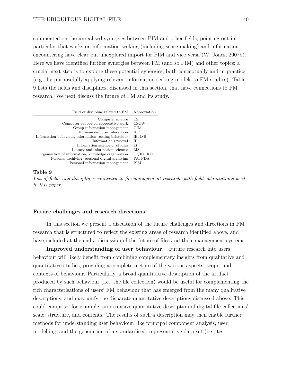commented on the unrealised synergies between PIM and other fields, pointing out in particular that works on information seeking (including sense-making) and information encountering have clear but unexplored import for PIM and vice versa (W. Jones, 2007b). Here we have identified further synergies between FM (and so PIM) and other topics; a crucial next step is to explore these potential synergies, both conceptually and in practice (e.g., by purposefully applying relevant information-seeking models to FM studies). Table 9 lists the fields and disciplines, discussed in this section, that have connections to FM research. We next discuss the future of FM and its study.

| Field or discipline related to FM                    | Abbreviation |
|------------------------------------------------------|--------------|
| Computer science                                     | CS           |
| Computer-supported cooperative work                  | CSCW         |
| Group information management                         | GIM          |
| Human-computer interaction                           | HCI          |
| Information behaviour, information-seeking behaviour | IB, ISB      |
| Information retrieval                                | IR.          |
| Information science or studies                       | ΙS           |
| Library and information sciences                     | LIS          |
| Organisation of information, knowledge organisation  | OI/IO, KO    |
| Personal archiving, personal digital archiving       | PA, PDA      |
| Personal information management                      | PIM          |

#### **Table 9**

*List of fields and disciplines connected to file management research, with field abbreviations used in this paper.*

# **Future challenges and research directions**

In this section we present a discussion of the future challenges and directions in FM research that is structured to reflect the existing areas of research identified above, and have included at the end a discussion of the future of files and their management systems.

**Improved understanding of user behaviour.** Future research into users' behaviour will likely benefit from combining complementary insights from qualitative and quantitative studies, providing a complete picture of the various aspects, scope, and contexts of behaviour. Particularly, a broad quantitative description of the artifact produced by such behaviour (i.e., the file collection) would be useful for complementing the rich characterisations of users' FM behaviour that has emerged from the many qualitative descriptions, and may unify the disparate quantitative descriptions discussed above. This could comprise, for example, an extensive quantitative description of digital file collections' scale, structure, and contents. The results of such a description may then enable further methods for understanding user behaviour, like principal component analysis, user modelling, and the generation of a standardised, representative data set (i.e., test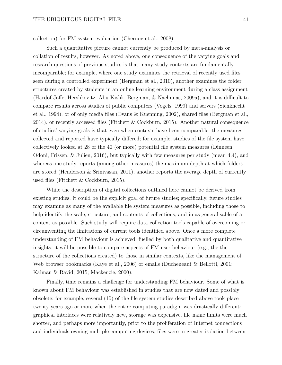collection) for FM system evaluation (Chernov et al., 2008).

Such a quantitative picture cannot currently be produced by meta-analysis or collation of results, however. As noted above, one consequence of the varying goals and research questions of previous studies is that many study contexts are fundamentally incomparable; for example, where one study examines the retrieval of recently used files seen during a controlled experiment (Bergman et al., 2010), another examines the folder structures created by students in an online learning environment during a class assignment (Hardof-Jaffe, Hershkovitz, Abu-Kishk, Bergman, & Nachmias, 2009a), and it is difficult to compare results across studies of public computers (Vogels, 1999) and servers (Sienknecht et al., 1994), or of only media files (Evans & Kuenning, 2002), shared files (Bergman et al., 2014), or recently accessed files (Fitchett & Cockburn, 2015). Another natural consequence of studies' varying goals is that even when contexts have been comparable, the measures collected and reported have typically differed; for example, studies of the file system have collectively looked at 28 of the 40 (or more) potential file system measures (Dinneen, Odoni, Frissen, & Julien, 2016), but typically with few measures per study (mean 4.4), and whereas one study reports (among other measures) the maximum depth at which folders are stored (Henderson & Srinivasan, 2011), another reports the average depth of currently used files (Fitchett & Cockburn, 2015).

While the description of digital collections outlined here cannot be derived from existing studies, it could be the explicit goal of future studies; specifically, future studies may examine as many of the available file system measures as possible, including those to help identify the scale, structure, and contents of collections, and in as generalisable of a context as possible. Such study will require data collection tools capable of overcoming or circumventing the limitations of current tools identified above. Once a more complete understanding of FM behaviour is achieved, fuelled by both qualitative and quantitative insights, it will be possible to compare aspects of FM user behaviour (e.g., the the structure of the collections created) to those in similar contexts, like the management of Web browser bookmarks (Kaye et al., 2006) or emails (Ducheneaut & Bellotti, 2001; Kalman & Ravid, 2015; Mackenzie, 2000).

Finally, time remains a challenge for understanding FM behaviour. Some of what is known about FM behaviour was established in studies that are now dated and possibly obsolete; for example, several (10) of the file system studies described above took place twenty years ago or more when the entire computing paradigm was drastically different: graphical interfaces were relatively new, storage was expensive, file name limits were much shorter, and perhaps more importantly, prior to the proliferation of Internet connections and individuals owning multiple computing devices, files were in greater isolation between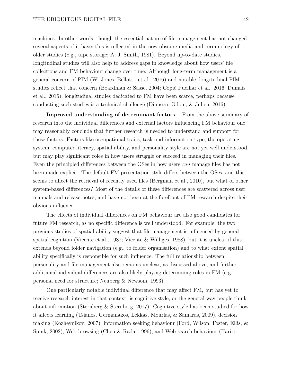machines. In other words, though the essential nature of file management has not changed, several aspects of it have; this is reflected in the now obscure media and terminology of older studies (e.g., tape storage; A. J. Smith, 1981). Beyond up-to-date studies, longitudinal studies will also help to address gaps in knowledge about how users' file collections and FM behaviour change over time. Although long-term management is a general concern of PIM (W. Jones, Bellotti, et al., 2016) and notable, longitudinal PIM studies reflect that concern (Boardman & Sasse, 2004; Čopič Pucihar et al., 2016; Dumais et al., 2016), longitudinal studies dedicated to FM have been scarce, perhaps because conducting such studies is a technical challenge (Dinneen, Odoni, & Julien, 2016).

**Improved understanding of determinant factors.** From the above summary of research into the individual differences and external factors influencing FM behaviour one may reasonably conclude that further research is needed to understand and support for these factors. Factors like occupational traits, task and information type, the operating system, computer literacy, spatial ability, and personality style are not yet well understood, but may play significant roles in how users struggle or succeed in managing their files. Even the principled differences between the OSes in how users *can* manage files has not been made explicit. The default FM presentation style differs between the OSes, and this seems to affect the retrieval of recently used files (Bergman et al., 2010), but what of other system-based differences? Most of the details of these differences are scattered across user manuals and release notes, and have not been at the forefront of FM research despite their obvious influence.

The effects of individual differences on FM behaviour are also good candidates for future FM research, as no specific difference is well understood. For example, the two previous studies of spatial ability suggest that file management is influenced by general spatial cognition (Vicente et al., 1987; Vicente & Williges, 1988), but it is unclear if this extends beyond folder navigation (e.g., to folder organisation) and to what extent spatial ability specifically is responsible for such influence. The full relationship between personality and file management also remains unclear, as discussed above, and further additional individual differences are also likely playing determining roles in FM (e.g., personal need for structure; Neuberg & Newsom, 1993).

One particularly notable individual difference that may affect FM, but has yet to receive research interest in that context, is cognitive style, or the general way people think about information (Sternberg & Sternberg, 2017). Cognitive style has been studied for how it affects learning (Tsianos, Germanakos, Lekkas, Mourlas, & Samaras, 2009), decision making (Kozhevnikov, 2007), information seeking behaviour (Ford, Wilson, Foster, Ellis, & Spink, 2002), Web browsing (Chen & Rada, 1996), and Web search behaviour (Hariri,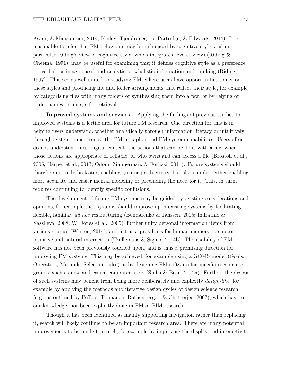Asadi, & Mansourian, 2014; Kinley, Tjondronegoro, Partridge, & Edwards, 2014). It is reasonable to infer that FM behaviour may be influenced by cognitive style, and in particular Riding's view of cognitive style, which integrates several views (Riding & Cheema, 1991), may be useful for examining this; it defines cognitive style as a preference for verbal- or image-based and analytic or wholistic information and thinking (Riding, 1997). This seems well-suited to studying FM, where users have opportunities to act on these styles and producing file and folder arrangements that reflect their style, for example by categorising files with many folders or synthesising them into a few, or by relying on folder names or images for retrieval.

**Improved systems and services.** Applying the findings of previous studies to improved systems is a fertile area for future FM research. One direction for this is in helping users understand, whether analytically through information literacy or intuitively through system transparency, the FM metaphor and FM system capabilities. Users often do not understand files, digital content, the actions that can be done with a file, when those actions are appropriate or reliable, or who owns and can access a file (Brostoff et al., 2005; Harper et al., 2013; Odom, Zimmerman, & Forlizzi, 2011). Future systems should therefore not only be faster, enabling greater productivity, but also simpler, either enabling more accurate and easier mental modeling or precluding the need for it. This, in turn, requires continuing to identify specific confusions.

The development of future FM systems may be guided by existing considerations and opinions, for example that systems should improve upon existing systems by facilitating flexible, familiar, *ad hoc* restructuring (Bondarenko & Janssen, 2005; Indratmo & Vassileva, 2008; W. Jones et al., 2005), further unify personal information items from various sources (Warren, 2014), and act as a prosthesis for human memory to support intuitive and natural interaction (Trullemans & Signer, 2014b). The usability of FM software has not been previously touched upon, and is thus a promising direction for improving FM systems. This may be achieved, for example using a GOMS model (Goals, Operators, Methods, Selection rules) or by designing FM software for specific uses or user groups, such as new and casual computer users (Sinha  $\&$  Basu, 2012a). Further, the design of such systems may benefit from being more deliberately and explicitly *design-like*, for example by applying the methods and iterative design cycles of design science research (e.g., as outlined by Peffers, Tuunanen, Rothenberger, & Chatterjee, 2007), which has, to our knowledge, not been explicitly done in FM or PIM research.

Though it has been identified as mainly supporting navigation rather than replacing it, search will likely continue to be an important research area. There are many potential improvements to be made to search, for example by improving the display and interactivity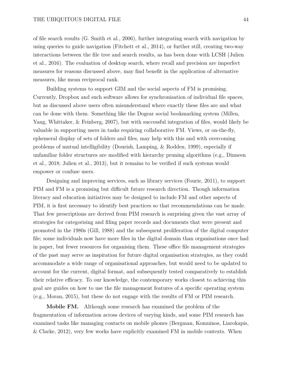of file search results (G. Smith et al., 2006), further integrating search with navigation by using queries to guide navigation (Fitchett et al., 2014), or further still, creating two-way interactions between the file tree and search results, as has been done with LCSH (Julien et al., 2016). The evaluation of desktop search, where recall and precision are imperfect measures for reasons discussed above, may find benefit in the application of alternative measures, like mean reciprocal rank.

Building systems to support GIM and the social aspects of FM is promising. Currently, Dropbox and such software allows for synchronisation of individual file spaces, but as discussed above users often misunderstand where exactly these files are and what can be done with them. Something like the Dogear social bookmarking system (Millen, Yang, Whittaker, & Feinberg, 2007), but with successful integration of files, would likely be valuable in supporting users in tasks requiring collaborative FM. Views, or on-the-fly, ephemeral display of sets of folders and files, may help with this and with overcoming problems of mutual intelligibility (Dourish, Lamping, & Rodden, 1999), especially if unfamiliar folder structures are modified with hierarchy pruning algorithms (e.g., Dinneen et al., 2018; Julien et al., 2013), but it remains to be verified if such systems would empower or confuse users.

Designing and improving services, such as library services (Fourie, 2011), to support PIM and FM is a promising but difficult future research direction. Though information literacy and education initiatives may be designed to include FM and other aspects of PIM, it is first necessary to identify best practices so that recommendations can be made. That few prescriptions are derived from PIM research is surprising given the vast array of strategies for categorising and filing paper records and documents that were present and promoted in the 1980s (Gill, 1988) and the subsequent proliferation of the digital computer file; some individuals now have more files in the digital domain than organisations once had in paper, but fewer resources for organising them. These office file management strategies of the past may serve as inspiration for future digital organisation strategies, as they could accommodate a wide range of organisational approaches, but would need to be updated to account for the current, digital format, and subsequently tested comparatively to establish their relative efficacy. To our knowledge, the contemporary works closest to achieving this goal are guides on how to use the file management features of a specific operating system (e.g., Moran, 2015), but these do not engage with the results of FM or PIM research.

**Mobile FM.** Although some research has examined the problem of the fragmentation of information across devices of varying kinds, and some PIM research has examined tasks like managing contacts on mobile phones (Bergman, Komninos, Liarokapis, & Clarke, 2012), very few works have explicitly examined FM in mobile contexts. When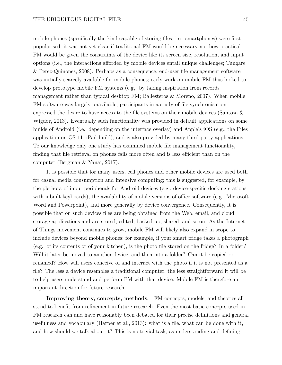mobile phones (specifically the kind capable of storing files, i.e., smartphones) were first popularised, it was not yet clear if traditional FM would be necessary nor how practical FM would be given the constraints of the device like its screen size, resolution, and input options (i.e., the interactions afforded by mobile devices entail unique challenges; Tungare & Perez-Quinones, 2008). Perhaps as a consequence, end-user file management software was initially scarcely available for mobile phones; early work on mobile FM thus looked to develop prototype mobile FM systems (e.g,. by taking inspiration from records management rather than typical desktop FM; Ballesteros & Moreno, 2007). When mobile FM software was largely unavilable, participants in a study of file synchronisation expressed the desire to have access to the file systems on their mobile devices (Santosa & Wigdor, 2013). Eventually such functionality was provided in default applications on some builds of Android (i.e., depending on the interface overlay) and Apple's iOS (e.g., the Files application on OS 11, iPad build), and is also provided by many third-party applications. To our knowledge only one study has examined mobile file management functionality, finding that file retrieval on phones fails more often and is less efficient than on the computer (Bergman & Yanai, 2017).

It is possible that for many users, cell phones and other mobile devices are used both for casual media consumption and intensive computing; this is suggested, for example, by the plethora of input peripherals for Android devices (e.g., device-specific docking stations with inbuilt keyboards), the availability of mobile versions of office software (e.g., Microsoft Word and Powerpoint), and more generally by device convergence. Consequently, it is possible that on such devices files are being obtained from the Web, email, and cloud storage applications and are stored, edited, backed up, shared, and so on. As the Internet of Things movement continues to grow, mobile FM will likely also expand in scope to include devices beyond mobile phones; for example, if your smart fridge takes a photograph (e.g., of its contents or of your kitchen), is the photo file stored on the fridge? In a folder? Will it later be moved to another device, and then into a folder? Can it be copied or renamed? How will users conceive of and interact with the photo if it is not presented as a file? The less a device resembles a traditional computer, the less straightforward it will be to help users understand and perform FM with that device. Mobile FM is therefore an important direction for future research.

**Improving theory, concepts, methods.** FM concepts, models, and theories all stand to benefit from refinement in future research. Even the most basic concepts used in FM research can and have reasonably been debated for their precise definitions and general usefulness and vocabulary (Harper et al., 2013): what is a file, what can be done with it, and how should we talk about it? This is no trivial task, as understanding and defining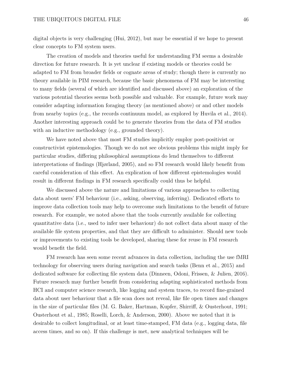digital objects is very challenging (Hui, 2012), but may be essential if we hope to present clear concepts to FM system users.

The creation of models and theories useful for understanding FM seems a desirable direction for future research. It is yet unclear if existing models or theories could be adapted to FM from broader fields or cognate areas of study; though there is currently no theory available in PIM research, because the basic phenomena of FM may be interesting to many fields (several of which are identified and discussed above) an exploration of the various potential theories seems both possible and valuable. For example, future work may consider adapting information foraging theory (as mentioned above) or and other models from nearby topics (e.g., the records continuum model, as explored by Huvila et al., 2014). Another interesting approach could be to generate theories from the data of FM studies with an inductive methodology (e.g., grounded theory).

We have noted above that most FM studies implicitly employ post-positivist or constructivist epistemologies. Though we do not see obvious problems this might imply for particular studies, differing philosophical assumptions do lend themselves to different interpretations of findings (Hjørland, 2005), and so FM research would likely benefit from careful consideration of this effect. An explication of how different epistemologies would result in different findings in FM research specifically could thus be helpful.

We discussed above the nature and limitations of various approaches to collecting data about users' FM behaviour (i.e., asking, observing, inferring). Dedicated efforts to improve data collection tools may help to overcome such limitations to the benefit of future research. For example, we noted above that the tools currently available for collecting quantitative data (i.e., used to infer user behaviour) do not collect data about many of the available file system properties, and that they are difficult to administer. Should new tools or improvements to existing tools be developed, sharing these for reuse in FM research would benefit the field.

FM research has seen some recent advances in data collection, including the use fMRI technology for observing users during navigation and search tasks (Benn et al., 2015) and dedicated software for collecting file system data (Dinneen, Odoni, Frissen, & Julien, 2016). Future research may further benefit from considering adapting sophisticated methods from HCI and computer science research, like logging and system traces, to record fine-grained data about user behaviour that a file scan does not reveal, like file open times and changes in the size of particular files (M. G. Baker, Hartman, Kupfer, Shirriff, & Ousterhout, 1991; Ousterhout et al., 1985; Roselli, Lorch, & Anderson, 2000). Above we noted that it is desirable to collect longitudinal, or at least time-stamped, FM data (e.g., logging data, file access times, and so on). If this challenge is met, new analytical techniques will be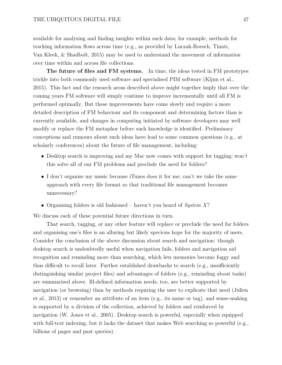available for analysing and finding insights within such data; for example, methods for tracking information flows across time (e.g., as provided by Luczak-Roesch, Tinati, Van Kleek, & Shadbolt, 2015) may be used to understand the movement of information over time within and across file collections.

**The future of files and FM systems.** In time, the ideas tested in FM prototypes trickle into both commonly used software and specialised PIM software (Kljun et al., 2015). This fact and the research areas described above might together imply that over the coming years FM software will simply continue to improve incrementally until all FM is performed optimally. But these improvements have come slowly and require a more detailed description of FM behaviour and its component and determining factors than is currently available, and changes in computing initiated by software developers may well modify or replace the FM metaphor before such knowledge is identified. Preliminary conceptions and rumours about such ideas have lead to some common questions (e.g., at scholarly conferences) about the future of file management, including:

- Desktop search is improving and my Mac now comes with support for tagging; won't this solve all of our FM problems and preclude the need for folders?
- I don't organise my music because iTunes does it for me; can't we take the same approach with every file format so that traditional file management becomes unnecessary?
- Organising folders is old fashioned haven't you heard of *System X*?

We discuss each of these potential future directions in turn.

That search, tagging, or any other feature will replace or preclude the need for folders and organising one's files is an alluring but likely specious hope for the majority of users. Consider the conclusion of the above discussion about search and navigation: though desktop search is undoubtedly useful when navigation fails, folders and navigation aid recognition and reminding more than searching, which lets memories become foggy and thus difficult to recall later. Further established drawbacks to search (e.g., insufficiently distinguishing similar project files) and advantages of folders (e.g., reminding about tasks) are summarised above. Ill-defined information needs, too, are better supported by navigation (or browsing) than by methods requiring the user to explicate that need (Julien et al., 2013) or remember an attribute of an item (e.g., its name or tag), and sense-making is supported by a division of the collection, achieved by folders and reinforced by navigation (W. Jones et al., 2005). Desktop search is powerful, especially when equipped with full-text indexing, but it lacks the dataset that makes Web searching so powerful (e.g., billions of pages and past queries).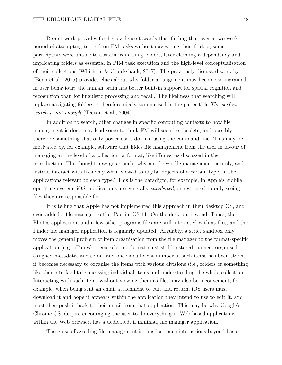### THE UBIQUITOUS DIGITAL FILE 48

Recent work provides further evidence towards this, finding that over a two week period of attempting to perform FM tasks without navigating their folders, some participants were unable to abstain from using folders, later claiming a dependency and implicating folders as essential in PIM task execution and the high-level conceptualisation of their collections (Whitham & Cruickshank, 2017). The previously discussed work by (Benn et al., 2015) provides clues about why folder arrangement may become so ingrained in user behaviour: the human brain has better built-in support for spatial cognition and recognition than for linguistic processing and recall. The likeliness that searching will replace navigating folders is therefore nicely summarised in the paper title *The perfect search is not enough* (Teevan et al., 2004).

In addition to search, other changes in specific computing contexts to how file management is done may lead some to think FM will soon be obsolete, and possibly therefore something that only power users do, like using the command line. This may be motivated by, for example, software that hides file management from the user in favour of managing at the level of a collection or format, like iTunes, as discussed in the introduction. The thought may go as such: why not forego file management entirely, and instead interact with files only when viewed as digital objects of a certain type, in the applications relevant to each type? This is the paradigm, for example, in Apple's mobile operating system, iOS: applications are generally *sandboxed*, or restricted to only seeing files they are responsible for.

It is telling that Apple has not implemented this approach in their desktop OS, and even added a file manager to the iPad in iOS 11. On the desktop, beyond iTunes, the Photos application, and a few other programs files are still interacted with as files, and the Finder file manager application is regularly updated. Arguably, a strict sandbox only moves the general problem of item organisation from the file manager to the format-specific application (e.g., iTunes): items of some format must still be stored, named, organised, assigned metadata, and so on, and once a sufficient number of such items has been stored, it becomes necessary to organise the items with various divisions (i.e., folders or something like them) to facilitate accessing individual items and understanding the whole collection. Interacting with such items without viewing them as files may also be inconvenient; for example, when being sent an email attachment to edit and return, iOS users must download it and hope it appears within the application they intend to use to edit it, and must then push it back to their email from that application. This may be why Google's Chrome OS, despite encouraging the user to do everything in Web-based applications within the Web browser, has a dedicated, if minimal, file manager application.

The guise of avoiding file management is thus lost once interactions beyond basic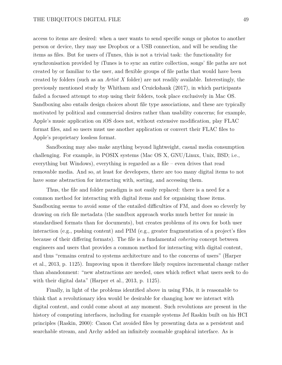access to items are desired: when a user wants to send specific songs or photos to another person or device, they may use Dropbox or a USB connection, and will be sending the items as files. But for users of iTunes, this is not a trivial task: the functionality for synchronisation provided by iTunes is to sync an entire collection, songs' file paths are not created by or familiar to the user, and flexible groups of file paths that would have been created by folders (such as an *Artist X* folder) are not readily available. Interestingly, the previously mentioned study by Whitham and Cruickshank (2017), in which participants failed a focused attempt to stop using their folders, took place exclusively in Mac OS. Sandboxing also entails design choices about file type associations, and these are typically motivated by political and commercial desires rather than usability concerns; for example, Apple's music application on iOS does not, without extensive modification, play FLAC format files, and so users must use another application or convert their FLAC files to Apple's proprietary lossless format.

Sandboxing may also make anything beyond lightweight, casual media consumption challenging. For example, in POSIX systems (Mac OS X, GNU/Linux, Unix, BSD; i.e., everything but Windows), everything is regarded as a file – even drives that read removable media. And so, at least for developers, there are too many digital items to not have some abstraction for interacting with, sorting, and accessing them.

Thus, the file and folder paradigm is not easily replaced: there is a need for a common method for interacting with digital items and for organising those items. Sandboxing seems to avoid some of the entailed difficulties of FM, and does so cleverly by drawing on rich file metadata (the sandbox approach works much better for music in standardised formats than for documents), but creates problems of its own for both user interaction (e.g., pushing content) and PIM (e.g., greater fragmentation of a project's files because of their differing formats). The file is a fundamental *cohering* concept between engineers and users that provides a common method for interacting with digital content, and thus "remains central to systems architecture and to the concerns of users" (Harper et al., 2013, p. 1125). Improving upon it therefore likely requires incremental change rather than abandonment: "new abstractions are needed, ones which reflect what users seek to do with their digital data" (Harper et al., 2013, p. 1125).

Finally, in light of the problems identified above in using FMs, it is reasonable to think that a revolutionary idea would be desirable for changing how we interact with digital content, and could come about at any moment. Such revolutions are present in the history of computing interfaces, including for example systems Jef Raskin built on his HCI principles (Raskin, 2000): Canon Cat avoided files by presenting data as a persistent and searchable stream, and Archy added an infinitely zoomable graphical interface. As is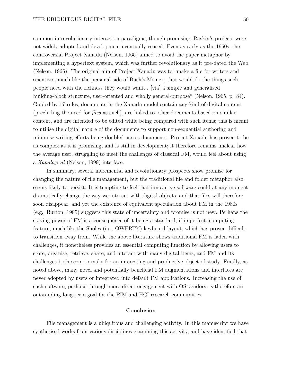common in revolutionary interaction paradigms, though promising, Raskin's projects were not widely adopted and development eventually ceased. Even as early as the 1960s, the controversial Project Xanadu (Nelson, 1965) aimed to avoid the paper metaphor by implementing a hypertext system, which was further revolutionary as it pre-dated the Web (Nelson, 1965). The original aim of Project Xanadu was to "make a file for writers and scientists, much like the personal side of Bush's Memex, that would do the things such people need with the richness they would want... [via] a simple and generalised building-block structure, user-oriented and wholly general-purpose" (Nelson, 1965, p. 84). Guided by 17 rules, documents in the Xanadu model contain any kind of digital content (precluding the need for *files* as such), are linked to other documents based on similar content, and are intended to be edited while being compared with such items; this is meant to utilise the digital nature of the documents to support non-sequential authoring and minimise writing efforts being doubled across documents. Project Xanadu has proven to be as complex as it is promising, and is still in development; it therefore remains unclear how the average user, struggling to meet the challenges of classical FM, would feel about using a *Xanalogical* (Nelson, 1999) interface.

In summary, several incremental and revolutionary prospects show promise for changing the nature of file management, but the traditional file and folder metaphor also seems likely to persist. It is tempting to feel that innovative software could at any moment dramatically change the way we interact with digital objects, and that files will therefore soon disappear, and yet the existence of equivalent speculation about FM in the 1980s (e.g., Burton, 1985) suggests this state of uncertainty and promise is not new. Perhaps the staying power of FM is a consequence of it being a standard, if imperfect, computing feature, much like the Sholes (i.e., QWERTY) keyboard layout, which has proven difficult to transition away from. While the above literature shows traditional FM is laden with challenges, it nonetheless provides an essential computing function by allowing users to store, organise, retrieve, share, and interact with many digital items, and FM and its challenges both seem to make for an interesting and productive object of study. Finally, as noted above, many novel and potentially beneficial FM augmentations and interfaces are never adopted by users or integrated into default FM applications. Increasing the use of such software, perhaps through more direct engagement with OS vendors, is therefore an outstanding long-term goal for the PIM and HCI research communities.

## **Conclusion**

File management is a ubiquitous and challenging activity. In this manuscript we have synthesised works from various disciplines examining this activity, and have identified that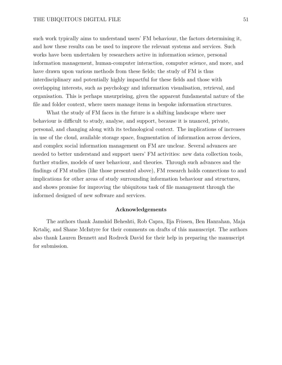such work typically aims to understand users' FM behaviour, the factors determining it, and how these results can be used to improve the relevant systems and services. Such works have been undertaken by researchers active in information science, personal information management, human-computer interaction, computer science, and more, and have drawn upon various methods from these fields; the study of FM is thus interdisciplinary and potentially highly impactful for these fields and those with overlapping interests, such as psychology and information visualisation, retrieval, and organisation. This is perhaps unsurprising, given the apparent fundamental nature of the file and folder context, where users manage items in bespoke information structures.

What the study of FM faces in the future is a shifting landscape where user behaviour is difficult to study, analyse, and support, because it is nuanced, private, personal, and changing along with its technological context. The implications of increases in use of the cloud, available storage space, fragmentation of information across devices, and complex social information management on FM are unclear. Several advances are needed to better understand and support users' FM activities: new data collection tools, further studies, models of user behaviour, and theories. Through such advances and the findings of FM studies (like those presented above), FM research holds connections to and implications for other areas of study surrounding information behaviour and structures, and shows promise for improving the ubiquitous task of file management through the informed designed of new software and services.

### **Acknowledgements**

The authors thank Jamshid Beheshti, Rob Capra, Ilja Frissen, Ben Hanrahan, Maja Krtaliç, and Shane McIntyre for their comments on drafts of this manuscript. The authors also thank Lauren Bennett and Rodreck David for their help in preparing the manuscript for submission.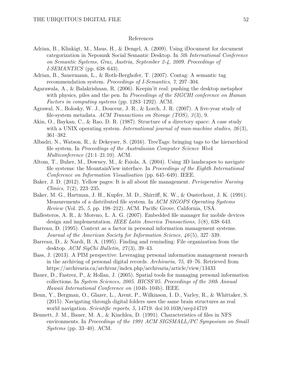### References

- Adrian, B., Klinkigt, M., Maus, H., & Dengel, A. (2009). Using iDocument for document categorization in Nepomuk Social Semantic Desktop. In *5th International Conference on Semantic Systems, Graz, Austria, September 2-4, 2009. Proceedings of I-SEMANTICS* (pp. 638–643).
- Adrian, B., Sauermann, L., & Roth-Berghofer, T. (2007). Contag: A semantic tag recommendation system. *Proceedings of I-Semantics*, *7*, 297–304.
- Agarawala, A., & Balakrishnan, R. (2006). Keepin'it real: pushing the desktop metaphor with physics, piles and the pen. In *Proceedings of the SIGCHI conference on Human Factors in computing systems* (pp. 1283–1292). ACM.
- Agrawal, N., Bolosky, W. J., Douceur, J. R., & Lorch, J. R. (2007). A five-year study of file-system metadata. *ACM Transactions on Storage (TOS)*, *3* (3), 9.
- Akin, O., Baykan, C., & Rao, D. R. (1987). Structure of a directory space: A case study with a UNIX operating system. *International journal of man-machine studies*, *26* (3), 361–382.
- Albadri, N., Watson, R., & Dekeyser, S. (2016). TreeTags: bringing tags to the hierarchical file system. In *Proceedings of the Australasian Computer Science Week Multiconference* (21:1–21:10). ACM.
- Altom, T., Buher, M., Downey, M., & Faiola, A. (2004). Using 3D landscapes to navigate file systems: the MountainView interface. In *Proceedings of the Eighth International Conference on Information Visualisation* (pp. 645–649). IEEE.
- Baker, J. D. (2012). Yellow pages: It is all about file management. *Perioperative Nursing Clinics*, *7* (2), 223–235.
- Baker, M. G., Hartman, J. H., Kupfer, M. D., Shirriff, K. W., & Ousterhout, J. K. (1991). Measurements of a distributed file system. In *ACM SIGOPS Operating Systems Review* (Vol. 25, *5*, pp. 198–212). ACM. Pacific Grove, California, USA.
- Ballesteros, A. R., & Moreno, L. A. G. (2007). Embedded file manager for mobile devices design and implementation. *IEEE Latin America Transactions*, *5* (8), 638–643.
- Barreau, D. (1995). Context as a factor in personal information management systems. *Journal of the American Society for Information Science*, *46* (5), 327–339.
- Barreau, D., & Nardi, B. A. (1995). Finding and reminding: File organization from the desktop. *ACM SigChi Bulletin*, *27* (3), 39–43.
- Bass, J. (2013). A PIM perspective: Leveraging personal information management research in the archiving of personal digital records. *Archivaria*, *75*, 49–76. Retrieved from https://archivaria.ca/archivar/index.php/archivaria/article/view/13433
- Bauer, D., Fastrez, P., & Hollan, J. (2005). Spatial tools for managing personal information collections. In *System Sciences, 2005. HICSS'05. Proceedings of the 38th Annual Hawaii International Conference on* (104b–104b). IEEE.
- Benn, Y., Bergman, O., Glazer, L., Arent, P., Wilkinson, I. D., Varley, R., & Whittaker, S. (2015). Navigating through digital folders uses the same brain structures as real world navigation. *Scientific reports*, *5*, 14719. doi:10.1038/srep14719
- Bennett, J. M., Bauer, M. A., & Kinchlea, D. (1991). Characteristics of files in NFS environments. In *Proceedings of the 1991 ACM SIGSMALL/PC Symposium on Small Systems* (pp. 33–40). ACM.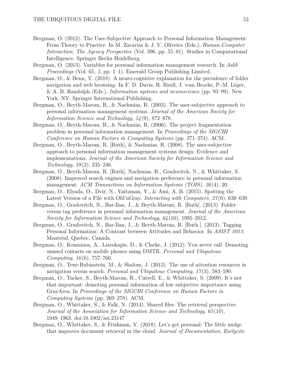- Bergman, O. (2012). The User-Subjective Approach to Personal Information Management: From Theory to Practice. In M. Zacarias & J. V. Oliveira (Eds.), *Human-Computer Interaction: The Agency Perspective* (Vol. 396, pp. 55–81). Studies in Computational Intelligence. Springer Berlin Heidelberg.
- Bergman, O. (2013). Variables for personal information management research. In *Aslib Proceedings* (Vol. 65, *5*, pp. 1–1). Emerald Group Publishing Limited.
- Bergman, O., & Benn, Y. (2018). A neuro-cognitive explanation for the prevalence of folder navigation and web browsing. In F. D. Davis, R. Riedl, J. vom Brocke, P.-M. Léger, & A. B. Randolph (Eds.), *Information systems and neuroscience* (pp. 93–99). New York, NY: Springer International Publishing.
- Bergman, O., Beyth-Marom, R., & Nachmias, R. (2003). The user-subjective approach to personal information management systems. *Journal of the American Society for Information Science and Technology*, *54* (9), 872–878.
- Bergman, O., Beyth-Marom, R., & Nachmias, R. (2006). The project fragmentation problem in personal information management. In *Proceedings of the SIGCHI Conference on Human Factors in Computing Systems* (pp. 271–274). ACM.
- Bergman, O., Beyth-Marom, R. [Ruth], & Nachmias, R. (2008). The user-subjective approach to personal information management systems design: Evidence and implementations. *Journal of the American Society for Information Science and Technology*, *59* (2), 235–246.
- Bergman, O., Beyth-Marom, R. [Ruth], Nachmias, R., Gradovitch, N., & Whittaker, S. (2008). Improved search engines and navigation preference in personal information management. *ACM Transactions on Information Systems (TOIS)*, *26* (4), 20.
- Bergman, O., Elyada, O., Dvir, N., Vaitzman, Y., & Ami, A. B. (2015). Spotting the Latest Version of a File with Old'nGray. *Interacting with Computers*, *27* (6), 630–639.
- Bergman, O., Gradovitch, N., Bar-Ilan, J., & Beyth-Marom, R. [Ruth]. (2013). Folder versus tag preference in personal information management. *Journal of the American Society for Information Science and Technology*, *64* (10), 1995–2012.
- Bergman, O., Gradovitch, N., Bar-Ilan, J., & Beyth-Marom, R. [Ruth.]. (2013). Tagging Personal Information: A Contrast between Attitudes and Behavior. In *ASIST 2013*, Montréal, Quebec, Canada.
- Bergman, O., Komninos, A., Liarokapis, D., & Clarke, J. (2012). You never call: Demoting unused contacts on mobile phones using DMTR. *Personal and Ubiquitous Computing*, *16* (6), 757–766.
- Bergman, O., Tene-Rubinstein, M., & Shalom, J. (2013). The use of attention resources in navigation versus search. *Personal and Ubiquitous Computing*, *17* (3), 583–590.
- Bergman, O., Tucker, S., Beyth-Marom, R., Cutrell, E., & Whittaker, S. (2009). It's not that important: demoting personal information of low subjective importance using GrayArea. In *Proceedings of the SIGCHI Conference on Human Factors in Computing Systems* (pp. 269–278). ACM.
- Bergman, O., Whittaker, S., & Falk, N. (2014). Shared files: The retrieval perspective. *Journal of the Association for Information Science and Technology*, *65* (10), 1949–1963. doi:10.1002/asi.23147
- Bergman, O., Whittaker, S., & Frishman, Y. (2018). Let's get personal: The little nudge that improves document retrieval in the cloud. *Journal of Documentation*, *Earlycite*.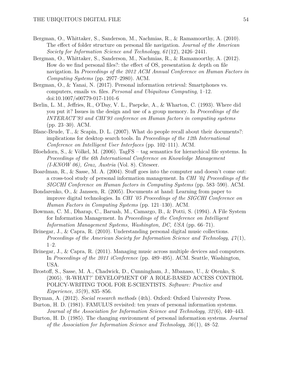- Bergman, O., Whittaker, S., Sanderson, M., Nachmias, R., & Ramamoorthy, A. (2010). The effect of folder structure on personal file navigation. *Journal of the American Society for Information Science and Technology*, *61* (12), 2426–2441.
- Bergman, O., Whittaker, S., Sanderson, M., Nachmias, R., & Ramamoorthy, A. (2012). How do we find personal files?: the effect of OS, presentation & depth on file navigation. In *Proceedings of the 2012 ACM Annual Conference on Human Factors in Computing Systems* (pp. 2977–2980). ACM.
- Bergman, O., & Yanai, N. (2017). Personal information retrieval: Smartphones vs. computers, emails vs. files. *Personal and Ubiquitous Computing*, 1–12. doi:10.1007/s00779-017-1101-6
- Berlin, L. M., Jeffries, R., O'Day, V. L., Paepcke, A., & Wharton, C. (1993). Where did you put it? Issues in the design and use of a group memory. In *Proceedings of the INTERACT'93 and CHI'93 conference on Human factors in computing systems* (pp. 23–30). ACM.
- Blanc-Brude, T., & Scapin, D. L. (2007). What do people recall about their documents?: implications for desktop search tools. In *Proceedings of the 12th International Conference on Intelligent User Interfaces* (pp. 102–111). ACM.
- Bloehdorn, S., & Völkel, M. (2006). TagFS tag semantics for hierarchical file systems. In *Proceedings of the 6th International Conference on Knowledge Management (I-KNOW 06), Graz, Austria* (Vol. 8). Citeseer.
- Boardman, R., & Sasse, M. A. (2004). Stuff goes into the computer and doesn't come out: a cross-tool study of personal information management. In *CHI '04 Proceedings of the SIGCHI Conference on Human factors in Computing Systems* (pp. 583–590). ACM.
- Bondarenko, O., & Janssen, R. (2005). Documents at hand: Learning from paper to improve digital technologies. In *CHI '05 Proceedings of the SIGCHI Conference on Human Factors in Computing Systems* (pp. 121–130). ACM.
- Bowman, C. M., Dharap, C., Baruah, M., Camargo, B., & Potti, S. (1994). A File System for Information Management. In *Proceedings of the Conference on Intelligent Information Management Systems, Washington, DC, USA* (pp. 66–71).
- Brinegar, J., & Capra, R. (2010). Understanding personal digital music collections. *Proceedings of the American Society for Information Science and Technology*, *47* (1), 1–2.
- Brinegar, J., & Capra, R. (2011). Managing music across multiple devices and computers. In *Proceedings of the 2011 iConference* (pp. 489–495). ACM. Seattle, Washington, USA.
- Brostoff, S., Sasse, M. A., Chadwick, D., Cunningham, J., Mbanaso, U., & Otenko, S. (2005). 'R-WHAT?' DEVELOPMENT OF A ROLE-BASED ACCESS CONTROL POLICY-WRITING TOOL FOR E-SCIENTISTS. *Software: Practice and Experience*, *35* (9), 835–856.
- Bryman, A. (2012). *Social research methods* (4th). Oxford: Oxford University Press.
- Burton, H. D. (1981). FAMULUS revisited: ten years of personal information systems. *Journal of the Association for Information Science and Technology*, *32* (6), 440–443.
- Burton, H. D. (1985). The changing environment of personal information systems. *Journal of the Association for Information Science and Technology*, *36* (1), 48–52.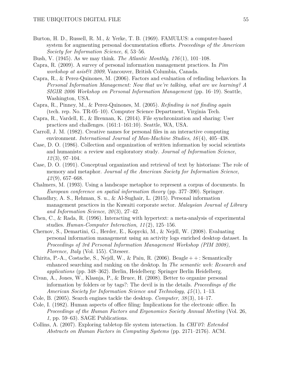- Burton, H. D., Russell, R. M., & Yerke, T. B. (1969). FAMULUS: a computer-based system for augmenting personal documentation efforts. *Proceedings of the American Society for Information Science*, *6*, 53–56.
- Bush, V. (1945). As we may think. *The Atlantic Monthly*, *176* (1), 101–108.
- Capra, R. (2009). A survey of personal information management practices. In *Pim workshop at asis&t 2009*, Vancouver, British Columbia, Canada.
- Capra, R., & Perez-Quinones, M. (2006). Factors and evaluation of refinding behaviors. In *Personal Information Management: Now that we're talking, what are we learning? A SIGIR 2006 Workshop on Personal Information Management* (pp. 16–19). Seattle, Washington, USA.
- Capra, R., Pinney, M., & Perez-Quinones, M. (2005). *Refinding is not finding again* (tech. rep. No. TR-05–10). Computer Science Department, Virginia Tech.
- Capra, R., Vardell, E., & Brennan, K. (2014). File synchronization and sharing: User practices and challenges. (161:1–161:10). Seattle, WA, USA.
- Carroll, J. M. (1982). Creative names for personal files in an interactive computing environment. *International Journal of Man-Machine Studies*, *16* (4), 405–438.
- Case, D. O. (1986). Collection and organization of written information by social scientists and humanists: a review and exploratory study. *Journal of Information Science*, *12* (3), 97–104.
- Case, D. O. (1991). Conceptual organization and retrieval of text by historians: The role of memory and metaphor. *Journal of the American Society for Information Science*, *42* (9), 657–668.
- Chalmers, M. (1993). Using a landscape metaphor to represent a corpus of documents. In *European conference on spatial information theory* (pp. 377–390). Springer.
- Chaudhry, A. S., Rehman, S. u., & Al-Sughair, L. (2015). Personal information management practices in the Kuwaiti corporate sector. *Malaysian Journal of Library and Information Science*, *20* (3), 27–42.
- Chen, C., & Rada, R. (1996). Interacting with hypertext: a meta-analysis of experimental studies. *Human-Computer Interaction*, *11* (2), 125–156.
- Chernov, S., Demartini, G., Herder, E., Kopycki, M., & Nejdl, W. (2008). Evaluating personal information management using an activity logs enriched desktop dataset. In *Proceedings of 3rd Personal Information Management Workshop (PIM 2008), Florence, Italy* (Vol. 155). Citeseer.
- Chirita, P.-A., Costache, S., Nejdl, W., & Paiu, R. (2006). Beagle  $++$ : Semantically enhanced searching and ranking on the desktop. In *The semantic web: Research and applications* (pp. 348–362). Berlin, Heidelberg: Springer Berlin Heidelberg.
- Civan, A., Jones, W., Klasnja, P., & Bruce, H. (2008). Better to organize personal information by folders or by tags?: The devil is in the details. *Proceedings of the American Society for Information Science and Technology*, *45* (1), 1–13.
- Cole, B. (2005). Search engines tackle the desktop. *Computer*, *38* (3), 14–17.
- Cole, I. (1982). Human aspects of office filing: Implications for the electronic office. In *Proceedings of the Human Factors and Ergonomics Society Annual Meeting* (Vol. 26, *1*, pp. 59–63). SAGE Publications.
- Collins, A. (2007). Exploring tabletop file system interaction. In *CHI'07: Extended Abstracts on Human Factors in Computing Systems* (pp. 2171–2176). ACM.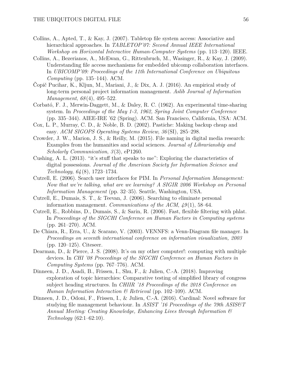- Collins, A., Apted, T., & Kay, J. (2007). Tabletop file system access: Associative and hierarchical approaches. In *TABLETOP'07: Second Annual IEEE International Workshop on Horizontal Interactive Human-Computer Systems* (pp. 113–120). IEEE.
- Collins, A., Bezerianos, A., McEwan, G., Rittenbruch, M., Wasinger, R., & Kay, J. (2009). Understanding file access mechanisms for embedded ubicomp collaboration interfaces. In *UBICOMP'09: Proceedings of the 11th International Conference on Ubiquitous Computing* (pp. 135–144). ACM.
- Čopič Pucihar, K., Kljun, M., Mariani, J., & Dix, A. J. (2016). An empirical study of long-term personal project information management. *Aslib Journal of Information Management*, *68* (4), 495–522.
- Corbató, F. J., Merwin-Daggett, M., & Daley, R. C. (1962). An experimental time-sharing system. In *Proceedings of the May 1-3, 1962, Spring Joint Computer Conference* (pp. 335–344). AIEE-IRE '62 (Spring). ACM. San Francisco, California, USA: ACM.
- Cox, L. P., Murray, C. D., & Noble, B. D. (2002). Pastiche: Making backup cheap and easy. *ACM SIGOPS Operating Systems Review*, *36* (SI), 285–298.
- Crowder, J. W., Marion, J. S., & Reilly, M. (2015). File naming in digital media research: Examples from the humanities and social sciences. *Journal of Librarianship and Scholarly Communication*, *3* (3), eP1260.
- Cushing, A. L. (2013). "it's stuff that speaks to me": Exploring the characteristics of digital possessions. *Journal of the American Society for Information Science and Technology*, *64* (8), 1723–1734.
- Cutrell, E. (2006). Search user interfaces for PIM. In *Personal Information Management: Now that we're talking, what are we learning? A SIGIR 2006 Workshop on Personal Information Management* (pp. 32–35). Seattle, Washington, USA.
- Cutrell, E., Dumais, S. T., & Teevan, J. (2006). Searching to eliminate personal information management. *Communications of the ACM*, *49* (1), 58–64.
- Cutrell, E., Robbins, D., Dumais, S., & Sarin, R. (2006). Fast, flexible filtering with phlat. In *Proceedings of the SIGCHI Conference on Human Factors in Computing systems* (pp. 261–270). ACM.
- De Chiara, R., Erra, U., & Scarano, V. (2003). VENNFS: a Venn-Diagram file manager. In *Proceedings on seventh international conference on information visualization, 2003* (pp. 120–125). Citeseer.
- Dearman, D., & Pierce, J. S. (2008). It's on my other computer!: computing with multiple devices. In *CHI '08 Proceedings of the SIGCHI Conference on Human Factors in Computing Systems* (pp. 767–776). ACM.
- Dinneen, J. D., Asadi, B., Frissen, I., Shu, F., & Julien, C.-A. (2018). Improving exploration of topic hierarchies: Comparative testing of simplified library of congress subject heading structures. In *CHIIR '18 Proceedings of the 2018 Conference on Human Information Interaction & Retrieval* (pp. 102–109). ACM.
- Dinneen, J. D., Odoni, F., Frissen, I., & Julien, C.-A. (2016). Cardinal: Novel software for studying file management behaviour. In *ASIST '16 Proceedings of the 79th ASIS&T Annual Meeting: Creating Knowledge, Enhancing Lives through Information & Technology* (62:1–62:10).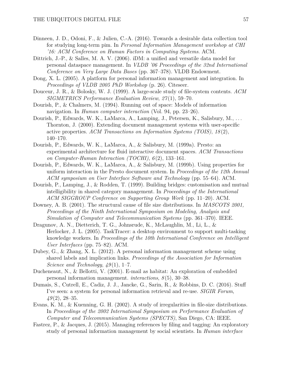- Dinneen, J. D., Odoni, F., & Julien, C.-A. (2016). Towards a desirable data collection tool for studying long-term pim. In *Personal Information Management workshop at CHI '16: ACM Conference on Human Factors in Computing Systems*. ACM.
- Dittrich, J.-P., & Salles, M. A. V. (2006). iDM: a unified and versatile data model for personal dataspace management. In *VLDB '06 Proceedings of the 32nd International Conference on Very Large Data Bases* (pp. 367–378). VLDB Endowment.
- Dong, X. L. (2005). A platform for personal information management and integration. In *Proceedings of VLDB 2005 PhD Workshop* (p. 26). Citeseer.
- Douceur, J. R., & Bolosky, W. J. (1999). A large-scale study of file-system contents. *ACM SIGMETRICS Performance Evaluation Review*, *27* (1), 59–70.
- Dourish, P., & Chalmers, M. (1994). Running out of space: Models of information navigation. In *Human computer interaction* (Vol. 94, pp. 23–26).
- Dourish, P., Edwards, W. K., LaMarca, A., Lamping, J., Petersen, K., Salisbury, M., . . . Thornton, J. (2000). Extending document management systems with user-specific active properties. *ACM Transactions on Information Systems (TOIS)*, *18* (2), 140–170.
- Dourish, P., Edwards, W. K., LaMarca, A., & Salisbury, M. (1999a). Presto: an experimental architecture for fluid interactive document spaces. *ACM Transactions on Computer-Human Interaction (TOCHI)*, *6* (2), 133–161.
- Dourish, P., Edwards, W. K., LaMarca, A., & Salisbury, M. (1999b). Using properties for uniform interaction in the Presto document system. In *Proceedings of the 12th Annual ACM symposium on User Interface Software and Technology* (pp. 55–64). ACM.
- Dourish, P., Lamping, J., & Rodden, T. (1999). Building bridges: customisation and mutual intelligibility in shared category management. In *Proceedings of the International ACM SIGGROUP Conference on Supporting Group Work* (pp. 11–20). ACM.
- Downey, A. B. (2001). The structural cause of file size distributions. In *MASCOTS 2001, Proceedings of the Ninth International Symposium on Modeling, Analysis and Simulation of Computer and Telecommunication Systems* (pp. 361–370). IEEE.
- Dragunov, A. N., Dietterich, T. G., Johnsrude, K., McLaughlin, M., Li, L., & Herlocker, J. L. (2005). TaskTracer: a desktop environment to support multi-tasking knowledge workers. In *Proceedings of the 10th International Conference on Intelligent User Interfaces* (pp. 75–82). ACM.
- Dubey, G., & Zhang, X. L. (2012). A personal information management scheme using shared labels and implication links. *Proceedings of the Association for Information Science and Technology*, *49* (1), 1–7.
- Ducheneaut, N., & Bellotti, V. (2001). E-mail as habitat: An exploration of embedded personal information management. *interactions*, *8* (5), 30–38.
- Dumais, S., Cutrell, E., Cadiz, J. J., Jancke, G., Sarin, R., & Robbins, D. C. (2016). Stuff I've seen: a system for personal information retrieval and re-use. *SIGIR Forum*, *49* (2), 28–35.
- Evans, K. M., & Kuenning, G. H. (2002). A study of irregularities in file-size distributions. In *Proceedings of the 2002 International Symposium on Performance Evaluation of Computer and Telecommunication Systems (SPECTS)*, San Diego, CA: IEEE.
- Fastrez, P., & Jacques, J. (2015). Managing references by filing and tagging: An exploratory study of personal information management by social scientists. In *Human interface*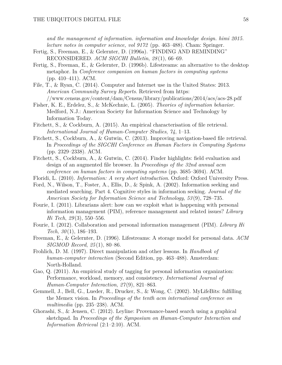*and the management of information. information and knowledge design. himi 2015. lecture notes in computer science, vol 9172* (pp. 463–488). Cham: Springer.

- Fertig, S., Freeman, E., & Gelernter, D. (1996a). "FINDING AND REMINDING" RECONSIDERED. *ACM SIGCHI Bulletin*, *28* (1), 66–69.
- Fertig, S., Freeman, E., & Gelernter, D. (1996b). Lifestreams: an alternative to the desktop metaphor. In *Conference companion on human factors in computing systems* (pp. 410–411). ACM.
- File, T., & Ryan, C. (2014). Computer and Internet use in the United States: 2013. *American Community Survey Reports*. Retrieved from https: //www.census.gov/content/dam/Census/library/publications/2014/acs/acs-28.pdf
- Fisher, K. E., Erdelez, S., & McKechnie, L. (2005). *Theories of information behavior*. Medford, N.J.: American Society for Information Science and Technology by Information Today.
- Fitchett, S., & Cockburn, A. (2015). An empirical characterisation of file retrieval. *International Journal of Human-Computer Studies*, *74*, 1–13.
- Fitchett, S., Cockburn, A., & Gutwin, C. (2013). Improving navigation-based file retrieval. In *Proceedings of the SIGCHI Conference on Human Factors in Computing Systems* (pp. 2329–2338). ACM.
- Fitchett, S., Cockburn, A., & Gutwin, C. (2014). Finder highlights: field evaluation and design of an augmented file browser. In *Proceedings of the 32nd annual acm conference on human factors in computing systems* (pp. 3685–3694). ACM.
- Floridi, L. (2010). *Information: A very short introduction*. Oxford: Oxford University Press.
- Ford, N., Wilson, T., Foster, A., Ellis, D., & Spink, A. (2002). Information seeking and mediated searching. Part 4. Cognitive styles in information seeking. *Journal of the American Society for Information Science and Technology*, *53* (9), 728–735.
- Fourie, I. (2011). Librarians alert: how can we exploit what is happening with personal information management (PIM), reference management and related issues? *Library Hi Tech*, *29* (3), 550–556.
- Fourie, I. (2012). Collaboration and personal information management (PIM). *Library Hi Tech*, *30* (1), 186–193.
- Freeman, E., & Gelernter, D. (1996). Lifestreams: A storage model for personal data. *ACM SIGMOD Record*, *25* (1), 80–86.
- Frohlich, D. M. (1997). Direct manipulation and other lessons. In *Handbook of human-computer interaction* (Second Edition, pp. 463–488). Amsterdam: North-Holland.
- Gao, Q. (2011). An empirical study of tagging for personal information organization: Performance, workload, memory, and consistency. *International Journal of Human-Computer Interaction*, *27* (9), 821–863.
- Gemmell, J., Bell, G., Lueder, R., Drucker, S., & Wong, C. (2002). MyLifeBits: fulfilling the Memex vision. In *Proceedings of the tenth acm international conference on multimedia* (pp. 235–238). ACM.
- Ghorashi, S., & Jensen, C. (2012). Leyline: Provenance-based search using a graphical sketchpad. In *Proceedings of the Symposium on Human-Computer Interaction and Information Retrieval* (2:1–2:10). ACM.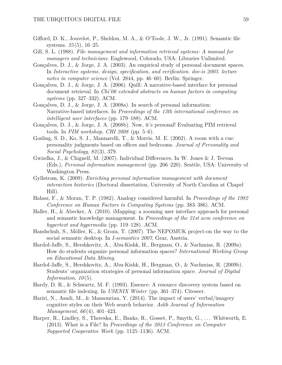- Gifford, D. K., Jouvelot, P., Sheldon, M. A., & O'Toole, J. W., Jr. (1991). Semantic file systems. *25* (5), 16–25.
- Gill, S. L. (1988). *File management and information retrieval systems: A manual for managers and technicians*. Englewood, Colorado, USA: Libraries Unlimited.
- Gonçalves, D. J., & Jorge, J. A. (2003). An empirical study of personal document spaces. In *Interactive systems. design, specification, and verification. dsv-is 2003. lecture notes in computer science* (Vol. 2844, pp. 46–60). Berlin: Springer.
- Gonçalves, D. J., & Jorge, J. A. (2006). Quill: A narrative-based interface for personal document retrieval. In *Chi'06 extended abstracts on human factors in computing systems* (pp. 327–332). ACM.
- Gonçalves, D. J., & Jorge, J. A. (2008a). In search of personal information: Narrative-based interfaces. In *Proceedings of the 13th international conference on intelligent user interfaces* (pp. 179–188). ACM.
- Gonçalves, D. J., & Jorge, J. A. (2008b). Now, it's personal! Evaluating PIM retrieval tools. In *PIM workshop, CHI 2008* (pp. 5–6).
- Gosling, S. D., Ko, S. J., Mannarelli, T., & Morris, M. E. (2002). A room with a cue: personality judgments based on offices and bedrooms. *Journal of Personality and Social Psychology*, *82* (3), 379.
- Gwizdka, J., & Chignell, M. (2007). Individual Differences. In W. Jones & J. Teevan (Eds.), *Personal information management* (pp. 206–220). Seattle, USA: University of Washington Press.
- Gyllstrom, K. (2009). *Enriching personal information management with document interaction histories* (Doctoral dissertation, University of North Carolina at Chapel Hill).
- Halasz, F., & Moran, T. P. (1982). Analogy considered harmful. In *Proceedings of the 1982 Conference on Human Factors in Computing Systems* (pp. 383–386). ACM.
- Haller, H., & Abecker, A. (2010). iMapping: a zooming user interface approach for personal and semantic knowledge management. In *Proceedings of the 21st acm conference on hypertext and hypermedia* (pp. 119–128). ACM.
- Handschuh, S., Möller, K., & Groza, T. (2007). The NEPOMUK project-on the way to the social semantic desktop. In *I-semantics 2007*, Graz, Austria.
- Hardof-Jaffe, S., Hershkovitz, A., Abu-Kishk, H., Bergman, O., & Nachmias, R. (2009a). How do students organize personal information spaces? *International Working Group on Educational Data Mining*.
- Hardof-Jaffe, S., Hershkovitz, A., Abu-Kishk, H., Bergman, O., & Nachmias, R. (2009b). Students' organization strategies of personal information space. *Journal of Digital Information*, *10* (5).
- Hardy, D. R., & Schwartz, M. F. (1993). Essence: A resource discovery system based on semantic file indexing. In *USENIX Winter* (pp. 361–374). Citeseer.
- Hariri, N., Asadi, M., & Mansourian, Y. (2014). The impact of users' verbal/imagery cognitive styles on their Web search behavior. *Aslib Journal of Information Management*, *66* (4), 401–423.
- Harper, R., Lindley, S., Thereska, E., Banks, R., Gosset, P., Smyth, G., ... Whitworth, E. (2013). What is a File? In *Proceedings of the 2013 Conference on Computer Supported Cooperative Work* (pp. 1125–1136). ACM.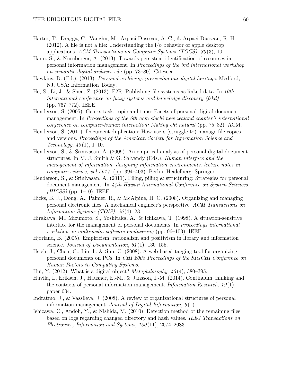- Harter, T., Dragga, C., Vaughn, M., Arpaci-Dusseau, A. C., & Arpaci-Dusseau, R. H. (2012). A file is not a file: Understanding the i/o behavior of apple desktop applications. *ACM Transactions on Computer Systems (TOCS)*, *30* (3), 10.
- Haun, S., & Nürnberger, A. (2013). Towards persistent identification of resources in personal information management. In *Proceedings of the 3rd international workshop on semantic digital archives sda* (pp. 73–80). Citeseer.
- Hawkins, D. (Ed.). (2013). *Personal archiving: preserving our digital heritage*. Medford, NJ, USA: Information Today.
- He, S., Li, J., & Shen, Z. (2013). F2R: Publishing file systems as linked data. In *10th international conference on fuzzy systems and knowledge discovery (fskd)* (pp. 767–772). IEEE.
- Henderson, S. (2005). Genre, task, topic and time: Facets of personal digital document management. In *Proceedings of the 6th acm sigchi new zealand chapter's international conference on computer-human interaction: Making chi natural* (pp. 75–82). ACM.
- Henderson, S. (2011). Document duplication: How users (struggle to) manage file copies and versions. *Proceedings of the American Society for Information Science and Technology*, *48* (1), 1–10.
- Henderson, S., & Srinivasan, A. (2009). An empirical analysis of personal digital document structures. In M. J. Smith & G. Salvendy (Eds.), *Human interface and the management of information. designing information environments. lecture notes in computer science, vol 5617.* (pp. 394–403). Berlin, Heidelberg: Springer.
- Henderson, S., & Srinivasan, A. (2011). Filing, piling & structuring: Strategies for personal document management. In *44th Hawaii International Conference on System Sciences (HICSS)* (pp. 1–10). IEEE.
- Hicks, B. J., Dong, A., Palmer, R., & McAlpine, H. C. (2008). Organizing and managing personal electronic files: A mechanical engineer's perspective. *ACM Transactions on Information Systems (TOIS)*, *26* (4), 23.
- Hirakawa, M., Mizumoto, S., Yoshitaka, A., & Ichikawa, T. (1998). A situation-sensitive interface for the management of personal documents. In *Proceedings international workshop on multimedia software engineering* (pp. 96–103). IEEE.
- Hjørland, B. (2005). Empiricism, rationalism and positivism in library and information science. *Journal of Documentation*, *61* (1), 130–155.
- Hsieh, J., Chen, C., Lin, I., & Sun, C. (2008). A web-based tagging tool for organizing personal documents on PCs. In *CHI 2008 Proceedings of the SIGCHI Conference on Human Factors in Computing Systems*.
- Hui, Y. (2012). What is a digital object? *Metaphilosophy*, *43* (4), 380–395.
- Huvila, I., Eriksen, J., Häusner, E.-M., & Jansson, I.-M. (2014). Continuum thinking and the contexts of personal information management. *Information Research*, *19* (1), paper 604.
- Indratmo, J., & Vassileva, J. (2008). A review of organizational structures of personal information management. *Journal of Digital Information*, *9* (1).
- Ishizawa, C., Andoh, Y., & Nishida, M. (2010). Detection method of the remaining files based on logs regarding changed directory and hash values. *IEEJ Transactions on Electronics, Information and Systems*, *130* (11), 2074–2083.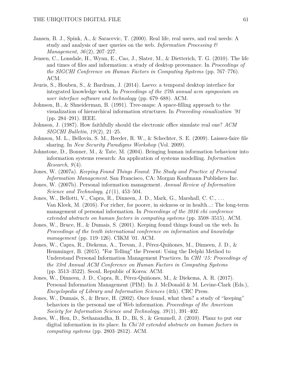- Jansen, B. J., Spink, A., & Saracevic, T. (2000). Real life, real users, and real needs: A study and analysis of user queries on the web. *Information Processing & Management*, *36* (2), 207–227.
- Jensen, C., Lonsdale, H., Wynn, E., Cao, J., Slater, M., & Dietterich, T. G. (2010). The life and times of files and information: a study of desktop provenance. In *Proceedings of the SIGCHI Conference on Human Factors in Computing Systems* (pp. 767–776). ACM.
- Jeuris, S., Houben, S., & Bardram, J. (2014). Laevo: a temporal desktop interface for integrated knowledge work. In *Proceedings of the 27th annual acm symposium on user interface software and technology* (pp. 679–688). ACM.
- Johnson, B., & Shneiderman, B. (1991). Tree-maps: A space-filling approach to the visualization of hierarchical information structures. In *Proceeding visualization '91* (pp. 284–291). IEEE.
- Johnson, J. (1987). How faithfully should the electronic office simulate real one? *ACM SIGCHI Bulletin*, *19* (2), 21–25.
- Johnson, M. L., Bellovin, S. M., Reeder, R. W., & Schechter, S. E. (2009). Laissez-faire file sharing. In *New Security Paradigms Workshop* (Vol. 2009).
- Johnstone, D., Bonner, M., & Tate, M. (2004). Bringing human information behaviour into information systems research: An application of systems modelling. *Information Research*, *9* (4).
- Jones, W. (2007a). *Keeping Found Things Found: The Study and Practice of Personal Information Management*. San Francisco, CA: Morgan Kaufmann Publishers Inc.
- Jones, W. (2007b). Personal information management. *Annual Review of Information Science and Technology*, *41* (1), 453–504.
- Jones, W., Bellotti, V., Capra, R., Dinneen, J. D., Mark, G., Marshall, C. C., . . . Van Kleek, M. (2016). For richer, for poorer, in sickness or in health...: The long-term management of personal information. In *Proceedings of the 2016 chi conference extended abstracts on human factors in computing systems* (pp. 3508–3515). ACM.
- Jones, W., Bruce, H., & Dumais, S. (2001). Keeping found things found on the web. In *Proceedings of the tenth international conference on information and knowledge management* (pp. 119–126). CIKM '01. ACM.
- Jones, W., Capra, R., Diekema, A., Teevan, J., Pérez-Quiñones, M., Dinneen, J. D., & Hemminger, B. (2015). "For Telling" the Present: Using the Delphi Method to Understand Personal Information Management Practices. In *CHI '15: Proceedings of the 33rd Annual ACM Conference on Human Factors in Computing Systems* (pp. 3513–3522). Seoul, Republic of Korea: ACM.
- Jones, W., Dinneen, J. D., Capra, R., Pérez-Quiñones, M., & Diekema, A. R. (2017). Personal Information Management (PIM). In J. McDonald & M. Levine-Clark (Eds.), *Encyclopedia of Library and Information Sciences* (4th). CRC Press.
- Jones, W., Dumais, S., & Bruce, H. (2002). Once found, what then? a study of "keeping" behaviors in the personal use of Web information. *Proceedings of the American Society for Information Science and Technology*, *39* (1), 391–402.
- Jones, W., Hou, D., Sethanandha, B. D., Bi, S., & Gemmell, J. (2010). Planz to put our digital information in its place. In *Chi'10 extended abstracts on human factors in computing systems* (pp. 2803–2812). ACM.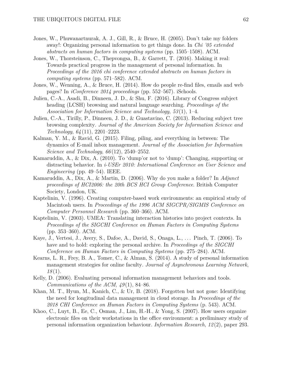- Jones, W., Phuwanartnurak, A. J., Gill, R., & Bruce, H. (2005). Don't take my folders away!: Organizing personal information to get things done. In *Chi '05 extended abstracts on human factors in computing systems* (pp. 1505–1508). ACM.
- Jones, W., Thorsteinson, C., Thepvongsa, B., & Garrett, T. (2016). Making it real: Towards practical progress in the management of personal information. In *Proceedings of the 2016 chi conference extended abstracts on human factors in computing systems* (pp. 571–582). ACM.
- Jones, W., Wenning, A., & Bruce, H. (2014). How do people re-find files, emails and web pages? In *iConference 2014 proceedings* (pp. 552–567). iSchools.
- Julien, C.-A., Asadi, B., Dinneen, J. D., & Shu, F. (2016). Library of Congress subject heading (LCSH) browsing and natural language searching. *Proceedings of the Association for Information Science and Technology*, *53* (1), 1–4.
- Julien, C.-A., Tirilly, P., Dinneen, J. D., & Guastavino, C. (2013). Reducing subject tree browsing complexity. *Journal of the American Society for Information Science and Technology*, *64* (11), 2201–2223.
- Kalman, Y. M., & Ravid, G. (2015). Filing, piling, and everything in between: The dynamics of E-mail inbox management. *Journal of the Association for Information Science and Technology*, *66* (12), 2540–2552.
- Kamaruddin, A., & Dix, A. (2010). To 'dump'or not to 'dump': Changing, supporting or distracting behavior. In *i-USEr 2010: International Conference on User Science and Engineering* (pp. 49–54). IEEE.
- Kamaruddin, A., Dix, A., & Martin, D. (2006). Why do you make a folder? In *Adjunct proceedings of HCI2006: the 20th BCS HCI Group Conference*. British Computer Society, London, UK.
- Kaptelinin, V. (1996). Creating computer-based work environments: an empirical study of Macintosh users. In *Proceedings of the 1996 ACM SIGCPR/SIGMIS Conference on Computer Personnel Research* (pp. 360–366). ACM.
- Kaptelinin, V. (2003). UMEA: Translating interaction histories into project contexts. In *Proceedings of the SIGCHI Conference on Human Factors in Computing Systems* (pp. 353–360). ACM.
- Kaye, J., Vertesi, J., Avery, S., Dafoe, A., David, S., Onaga, L., . . . Pinch, T. (2006). To have and to hold: exploring the personal archive. In *Proceedings of the SIGCHI Conference on Human Factors in Computing Systems* (pp. 275–284). ACM.
- Kearns, L. R., Frey, B. A., Tomer, C., & Alman, S. (2014). A study of personal information management strategies for online faculty. *Journal of Asynchronous Learning Network*, *18* (1).
- Kelly, D. (2006). Evaluating personal information management behaviors and tools. *Communications of the ACM*, *49* (1), 84–86.
- Khan, M. T., Hyun, M., Kanich, C., & Ur, B. (2018). Forgotten but not gone: Identifying the need for longitudinal data management in cloud storage. In *Proceedings of the 2018 CHI Conference on Human Factors in Computing Systems* (p. 543). ACM.
- Khoo, C., Luyt, B., Ee, C., Osman, J., Lim, H.-H., & Yong, S. (2007). How users organize electronic files on their workstations in the office environment: a preliminary study of personal information organization behaviour. *Information Research*, *12* (2), paper 293.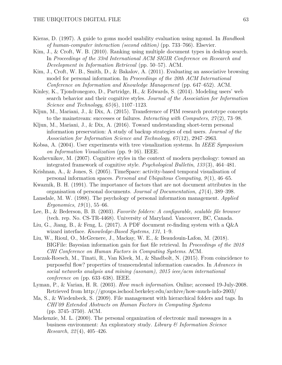- Kieras, D. (1997). A guide to goms model usability evaluation using ngomsl. In *Handbook of human-computer interaction (second edition)* (pp. 733–766). Elsevier.
- Kim, J., & Croft, W. B. (2010). Ranking using multiple document types in desktop search. In *Proceedings of the 33rd International ACM SIGIR Conference on Research and Development in Information Retrieval* (pp. 50–57). ACM.
- Kim, J., Croft, W. B., Smith, D., & Bakalov, A. (2011). Evaluating an associative browsing model for personal information. In *Proceedings of the 20th ACM International Conference on Information and Knowledge Management* (pp. 647–652). ACM.
- Kinley, K., Tjondronegoro, D., Partridge, H., & Edwards, S. (2014). Modeling users' web search behavior and their cognitive styles. *Journal of the Association for Information Science and Technology*, *65* (6), 1107–1123.
- Kljun, M., Mariani, J., & Dix, A. (2015). Transference of PIM research prototype concepts to the mainstream: successes or failures. *Interacting with Computers*, *27* (2), 73–98.
- Kljun, M., Mariani, J., & Dix, A. (2016). Toward understanding short-term personal information preservation: A study of backup strategies of end users. *Journal of the Association for Information Science and Technology*, *67* (12), 2947–2963.
- Kobsa, A. (2004). User experiments with tree visualization systems. In *IEEE Symposium on Information Visualization* (pp. 9–16). IEEE.
- Kozhevnikov, M. (2007). Cognitive styles in the context of modern psychology: toward an integrated framework of cognitive style. *Psychological Bulletin*, *133* (3), 464–481.
- Krishnan, A., & Jones, S. (2005). TimeSpace: activity-based temporal visualisation of personal information spaces. *Personal and Ubiquitous Computing*, *9* (1), 46–65.
- Kwaznik, B. H. (1991). The importance of factors that are not document attributes in the organisation of personal documents. *Journal of Documentation*, *47* (4), 389–398.
- Lansdale, M. W. (1988). The psychology of personal information management. *Applied Ergonomics*, *19* (1), 55–66.
- Lee, B., & Bederson, B. B. (2003). *Favorite folders: A configurable, scalable file browser* (tech. rep. No. CS-TR-4468). University of Maryland. Vancouver, BC, Canada.
- Liu, G., Jiang, B., & Feng, L. (2017). A PDF document re-finding system with a Q&A wizard interface. *Knowledge-Based Systems*, *131*, 1–9.
- Liu, W., Rioul, O., McGrenere, J., Mackay, W. E., & Beaudouin-Lafon, M. (2018). BIGFile: Bayesian information gain for fast file retrieval. In *Proceedings of the 2018 CHI Conference on Human Factors in Computing Systems*. ACM.
- Luczak-Roesch, M., Tinati, R., Van Kleek, M., & Shadbolt, N. (2015). From coincidence to purposeful flow? properties of transcendental information cascades. In *Advances in social networks analysis and mining (asonam), 2015 ieee/acm international conference on* (pp. 633–638). IEEE.
- Lyman, P., & Varian, H. R. (2003). *How much information*. Online; accessed 19-July-2008. Retrieved from http://groups.ischool.berkeley.edu/archive/how-much-info-2003/
- Ma, S., & Wiedenbeck, S. (2009). File management with hierarchical folders and tags. In *CHI'09 Extended Abstracts on Human Factors in Computing Systems* (pp. 3745–3750). ACM.
- Mackenzie, M. L. (2000). The personal organization of electronic mail messages in a business environment: An exploratory study. *Library & Information Science Research*, *22* (4), 405–426.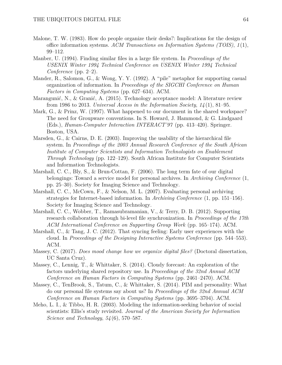- Malone, T. W. (1983). How do people organize their desks?: Implications for the design of office information systems. *ACM Transactions on Information Systems (TOIS)*, *1* (1), 99–112.
- Manber, U. (1994). Finding similar files in a large file system. In *Proceedings of the USENIX Winter 1994 Technical Conference on USENIX Winter 1994 Technical Conference* (pp. 2–2).
- Mander, R., Salomon, G., & Wong, Y. Y. (1992). A "pile" metaphor for supporting casual organization of information. In *Proceedings of the SIGCHI Conference on Human Factors in Computing Systems* (pp. 627–634). ACM.
- Marangunić, N., & Granić, A. (2015). Technology acceptance model: A literature review from 1986 to 2013. *Universal Access in the Information Society*, *14* (1), 81–95.
- Mark, G., & Prinz, W. (1997). What happened to our document in the shared workspace? The need for Groupware conventions. In S. Howard, J. Hammond, & G. Lindgaard (Eds.), *Human-Computer Interaction INTERACT'97* (pp. 413–420). Springer. Boston, USA.
- Marsden, G., & Cairns, D. E. (2003). Improving the usability of the hierarchical file system. In *Proceedings of the 2003 Annual Research Conference of the South African Institute of Computer Scientists and Information Technologists on Enablement Through Technology* (pp. 122–129). South African Institute for Computer Scientists and Information Technologists.
- Marshall, C. C., Bly, S., & Brun-Cottan, F. (2006). The long term fate of our digital belongings: Toward a service model for personal archives. In *Archiving Conference* (1, pp. 25–30). Society for Imaging Science and Technology.
- Marshall, C. C., McCown, F., & Nelson, M. L. (2007). Evaluating personal archiving strategies for Internet-based information. In *Archiving Conference* (1, pp. 151–156). Society for Imaging Science and Technology.
- Marshall, C. C., Wobber, T., Ramasubramanian, V., & Terry, D. B. (2012). Supporting research collaboration through bi-level file synchronization. In *Proceedings of the 17th ACM International Conference on Supporting Group Work* (pp. 165–174). ACM.
- Marshall, C., & Tang, J. C. (2012). That syncing feeling: Early user experiences with the cloud. In *Proceedings of the Designing Interactive Systems Conference* (pp. 544–553). ACM.
- Massey, C. (2017). *Does mood change how we organize digital files?* (Doctoral dissertation, UC Santa Cruz).
- Massey, C., Lennig, T., & Whittaker, S. (2014). Cloudy forecast: An exploration of the factors underlying shared repository use. In *Proceedings of the 32nd Annual ACM Conference on Human Factors in Computing Systems* (pp. 2461–2470). ACM.
- Massey, C., TenBrook, S., Tatum, C., & Whittaker, S. (2014). PIM and personality: What do our personal file systems say about us? In *Proceedings of the 32nd Annual ACM Conference on Human Factors in Computing Systems* (pp. 3695–3704). ACM.
- Meho, L. I., & Tibbo, H. R. (2003). Modeling the information-seeking behavior of social scientists: Ellis's study revisited. *Journal of the American Society for Information Science and Technology*, *54* (6), 570–587.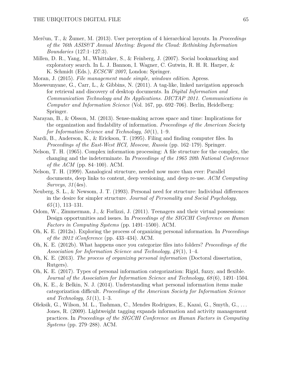- Merčun, T., & Žumer, M. (2013). User perception of 4 hierarchical layouts. In *Proceedings of the 76th ASIS&T Annual Meeting: Beyond the Cloud: Rethinking Information Boundaries* (127:1–127:3).
- Millen, D. R., Yang, M., Whittaker, S., & Feinberg, J. (2007). Social bookmarking and exploratory search. In L. J. Bannon, I. Wagner, C. Gutwin, R. H. R. Harper, & K. Schmidt (Eds.), *ECSCW 2007*, London: Springer.
- Moran, J. (2015). *File management made simple, windows edition*. Apress.
- Mosweunyane, G., Carr, L., & Gibbins, N. (2011). A tag-like, linked navigation approach for retrieval and discovery of desktop documents. In *Digital Information and Communication Technology and Its Applications. DICTAP 2011. Communications in Computer and Information Science* (Vol. 167, pp. 692–706). Berlin, Heidelberg: Springer.
- Narayan, B., & Olsson, M. (2013). Sense-making across space and time: Implications for the organization and findability of information. *Proceedings of the American Society for Information Science and Technology*, *50* (1), 1–9.
- Nardi, B., Anderson, K., & Erickson, T. (1995). Filing and finding computer files. In *Proceedings of the East-West HCI, Moscow, Russia* (pp. 162–179). Springer.
- Nelson, T. H. (1965). Complex information processing: A file structure for the complex, the changing and the indeterminate. In *Proceedings of the 1965 20th National Conference of the ACM* (pp. 84–100). ACM.
- Nelson, T. H. (1999). Xanalogical structure, needed now more than ever: Parallel documents, deep links to content, deep versioning, and deep re-use. *ACM Computing Surveys*, *31* (4es).
- Neuberg, S. L., & Newsom, J. T. (1993). Personal need for structure: Individual differences in the desire for simpler structure. *Journal of Personality and Social Psychology*, *65* (1), 113–131.
- Odom, W., Zimmerman, J., & Forlizzi, J. (2011). Teenagers and their virtual possessions: Design opportunities and issues. In *Proceedings of the SIGCHI Conference on Human Factors in Computing Systems* (pp. 1491–1500). ACM.
- Oh, K. E. (2012a). Exploring the process of organizing personal information. In *Proceedings of the 2012 iConference* (pp. 433–434). ACM.
- Oh, K. E. (2012b). What happens once you categorize files into folders? *Proceedings of the Association for Information Science and Technology*, *49* (1), 1–4.
- Oh, K. E. (2013). *The process of organizing personal information* (Doctoral dissertation, Rutgers).
- Oh, K. E. (2017). Types of personal information categorization: Rigid, fuzzy, and flexible. *Journal of the Association for Information Science and Technology*, *68* (6), 1491–1504.
- Oh, K. E., & Belkin, N. J. (2014). Understanding what personal information items make categorization difficult. *Proceedings of the American Society for Information Science and Technology*, *51* (1), 1–3.
- Oleksik, G., Wilson, M. L., Tashman, C., Mendes Rodrigues, E., Kazai, G., Smyth, G., . . . Jones, R. (2009). Lightweight tagging expands information and activity management practices. In *Proceedings of the SIGCHI Conference on Human Factors in Computing Systems* (pp. 279–288). ACM.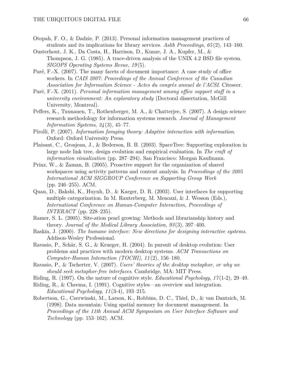- Otopah, F. O., & Dadzie, P. (2013). Personal information management practices of students and its implications for library services. *Aslib Proceedings*, *65* (2), 143–160.
- Ousterhout, J. K., Da Costa, H., Harrison, D., Kunze, J. A., Kupfer, M., & Thompson, J. G. (1985). A trace-driven analysis of the UNIX 4.2 BSD file system. *SIGOPS Operating Systems Revue*, *19* (5).
- Paré, F.-X. (2007). The many facets of document importance: A case study of office workers. In *CAIS 2007: Proceedings of the Annual Conference of the Canadian Association for Information Science - Actes du congrès annuel de l'ACSI*. Citeseer.
- Paré, F.-X. (2011). *Personal information management among office support staff in a university environment: An exploratory study* (Doctoral dissertation, McGill University, Montreal).
- Peffers, K., Tuunanen, T., Rothenberger, M. A., & Chatterjee, S. (2007). A design science research methodology for information systems research. *Journal of Management Information Systems*, *24* (3), 45–77.
- Pirolli, P. (2007). *Information foraging theory: Adaptive interaction with information*. Oxford: Oxford University Press.
- Plaisant, C., Grosjean, J., & Bederson, B. B. (2003). SpaceTree: Supporting exploration in large node link tree, design evolution and empirical evaluation. In *The craft of information visualization* (pp. 287–294). San Francisco: Morgan Kaufmann.
- Prinz, W., & Zaman, B. (2005). Proactive support for the organization of shared workspaces using activity patterns and content analysis. In *Proceedings of the 2005 International ACM SIGGROUP Conference on Supporting Group Work* (pp. 246–255). ACM.
- Quan, D., Bakshi, K., Huynh, D., & Karger, D. R. (2003). User interfaces for supporting multiple categorization. In M. Rauterberg, M. Menozzi, & J. Wesson (Eds.), *International Conference on Human-Computer Interaction, Proceedings of INTERACT* (pp. 228–235).
- Ramer, S. L. (2005). Site-ation pearl growing: Methods and librarianship history and theory. *Journal of the Medical Library Association*, *93* (3), 397–400.
- Raskin, J. (2000). *The humane interface: New directions for designing interactive systems*. Addison-Wesley Professional.
- Ravasio, P., Schär, S. G., & Krueger, H. (2004). In pursuit of desktop evolution: User problems and practices with modern desktop systems. *ACM Transactions on Computer-Human Interaction (TOCHI)*, *11* (2), 156–180.
- Ravasio, P., & Tscherter, V. (2007). *Users' theories of the desktop metaphor, or why we should seek metaphor-free interfaces*. Cambridge, MA: MIT Press.
- Riding, R. (1997). On the nature of cognitive style. *Educational Psychology*, *17* (1-2), 29–49.
- Riding, R., & Cheema, I. (1991). Cognitive styles—an overview and integration. *Educational Psychology*, *11* (3-4), 193–215.
- Robertson, G., Czerwinski, M., Larson, K., Robbins, D. C., Thiel, D., & van Dantzich, M. (1998). Data mountain: Using spatial memory for document management. In *Proceedings of the 11th Annual ACM Symposium on User Interface Software and Technology* (pp. 153–162). ACM.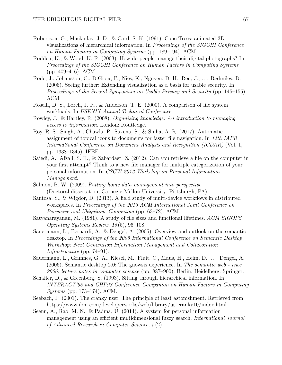- Robertson, G., Mackinlay, J. D., & Card, S. K. (1991). Cone Trees: animated 3D visualizations of hierarchical information. In *Proceedings of the SIGCHI Conference on Human Factors in Computing Systems* (pp. 189–194). ACM.
- Rodden, K., & Wood, K. R. (2003). How do people manage their digital photographs? In *Proceedings of the SIGCHI Conference on Human Factors in Computing Systems* (pp. 409–416). ACM.
- Rode, J., Johansson, C., DiGioia, P., Nies, K., Nguyen, D. H., Ren, J., ... Redmiles, D. (2006). Seeing further: Extending visualization as a basis for usable security. In *Proceedings of the Second Symposium on Usable Privacy and Security* (pp. 145–155). ACM.
- Roselli, D. S., Lorch, J. R., & Anderson, T. E. (2000). A comparison of file system workloads. In *USENIX Annual Technical Conference*.
- Rowley, J., & Hartley, R. (2008). *Organizing knowledge: An introduction to managing access to information*. London: Routledge.
- Roy, R. S., Singh, A., Chawla, P., Saxena, S., & Sinha, A. R. (2017). Automatic assignment of topical icons to documents for faster file navigation. In *14th IAPR International Conference on Document Analysis and Recognition (ICDAR)* (Vol. 1, pp. 1338–1345). IEEE.
- Sajedi, A., Afzali, S. H., & Zabardast, Z. (2012). Can you retrieve a file on the computer in your first attempt? Think to a new file manager for multiple categorization of your personal information. In *CSCW 2012 Workshop on Personal Information Management*.
- Salmon, B. W. (2009). *Putting home data management into perspective* (Doctoral dissertation, Carnegie Mellon University, Pittsburgh, PA).
- Santosa, S., & Wigdor, D. (2013). A field study of multi-device workflows in distributed workspaces. In *Proceedings of the 2013 ACM International Joint Conference on Pervasive and Ubiquitous Computing* (pp. 63–72). ACM.
- Satyanarayanan, M. (1981). A study of file sizes and functional lifetimes. *ACM SIGOPS Operating Systems Review*, *15* (5), 96–108.
- Sauermann, L., Bernardi, A., & Dengel, A. (2005). Overview and outlook on the semantic desktop. In *Proceedings of the 2005 International Conference on Semantic Desktop Workshop: Next Generation Information Management and Collaboration Infrastructure* (pp. 74–91).
- Sauermann, L., Grimnes, G. A., Kiesel, M., Fluit, C., Maus, H., Heim, D., . . . Dengel, A. (2006). Semantic desktop 2.0: The gnowsis experience. In *The semantic web - iswc 2006. lecture notes in computer science* (pp. 887–900). Berlin, Heidelberg: Springer.
- Schaffer, D., & Greenberg, S. (1993). Sifting through hierarchical information. In *INTERACT'93 and CHI'93 Conference Companion on Human Factors in Computing Systems* (pp. 173–174). ACM.
- Seebach, P. (2001). The cranky user: The principle of least astonishment. Retrieved from https://www.ibm.com/developerworks/web/library/us-cranky10/index.html
- Seenu, A., Rao, M. N., & Padma, U. (2014). A system for personal information management using an efficient multidimensional fuzzy search. *International Journal of Advanced Research in Computer Science*, *5* (2).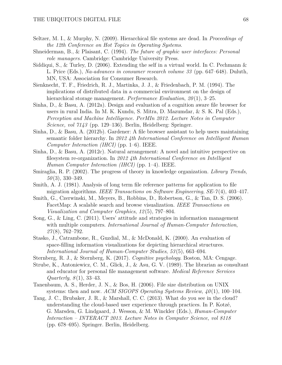- Seltzer, M. I., & Murphy, N. (2009). Hierarchical file systems are dead. In *Proceedings of the 12th Conference on Hot Topics in Operating Systems*.
- Shneiderman, B., & Plaisant, C. (1994). *The future of graphic user interfaces: Personal role managers*. Cambridge: Cambridge University Press.
- Siddiqui, S., & Turley, D. (2006). Extending the self in a virtual world. In C. Pechmann & L. Price (Eds.), *Na-advances in consumer research volume 33* (pp. 647–648). Duluth, MN, USA: Association for Consumer Research.
- Sienknecht, T. F., Friedrich, R. J., Martinka, J. J., & Friedenbach, P. M. (1994). The implications of distributed data in a commercial environment on the design of hierarchical storage management. *Performance Evaluation*, 20(1), 3-25.
- Sinha, D., & Basu, A. (2012a). Design and evaluation of a cognition aware file browser for users in rural India. In M. K. Kundu, S. Mitra, D. Mazumdar, & S. K. Pal (Eds.), *Perception and Machine Intelligence. PerMIn 2012. Lecture Notes in Computer Science, vol 7143* (pp. 129–136). Berlin, Heidelberg: Springer.
- Sinha, D., & Basu, A. (2012b). Gardener: A file browser assistant to help users maintaining semantic folder hierarchy. In *2012 4th International Conference on Intelligent Human Computer Interaction (IHCI)* (pp. 1–6). IEEE.
- Sinha, D., & Basu, A. (2012c). Natural arrangement: A novel and intuitive perspective on filesystem re-organization. In *2012 4th International Conference on Intelligent Human Computer Interaction (IHCI)* (pp. 1–4). IEEE.
- Smiraglia, R. P. (2002). The progress of theory in knowledge organization. *Library Trends*, *50* (3), 330–349.
- Smith, A. J. (1981). Analysis of long term file reference patterns for application to file migration algorithms. *IEEE Transactions on Software Engineering*, *SE-7* (4), 403–417.
- Smith, G., Czerwinski, M., Meyers, B., Robbins, D., Robertson, G., & Tan, D. S. (2006). FacetMap: A scalable search and browse visualization. *IEEE Transactions on Visualization and Computer Graphics*, *12* (5), 797–804.
- Song, G., & Ling, C. (2011). Users' attitude and strategies in information management with multiple computers. *International Journal of Human-Computer Interaction*, *27* (8), 762–792.
- Stasko, J., Catrambone, R., Guzdial, M., & McDonald, K. (2000). An evaluation of space-filling information visualizations for depicting hierarchical structures. *International Journal of Human-Computer Studies*, *53* (5), 663–694.
- Sternberg, R. J., & Sternberg, K. (2017). *Cognitive psychology*. Boston, MA: Cengage.
- Strube, K., Antoniewicz, C. M., Glick, J., & Asu, G. V. (1989). The librarian as consultant and educator for personal file management software. *Medical Reference Services Quarterly*, *8* (1), 33–43.
- Tanenbaum, A. S., Herder, J. N., & Bos, H. (2006). File size distribution on UNIX systems: then and now. *ACM SIGOPS Operating Systems Review*, *40* (1), 100–104.
- Tang, J. C., Brubaker, J. R., & Marshall, C. C. (2013). What do you see in the cloud? understanding the cloud-based user experience through practices. In P. Kotzé, G. Marsden, G. Lindgaard, J. Wesson, & M. Winckler (Eds.), *Human-Computer Interaction – INTERACT 2013. Lecture Notes in Computer Science, vol 8118* (pp. 678–695). Springer. Berlin, Heidelberg.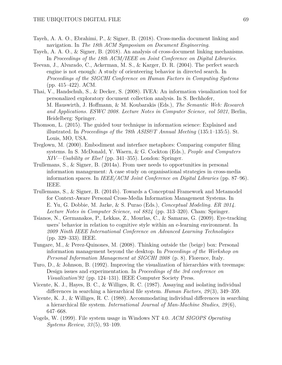- Tayeh, A. A. O., Ebrahimi, P., & Signer, B. (2018). Cross-media document linking and navigation. In *The 18th ACM Symposium on Document Engineering*.
- Tayeh, A. A. O., & Signer, B. (2018). An analysis of cross-document linking mechanisms. In *Proceedings of the 18th ACM/IEEE on Joint Conference on Digital Libraries*.
- Teevan, J., Alvarado, C., Ackerman, M. S., & Karger, D. R. (2004). The perfect search engine is not enough: A study of orienteering behavior in directed search. In *Proceedings of the SIGCHI Conference on Human Factors in Computing Systems* (pp. 415–422). ACM.
- Thai, V., Handschuh, S., & Decker, S. (2008). IVEA: An information visualization tool for personalized exploratory document collection analysis. In S. Bechhofer, M. Hauswirth, J. Hoffmann, & M. Koubarakis (Eds.), *The Semantic Web: Research and Applications. ESWC 2008. Lecture Notes in Computer Science, vol 5021*, Berlin, Heidelberg: Springer.
- Thomson, L. (2015). The guided tour technique in information science: Explained and illustrated. In *Proceedings of the 78th ASIS&T Annual Meeting* (135:1–135:5). St. Louis, MO, USA.
- Treglown, M. (2000). Embodiment and interface metaphors: Comparing computer filing systems. In S. McDonald, Y. Waern, & G. Cockton (Eds.), *People and Computers XIV—Usability or Else!* (pp. 341–355). London: Springer.
- Trullemans, S., & Signer, B. (2014a). From user needs to opportunities in personal information management: A case study on organisational strategies in cross-media information spaces. In *IEEE/ACM Joint Conference on Digital Libraries* (pp. 87–96). IEEE.
- Trullemans, S., & Signer, B. (2014b). Towards a Conceptual Framework and Metamodel for Context-Aware Personal Cross-Media Information Management Systems. In E. Yu, G. Dobbie, M. Jarke, & S. Purao (Eds.), *Conceptual Modeling. ER 2014. Lecture Notes in Computer Science, vol 8824* (pp. 313–320). Cham: Springer.
- Tsianos, N., Germanakos, P., Lekkas, Z., Mourlas, C., & Samaras, G. (2009). Eye-tracking users' behavior in relation to cognitive style within an e-learning environment. In *2009 Ninth IEEE International Conference on Advanced Learning Technologies* (pp. 329–333). IEEE.
- Tungare, M., & Perez-Quinones, M. (2008). Thinking outside the (beige) box: Personal information management beyond the desktop. In *Proceedings of the Workshop on Personal Information Management at SIGCHI 2008* (p. 8). Florence, Italy.
- Turo, D., & Johnson, B. (1992). Improving the visualization of hierarchies with treemaps: Design issues and experimentation. In *Proceedings of the 3rd conference on Visualization'92* (pp. 124–131). IEEE Computer Society Press.
- Vicente, K. J., Hayes, B. C., & Williges, R. C. (1987). Assaying and isolating individual differences in searching a hierarchical file system. *Human Factors*, *29* (3), 349–359.
- Vicente, K. J., & Williges, R. C. (1988). Accommodating individual differences in searching a hierarchical file system. *International Journal of Man-Machine Studies*, *29* (6), 647–668.
- Vogels, W. (1999). File system usage in Windows NT 4.0. *ACM SIGOPS Operating Systems Review*, *33* (5), 93–109.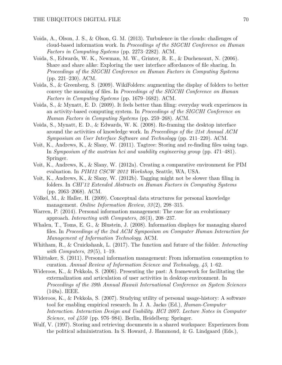- Voida, A., Olson, J. S., & Olson, G. M. (2013). Turbulence in the clouds: challenges of cloud-based information work. In *Proceedings of the SIGCHI Conference on Human Factors in Computing Systems* (pp. 2273–2282). ACM.
- Voida, S., Edwards, W. K., Newman, M. W., Grinter, R. E., & Ducheneaut, N. (2006). Share and share alike: Exploring the user interface affordances of file sharing. In *Proceedings of the SIGCHI Conference on Human Factors in Computing Systems* (pp. 221–230). ACM.
- Voida, S., & Greenberg, S. (2009). WikiFolders: augmenting the display of folders to better convey the meaning of files. In *Proceedings of the SIGCHI Conference on Human Factors in Computing Systems* (pp. 1679–1682). ACM.
- Voida, S., & Mynatt, E. D. (2009). It feels better than filing: everyday work experiences in an activity-based computing system. In *Proceedings of the SIGCHI Conference on Human Factors in Computing Systems* (pp. 259–268). ACM.
- Voida, S., Mynatt, E. D., & Edwards, W. K. (2008). Re-framing the desktop interface around the activities of knowledge work. In *Proceedings of the 21st Annual ACM Symposium on User Interface Software and Technology* (pp. 211–220). ACM.
- Voit, K., Andrews, K., & Slany, W. (2011). Tagtree: Storing and re-finding files using tags. In *Symposium of the austrian hci and usability engineering group* (pp. 471–481). Springer.
- Voit, K., Andrews, K., & Slany, W. (2012a). Creating a comparative environment for PIM evaluation. In *PIM12 CSCW 2012 Workshop*, Seattle, WA, USA.
- Voit, K., Andrews, K., & Slany, W. (2012b). Tagging might not be slower than filing in folders. In *CHI'12 Extended Abstracts on Human Factors in Computing Systems* (pp. 2063–2068). ACM.
- Völkel, M., & Haller, H. (2009). Conceptual data structures for personal knowledge management. *Online Information Review*, *33* (2), 298–315.
- Warren, P. (2014). Personal information management: The case for an evolutionary approach. *Interacting with Computers*, *26* (3), 208–237.
- Whalen, T., Toms, E. G., & Blustein, J. (2008). Information displays for managing shared files. In *Proceedings of the 2nd ACM Symposium on Computer Human Interaction for Management of Information Technology*. ACM.
- Whitham, R., & Cruickshank, L. (2017). The function and future of the folder. *Interacting with Computers*, *29* (5), 1–19.
- Whittaker, S. (2011). Personal information management: From information consumption to curation. *Annual Review of Information Science and Technology*, *45*, 1–62.
- Wideroos, K., & Pekkola, S. (2006). Presenting the past: A framework for facilitating the externalization and articulation of user activities in desktop environment. In *Proceedings of the 39th Annual Hawaii International Conference on System Sciences* (148a). IEEE.
- Wideroos, K., & Pekkola, S. (2007). Studying utility of personal usage-history: A software tool for enabling empirical research. In J. A. Jacko (Ed.), *Human-Computer Interaction. Interaction Design and Usability. HCI 2007. Lecture Notes in Computer Science, vol 4550* (pp. 976–984). Berlin, Heidelberg: Springer.
- Wulf, V. (1997). Storing and retrieving documents in a shared workspace: Experiences from the political administration. In S. Howard, J. Hammond, & G. Lindgaard (Eds.),